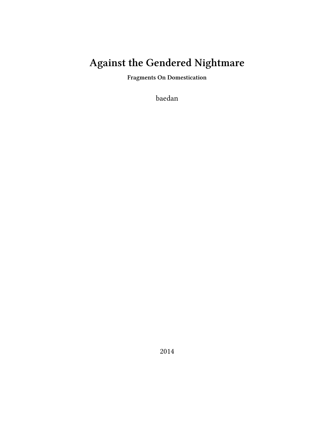# **Against the Gendered Nightmare**

**Fragments On Domestication**

baedan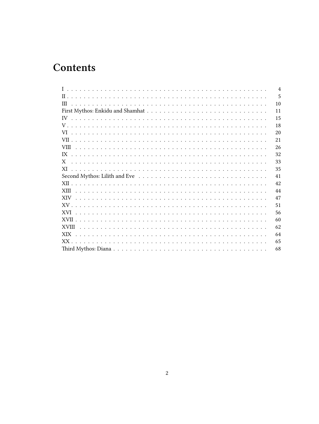# Contents

|             | $\overline{4}$ |
|-------------|----------------|
|             | 5              |
| Ш           | 10             |
|             | 11             |
|             | 15             |
|             | 18             |
|             | 20             |
|             | 21             |
|             | 26             |
| IX          | 32             |
| X           | 33             |
| XI.         | 35             |
|             | 41             |
|             | 42             |
| <b>XIII</b> | 44             |
|             | 47             |
|             | 51             |
|             | 56             |
|             | 60             |
|             | 62             |
| XIX         | 64             |
|             | 65             |
|             | 68             |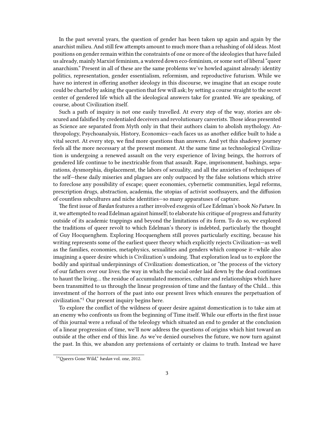In the past several years, the question of gender has been taken up again and again by the anarchist milieu. And still few attempts amount to much more than a rehashing of old ideas. Most positions on gender remain within the constraints of one or more of the ideologies that have failed us already, mainly Marxist feminism, a watered down eco-feminism, or some sort of liberal "queer anarchism." Present in all of these are the same problems we've howled against already: identity politics, representation, gender essentialism, reformism, and reproductive futurism. While we have no interest in offering another ideology in this discourse, we imagine that an escape route could be charted by asking the question that few will ask; by setting a course straight to the secret center of gendered life which all the ideological answers take for granted. We are speaking, of course, about Civilization itself.

Such a path of inquiry is not one easily travelled. At every step of the way, stories are obscured and falsified by credentialed deceivers and revolutionary careerists. Those ideas presented as Science are separated from Myth only in that their authors claim to abolish mythology. Anthropology, Psychoanalysis, History, Economics—each faces us as another edifice built to hide a vital secret. At every step, we find more questions than answers. And yet this shadowy journey feels all the more necessary at the present moment. At the same time as technological Civilization is undergoing a renewed assault on the very experience of living beings, the horrors of gendered life continue to be inextricable from that assault. Rape, imprisonment, bashings, separations, dysmorphia, displacement, the labors of sexuality, and all the anxieties of techniques of the self—these daily miseries and plagues are only outpaced by the false solutions which strive to foreclose any possibility of escape; queer economies, cybernetic communities, legal reforms, prescription drugs, abstraction, academia, the utopias of activist soothsayers, and the diffusion of countless subcultures and niche identities—so many apparatuses of capture.

The first issue of *Bædan* features a rather involved exegesis of Lee Edelman's book *No Future*. In it, we attempted to read Edelman against himself; to elaborate his critique of progress and futurity outside of its academic trappings and beyond the limitations of its form. To do so, we explored the traditions of queer revolt to which Edelman's theory is indebted, particularly the thought of Guy Hocquenghem. Exploring Hocquenghem still proves particularly exciting, because his writing represents some of the earliest queer theory which explicitly rejects Civilization—as well as the families, economies, metaphysics, sexualities and genders which compose it—while also imagining a queer desire which is Civilization's undoing. That exploration lead us to explore the bodily and spiritual underpinnings of Civilization: domestication, or "the process of the victory of our fathers over our lives; the way in which the social order laid down by the dead continues to haunt the living… the residue of accumulated memories, culture and relationships which have been transmitted to us through the linear progression of time and the fantasy of the Child… this investment of the horrors of the past into our present lives which ensures the perpetuation of civilization."<sup>1</sup> Our present inquiry begins here.

To explore the conflict of the wildness of queer desire against domestication is to take aim at an enemy who confronts us from the beginning of Time itself. While our efforts in the first issue of this journal were a refusal of the teleology which situated an end to gender at the conclusion of a linear progression of time, we'll now address the questions of origins which hint toward an outside at the other end of this line. As we've denied ourselves the future, we now turn against the past. In this, we abandon any pretensions of certainty or claims to truth. Instead we have

<sup>1</sup> "Queers Gone Wild," *bædan* vol. one, 2012.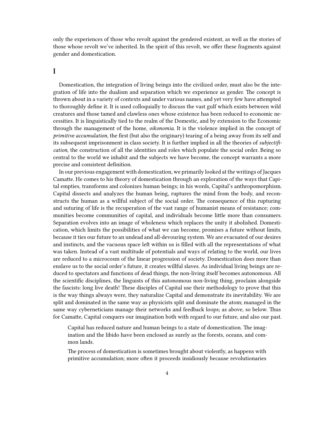only the experiences of those who revolt against the gendered existent, as well as the stories of those whose revolt we've inherited. In the spirit of this revolt, we offer these fragments against gender and domestication.

#### <span id="page-3-0"></span>**I**

Domestication, the integration of living beings into the civilized order, must also be the integration of life into the dualism and separation which we experience as gender. The concept is thrown about in a variety of contexts and under various names, and yet very few have attempted to thoroughly define it. It is used colloquially to discuss the vast gulf which exists between wild creatures and those tamed and clawless ones whose existence has been reduced to economic necessities. It is linguistically tied to the realm of the Domestic, and by extension to the Economic through the management of the home, *oikonomia*. It is the violence implied in the concept of *primitive accumulation*, the first (but also the originary) tearing of a being away from its self and its subsequent imprisonment in class society. It is further implied in all the theories of *subjectification*, the construction of all the identities and roles which populate the social order. Being so central to the world we inhabit and the subjects we have become, the concept warrants a more precise and consistent definition.

In our previous engagement with domestication, we primarily looked at the writings of Jacques Camatte. He comes to his theory of domestication through an exploration of the ways that Capital empties, transforms and colonizes human beings; in his words, Capital's anthropomorphism. Capital dissects and analyzes the human being, ruptures the mind from the body, and reconstructs the human as a willful subject of the social order. The consequence of this rupturing and suturing of life is the recuperation of the vast range of humanist means of resistance; communities become communities of capital, and individuals become little more than consumers. Separation evolves into an image of wholeness which replaces the unity it abolished. Domestication, which limits the possibilities of what we can become, promises a future without limits, because it ties our future to an undead and all-devouring system. We are evacuated of our desires and instincts, and the vacuous space left within us is filled with all the representations of what was taken. Instead of a vast multitude of potentials and ways of relating to the world, our lives are reduced to a microcosm of the linear progression of society. Domestication does more than enslave us to the social order's future, it creates willful slaves. As individual living beings are reduced to spectators and functions of dead things, the non-living itself becomes autonomous. All the scientific disciplines, the linguists of this autonomous non-living thing, proclaim alongside the fascists: long live death! These disciples of Capital use their methodology to prove that this is the way things always were, they naturalize Capital and demonstrate its inevitability. We are split and dominated in the same way as physicists split and dominate the atom; managed in the same way cyberneticians manage their networks and feedback loops; as above, so below. Thus for Camatte, Capital conquers our imagination both with regard to our future, and also our past.

Capital has reduced nature and human beings to a state of domestication. The imagination and the libido have been enclosed as surely as the forests, oceans, and common lands.

The process of domestication is sometimes brought about violently, as happens with primitive accumulation; more often it proceeds insidiously because revolutionaries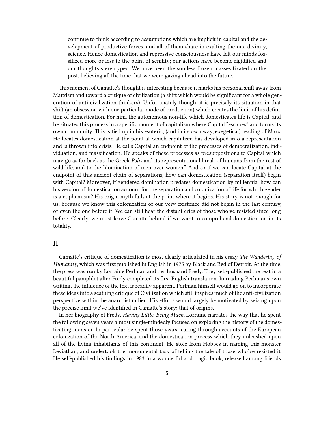continue to think according to assumptions which are implicit in capital and the development of productive forces, and all of them share in exalting the one divinity, science. Hence domestication and repressive consciousness have left our minds fossilized more or less to the point of senility; our actions have become rigidified and our thoughts stereotyped. We have been the soulless frozen masses fixated on the post, believing all the time that we were gazing ahead into the future.

This moment of Camatte's thought is interesting because it marks his personal shift away from Marxism and toward a critique of civilization (a shift which would be significant for a whole generation of anti-civilization thinkers). Unfortunately though, it is precisely its situation in that shift (an obsession with one particular mode of production) which creates the limit of his definition of domestication. For him, the autonomous non-life which domesticates life is Capital, and he situates this process in a specific moment of capitalism where Capital "escapes" and forms its own community. This is tied up in his esoteric, (and in its own way, exegetical) reading of Marx. He locates domestication at the point at which capitalism has developed into a representation and is thrown into crisis. He calls Capital an endpoint of the processes of democratization, individuation, and massification. He speaks of these processes as presuppositions to Capital which may go as far back as the Greek *Polis* and its representational break of humans from the rest of wild life, and to the "domination of men over women." And so if we can locate Capital at the endpoint of this ancient chain of separations, how can domestication (separation itself) begin with Capital? Moreover, if gendered domination predates domestication by millennia, how can his version of domestication account for the separation and colonization of life for which gender is a euphemism? His origin myth fails at the point where it begins. His story is not enough for us, because we know this colonization of our very existence did not begin in the last century, or even the one before it. We can still hear the distant cries of those who've resisted since long before. Clearly, we must leave Camatte behind if we want to comprehend domestication in its totality.

#### <span id="page-4-0"></span>**II**

Camatte's critique of domestication is most clearly articulated in his essay *The Wandering of Humanity*, which was first published in English in 1975 by Black and Red of Detroit. At the time, the press was run by Lorraine Perlman and her husband Fredy. They self-published the text in a beautiful pamphlet after Fredy completed its first English translation. In reading Perlman's own writing, the influence of the text is readily apparent. Perlman himself would go on to incorporate these ideas into a scathing critique of Civilization which still inspires much of the anti-civilization perspective within the anarchist milieu. His efforts would largely be motivated by seizing upon the precise limit we've identified in Camatte's story: that of origins.

In her biography of Fredy, *Having Little, Being Much,* Lorraine narrates the way that he spent the following seven years almost single-mindedly focused on exploring the history of the domesticating monster. In particular he spent those years tearing through accounts of the European colonization of the North America, and the domestication process which they unleashed upon all of the living inhabitants of this continent. He stole from Hobbes in naming this monster Leviathan, and undertook the monumental task of telling the tale of those who've resisted it. He self-published his findings in 1983 in a wonderful and tragic book, released among friends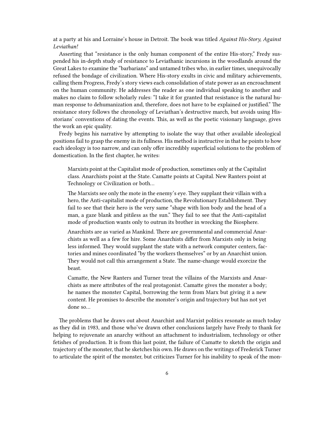at a party at his and Lorraine's house in Detroit. The book was titled *Against His-Story, Against Leviathan!*

Asserting that "resistance is the only human component of the entire His-story," Fredy suspended his in-depth study of resistance to Leviathanic incursions in the woodlands around the Great Lakes to examine the "barbarians" and untamed tribes who, in earlier times, unequivocally refused the bondage of civilization. Where His-story exults in civic and military achievements, calling them Progress, Fredy's story views each consolidation of state power as an encroachment on the human community. He addresses the reader as one individual speaking to another and makes no claim to follow scholarly rules: "I take it for granted that resistance is the natural human response to dehumanization and, therefore, does not have to be explained or justified." The resistance story follows the chronology of Leviathan's destructive march, but avoids using Hisstorians' conventions of dating the events. This, as well as the poetic visionary language, gives the work an epic quality.

Fredy begins his narrative by attempting to isolate the way that other available ideological positions fail to grasp the enemy in its fullness. His method is instructive in that he points to how each ideology is too narrow, and can only offer incredibly superficial solutions to the problem of domestication. In the first chapter, he writes:

Marxists point at the Capitalist mode of production, sometimes only at the Capitalist class. Anarchists point at the State. Camatte points at Capital. New Ranters point at Technology or Civilization or both…

The Marxists see only the mote in the enemy's eye. They supplant their villain with a hero, the Anti-capitalist mode of production, the Revolutionary Establishment. They fail to see that their hero is the very same "shape with lion body and the head of a man, a gaze blank and pitiless as the sun." They fail to see that the Anti-capitalist mode of production wants only to outrun its brother in wrecking the Biosphere.

Anarchists are as varied as Mankind. There are governmental and commercial Anarchists as well as a few for hire. Some Anarchists differ from Marxists only in being less informed. They would supplant the state with a network computer centers, factories and mines coordinated "by the workers themselves" or by an Anarchist union. They would not call this arrangement a State. The name-change would exorcize the beast.

Camatte, the New Ranters and Turner treat the villains of the Marxists and Anarchists as mere attributes of the real protagonist. Camatte gives the monster a body; he names the monster Capital, borrowing the term from Marx but giving it a new content. He promises to describe the monster's origin and trajectory but has not yet done so…

The problems that he draws out about Anarchist and Marxist politics resonate as much today as they did in 1983, and those who've drawn other conclusions largely have Fredy to thank for helping to rejuvenate an anarchy without an attachment to industrialism, technology or other fetishes of production. It is from this last point, the failure of Camatte to sketch the origin and trajectory of the monster, that he sketches his own. He draws on the writings of Frederick Turner to articulate the spirit of the monster, but criticizes Turner for his inability to speak of the mon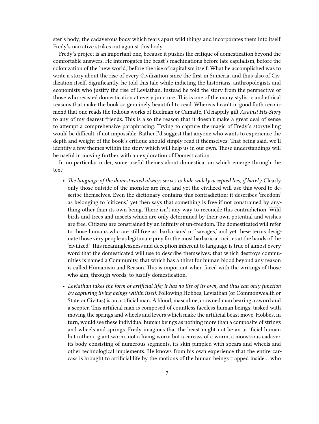ster's body; the cadaverous body which tears apart wild things and incorporates them into itself. Fredy's narrative strikes out against this body.

Fredy's project is an important one, because it pushes the critique of domestication beyond the comfortable answers. He interrogates the beast's machinations before late capitalism, before the colonization of the 'new world,' before the rise of capitalism itself. What he accomplished was to write a story about the rise of every Civilization since the first in Sumeria, and thus also of Civilization itself. Significantly, he told this tale while indicting the historians, anthropologists and economists who justify the rise of Leviathan. Instead he told the story from the perspective of those who resisted domestication at every juncture. This is one of the many stylistic and ethical reasons that make the book so genuinely beautiful to read. Whereas I can't in good faith recommend that one reads the tedious works of Edelman or Camatte, I'd happily gift *Against His-Story* to any of my dearest friends. This is also the reason that it doesn't make a great deal of sense to attempt a comprehensive paraphrasing. Trying to capture the magic of Fredy's storytelling would be difficult, if not impossible. Rather I'd suggest that anyone who wants to experience the depth and weight of the book's critique should simply read it themselves. That being said, we'll identify a few themes within the story which will help us in our own. These understandings will be useful in moving further with an exploration of Domestication.

In no particular order, some useful themes about domestication which emerge through the text:

- *The language of the domesticated always serves to hide widely accepted lies, if barely.* Clearly only those outside of the monster are free, and yet the civilized will use this word to describe themselves. Even the dictionary contains this contradiction: it describes 'freedom' as belonging to 'citizens,' yet then says that something is free if not constrained by anything other than its own being. There isn't any way to reconcile this contradiction. Wild birds and trees and insects which are only determined by their own potential and wishes are free. Citizens are constrained by an infinity of un-freedom. The domesticated will refer to those humans who are still free as 'barbarians' or 'savages,' and yet these terms designate those very people as legitimate prey for the most barbaric atrocities at the hands of the 'civilized.' This meaninglessness and deception inherent to language is true of almost every word that the domesticated will use to describe themselves: that which destroys communities is named a Community, that which has a thirst for human blood beyond any reason is called Humanism and Reason. This is important when faced with the writings of those who aim, through words, to justify domestication.
- *Leviathan takes the form of artificial life; it has no life of its own, and thus can only function by capturing living beings within itself.* Following Hobbes, Leviathan (or Commonwealth or State or Civitas) is an artificial man. A blond, masculine, crowned man bearing a sword and a scepter. This artificial man is composed of countless faceless human beings, tasked with moving the springs and wheels and levers which make the artificial beast move. Hobbes, in turn, would see these individual human beings as nothing more than a composite of strings and wheels and springs. Fredy imagines that the beast might not be an artificial human but rather a giant worm, not a living worm but a carcass of a worm, a monstrous cadaver, its body consisting of numerous segments, its skin pimpled with spears and wheels and other technological implements. He knows from his own experience that the entire carcass is brought to artificial life by the motions of the human beings trapped inside… who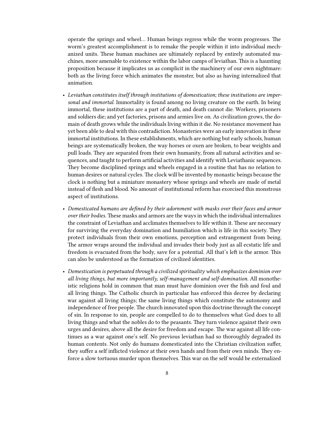operate the springs and wheel… Human beings regress while the worm progresses. The worm's greatest accomplishment is to remake the people within it into individual mechanized units. These human machines are ultimately replaced by entirely automated machines, more amenable to existence within the labor camps of leviathan. This is a haunting proposition because it implicates us as complicit in the machinery of our own nightmare: both as the living force which animates the monster, but also as having internalized that animation.

- *Leviathan constitutes itself through institutions of domestication; these institutions are impersonal and immortal.* Immortality is found among no living creature on the earth. In being immortal, these institutions are a part of death, and death cannot die. Workers, prisoners and soldiers die; and yet factories, prisons and armies live on. As civilization grows, the domain of death grows while the individuals living within it die. No resistance movement has yet been able to deal with this contradiction. Monasteries were an early innovation in these immortal institutions. In these establishments, which are nothing but early schools, human beings are systematically broken, the way horses or oxen are broken, to bear weights and pull loads. They are separated from their own humanity, from all natural activities and sequences, and taught to perform artificial activities and identify with Leviathanic sequences. They become disciplined springs and wheels engaged in a routine that has no relation to human desires or natural cycles. The clock will be invented by monastic beings because the clock is nothing but a miniature monastery whose springs and wheels are made of metal instead of flesh and blood. No amount of institutional reform has exorcised this monstrous aspect of institutions.
- *Domesticated humans are defined by their adornment with masks over their faces and armor over their bodies.* These masks and armors are the ways in which the individual internalizes the constraint of Leviathan and acclimates themselves to life within it. These are necessary for surviving the everyday domination and humiliation which is life in this society. They protect individuals from their own emotions, perception and estrangement from being. The armor wraps around the individual and invades their body just as all ecstatic life and freedom is evacuated from the body, save for a potential. All that's left is the armor. This can also be understood as the formation of civilized identities.
- *Domestication is perpetuated through a civilized spirituality which emphasizes dominion over all living things, but more importantly, self-management and self-domination.* All monotheistic religions hold in common that man must have dominion over the fish and foul and all living things. The Catholic church in particular has enforced this decree by declaring war against all living things; the same living things which constitute the autonomy and independence of free people. The church innovated upon this doctrine through the concept of sin. In response to sin, people are compelled to do to themselves what God does to all living things and what the nobles do to the peasants. They turn violence against their own urges and desires, above all the desire for freedom and escape. The war against all life continues as a war against one's self. No previous leviathan had so thoroughly degraded its human contents. Not only do humans domesticated into the Christian civilization suffer, they suffer a self inflicted violence at their own hands and from their own minds. They enforce a slow tortuous murder upon themselves. This war on the self would be externalized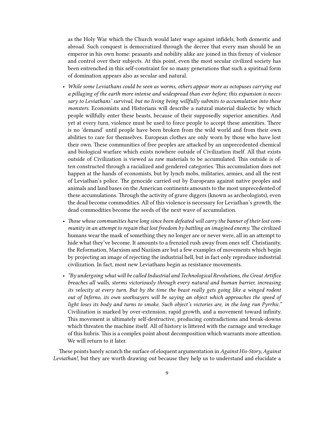as the Holy War which the Church would later wage against infidels, both domestic and abroad. Such conquest is democratized through the decree that every man should be an emperor in his own home: peasants and nobility alike are joined in this frenzy of violence and control over their subjects. At this point, even the most secular civilized society has been entrenched in this self-constraint for so many generations that such a spiritual form of domination appears also as secular and natural.

- *While some Leviathans could be seen as worms, others appear more as octopuses carrying out a pillaging of the earth more intense and widespread than ever before; this expansion is necessary to Leviathans' survival, but no living being willfully submits to accumulation into these monsters.* Economists and Historians will describe a natural material dialectic by which people willfully enter these beasts, because of their supposedly superior amenities. And yet at every turn, violence must be used to force people to accept these amenities. There is no 'demand' until people have been broken from the wild world and from their own abilities to care for themselves. European clothes are only worn by those who have lost their own. These communities of free peoples are attacked by an unprecedented chemical and biological warfare which exists nowhere outside of Civilization itself. All that exists outside of Civilization is viewed as raw materials to be accumulated. This outside is often constructed through a racialized and gendered categories. This accumulation does not happen at the hands of economists, but by lynch mobs, militaries, armies, and all the rest of Leviathan's police. The genocide carried out by Europeans against native peoples and animals and land bases on the American continents amounts to the most unprecedented of these accumulations. Through the activity of grave diggers (known as archeologists), even the dead become commodities. All of this violence is necessary for Leviathan's growth, the dead commodities become the seeds of the next wave of accumulation.
- *Those whose communities have long since been defeated will carry the banner of their lost community in an attempt to regain that lost freedom by battling an imagined enemy.* The civilized humans wear the mask of something they no longer are or never were, all in an attempt to hide what they've become. It amounts to a frenzied rush away from ones self. Christianity, the Reformation, Marxism and Naziism are but a few examples of movements which begin by projecting an image of rejecting the industrial hell, but in fact only reproduce industrial civilization. In fact, most new Leviathans begin as resistance movements.
- *"By undergoing what will be called Industrial and Technological Revolutions, the Great Artifice breaches all walls, storms victoriously through every natural and human barrier, increasing its velocity at every turn. But by the time the beast really gets going like a winged rodent out of Inferno, its own soothsayers will be saying an object which approaches the speed of light loses its body and turns to smoke. Such object's victories are, in the long run Pyrrhic."* Civilization is marked by over-extension, rapid growth, and a movement toward infinity. This movement is ultimately self-destructive, producing contradictions and break-downs which threaten the machine itself. All of history is littered with the carnage and wreckage of this hubris. This is a complex point about decomposition which warrants more attention. We will return to it later.

These points barely scratch the surface of eloquent argumentation in *Against His-Story, Against Leviathan!,* but they are worth drawing out because they help us to understand and elucidate a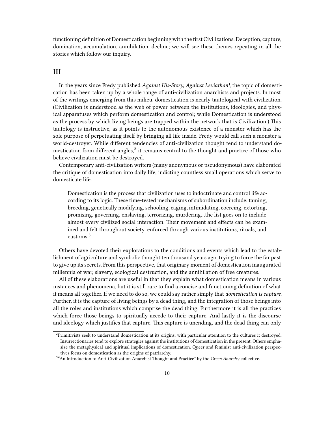functioning definition of Domestication beginning with the first Civilizations. Deception, capture, domination, accumulation, annihilation, decline; we will see these themes repeating in all the stories which follow our inquiry.

## <span id="page-9-0"></span>**III**

In the years since Fredy published *Against His-Story, Against Leviathan!*, the topic of domestication has been taken up by a whole range of anti-civilization anarchists and projects. In most of the writings emerging from this milieu, domestication is nearly tautological with civilization. (Civilization is understood as the web of power between the institutions, ideologies, and physical apparatuses which perform domestication and control; while Domestication is understood as the process by which living beings are trapped within the network that is Civilization.) This tautology is instructive, as it points to the autonomous existence of a monster which has the sole purpose of perpetuating itself by bringing all life inside. Fredy would call such a monster a world-destroyer. While different tendencies of anti-civilization thought tend to understand domestication from different angles, $^2$  it remains central to the thought and practice of those who believe civilization must be destroyed.

Contemporary anti-civilization writers (many anonymous or pseudonymous) have elaborated the critique of domestication into daily life, indicting countless small operations which serve to domesticate life.

Domestication is the process that civilization uses to indoctrinate and control life according to its logic. These time-tested mechanisms of subordination include: taming, breeding, genetically modifying, schooling, caging, intimidating, coercing, extorting, promising, governing, enslaving, terrorizing, murdering…the list goes on to include almost every civilized social interaction. Their movement and effects can be examined and felt throughout society, enforced through various institutions, rituals, and customs.<sup>3</sup>

Others have devoted their explorations to the conditions and events which lead to the establishment of agriculture and symbolic thought ten thousand years ago, trying to force the far past to give up its secrets. From this perspective, that originary moment of domestication inaugurated millennia of war, slavery, ecological destruction, and the annihilation of free creatures.

All of these elaborations are useful in that they explain what domestication means in various instances and phenomena, but it is still rare to find a concise and functioning definition of what it means all together. If we need to do so, we could say rather simply that *domestication is capture.* Further, it is the capture of living beings by a dead thing, and the integration of those beings into all the roles and institutions which comprise the dead thing. Furthermore it is all the practices which force those beings to spiritually accede to their capture. And lastly it is the discourse and ideology which justifies that capture. This capture is unending, and the dead thing can only

<sup>&</sup>lt;sup>2</sup>Primitivists seek to understand domestication at its origins, with particular attention to the cultures it destroyed. Insurrectionaries tend to explore strategies against the institutions of domestication in the present. Others emphasize the metaphysical and spiritual implications of domestication. Queer and feminist anti-civilization perspectives focus on domestication as the origins of patriarchy.

<sup>3</sup> "An Introduction to Anti-Civilization Anarchist Thought and Practice" by the *Green Anarchy* collective.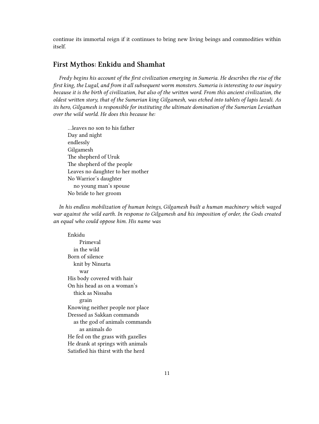continue its immortal reign if it continues to bring new living beings and commodities within itself.

# <span id="page-10-0"></span>**First Mythos: Enkidu and Shamhat**

*Fredy begins his account of the first civilization emerging in Sumeria. He describes the rise of the first king, the Lugal, and from it all subsequent worm monsters. Sumeria is interesting to our inquiry because it is the birth of civilization, but also of the written word. From this ancient civilization, the oldest written story, that of the Sumerian king Gilgamesh, was etched into tablets of lapis lazuli. As its hero, Gilgamesh is responsible for instituting the ultimate domination of the Sumerian Leviathan over the wild world. He does this because he:*

…leaves no son to his father Day and night endlessly Gilgamesh The shepherd of Uruk The shepherd of the people Leaves no daughter to her mother No Warrior's daughter no young man's spouse No bride to her groom

*In his endless mobilization of human beings, Gilgamesh built a human machinery which waged war against the wild earth. In response to Gilgamesh and his imposition of order, the Gods created an equal who could oppose him. His name was*

Enkidu Primeval in the wild Born of silence knit by Ninurta war His body covered with hair On his head as on a woman's thick as Nissaba grain Knowing neither people nor place Dressed as Sakkan commands as the god of animals commands as animals do He fed on the grass with gazelles He drank at springs with animals Satisfied his thirst with the herd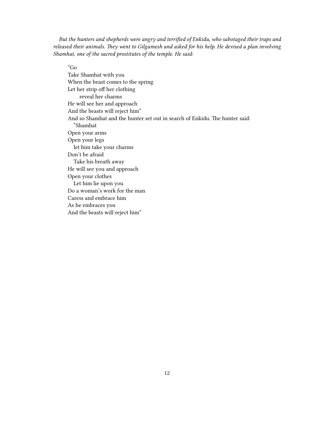*But the hunters and shepherds were angry and terrified of Enkidu, who sabotaged their traps and released their animals. They went to Gilgamesh and asked for his help. He devised a plan involving Shamhat, one of the sacred prostitutes of the temple. He said:*

"Go

Take Shamhat with you When the beast comes to the spring Let her strip off her clothing reveal her charms He will see her and approach And the beasts will reject him" And so Shamhat and the hunter set out in search of Enkidu. The hunter said: "Shamhat Open your arms Open your legs let him take your charms Don't be afraid Take his breath away He will see you and approach Open your clothes Let him lie upon you Do a woman's work for the man Caress and embrace him As he embraces you And the beasts will reject him"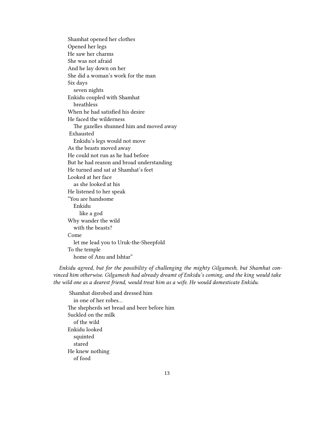Shamhat opened her clothes Opened her legs He saw her charms She was not afraid And he lay down on her She did a woman's work for the man Six days seven nights Enkidu coupled with Shamhat breathless When he had satisfied his desire He faced the wilderness The gazelles shunned him and moved away Exhausted Enkidu's legs would not move As the beasts moved away He could not run as he had before But he had reason and broad understanding He turned and sat at Shamhat's feet Looked at her face as she looked at his He listened to her speak "You are handsome Enkidu like a god Why wander the wild with the beasts? Come let me lead you to Uruk-the-Sheepfold To the temple home of Anu and Ishtar"

*Enkidu agreed, but for the possibility of challenging the mighty Gilgamesh, but Shamhat convinced him otherwise. Gilgamesh had already dreamt of Enkidu's coming, and the king would take the wild one as a dearest friend, would treat him as a wife. He would domesticate Enkidu.*

Shamhat disrobed and dressed him in one of her robes… The shepherds set bread and beer before him Suckled on the milk of the wild Enkidu looked squinted stared He knew nothing of food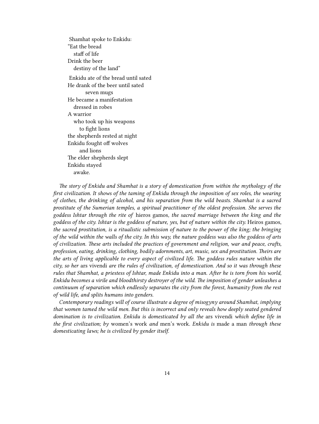Shamhat spoke to Enkidu: "Eat the bread staff of life Drink the beer destiny of the land" Enkidu ate of the bread until sated He drank of the beer until sated seven mugs He became a manifestation dressed in robes A warrior who took up his weapons to fight lions the shepherds rested at night Enkidu fought off wolves and lions The elder shepherds slept Enkidu stayed awake.

*The story of Enkidu and Shamhat is a story of domestication from within the mythology of the first civilization. It shows of the taming of Enkidu through the imposition of sex roles, the wearing of clothes, the drinking of alcohol, and his separation from the wild beasts. Shamhat is a sacred prostitute of the Sumerian temples, a spiritual practitioner of the oldest profession. She serves the goddess Ishtar through the rite of* hieros gamos*, the sacred marriage between the king and the goddess of the city. Ishtar is the goddess of nature, yes, but of nature within the city.* Heiros gamos, *the sacred prostitution, is a ritualistic submission of nature to the power of the king; the bringing of the wild within the walls of the city. In this way, the nature goddess was also the goddess of arts of civilization. These arts included the practices of government and religion, war and peace, crafts, profession, eating, drinking, clothing, bodily adornments, art, music, sex and prostitution. Theirs are the arts of living applicable to every aspect of civilized life. The goddess rules nature within the city, so her* ars vivendi *are the rules of civilization, of domestication. And so it was through these rules that Shamhat, a priestess of Ishtar, made Enkidu into a man. After he is torn from his world, Enkidu becomes a virile and bloodthirsty destroyer of the wild. The imposition of gender unleashes a continuum of separation which endlessly separates the city from the forest, humanity from the rest of wild life, and splits humans into genders.*

*Contemporary readings will of course illustrate a degree of misogyny around Shamhat, implying that women tamed the wild men. But this is incorrect and only reveals how deeply seated gendered domination is to civilization. Enkidu is domesticated by all the* ars vivendi *which define life in the first civilization; by* women's work *and* men's work*. Enkidu is* made a man *through these domesticating laws; he is civilized by gender itself.*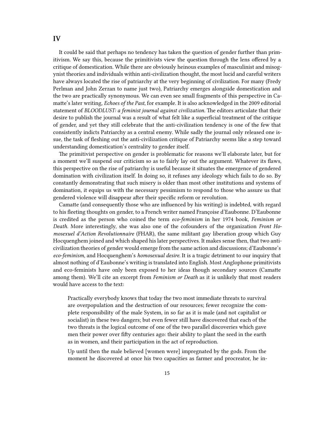It could be said that perhaps no tendency has taken the question of gender further than primitivism. We say this, because the primitivists view the question through the lens offered by a critique of domestication. While there are obviously heinous examples of masculinist and misogynist theories and individuals within anti-civilization thought, the most lucid and careful writers have always located the rise of patriarchy at the very beginning of civilization. For many (Fredy Perlman and John Zerzan to name just two), Patriarchy emerges alongside domestication and the two are practically synonymous. We can even see small fragments of this perspective in Camatte's later writing, *Echoes of the Past*, for example. It is also acknowledged in the 2009 editorial statement of *BLOODLUST: a feminist journal against civilization.* The editors articulate that their desire to publish the journal was a result of what felt like a superficial treatment of the critique of gender, and yet they still celebrate that the anti-civilization tendency is one of the few that consistently indicts Patriarchy as a central enemy. While sadly the journal only released one issue, the task of fleshing out the anti-civilization critique of Patriarchy seems like a step toward understanding domestication's centrality to gender itself.

The primitivist perspective on gender is problematic for reasons we'll elaborate later, but for a moment we'll suspend our criticism so as to fairly lay out the argument. Whatever its flaws, this perspective on the rise of patriarchy is useful because it situates the emergence of gendered domination with civilization itself. In doing so, it refuses any ideology which fails to do so. By constantly demonstrating that such misery is older than most other institutions and systems of domination, it equips us with the necessary pessimism to respond to those who assure us that gendered violence will disappear after their specific reform or revolution.

Camatte (and consequently those who are influenced by his writing) is indebted, with regard to his fleeting thoughts on gender, to a French writer named Françoise d'Eaubonne. D'Eaubonne is credited as the person who coined the term *eco-feminism* in her 1974 book, *Feminism or Death.* More interestingly, she was also one of the cofounders of the organization *Front Homosexuel d'Action Revolutionnaire* (FHAR), the same militant gay liberation group which Guy Hocquenghem joined and which shaped his later perspectives. It makes sense then, that two anticivilization theories of gender would emerge from the same action and discussions; d'Eaubonne's *eco-feminism,* and Hocquenghem's *homosexual desire.* It is a tragic detriment to our inquiry that almost nothing of d'Eaubonne's writing is translated into English. Most Anglophone primitivists and eco-feminists have only been exposed to her ideas though secondary sources (Camatte among them). We'll cite an excerpt from *Feminism or Death* as it is unlikely that most readers would have access to the text:

Practically everybody knows that today the two most immediate threats to survival are overpopulation and the destruction of our resources; fewer recognize the complete responsibility of the male System, in so far as it is male (and not capitalist or socialist) in these two dangers; but even fewer still have discovered that each of the two threats is the logical outcome of one of the two parallel discoveries which gave men their power over fifty centuries ago: their ability to plant the seed in the earth as in women, and their participation in the act of reproduction.

Up until then the male believed [women were] impregnated by the gods. From the moment he discovered at once his two capacities as farmer and procreator, he in-

#### <span id="page-14-0"></span>**IV**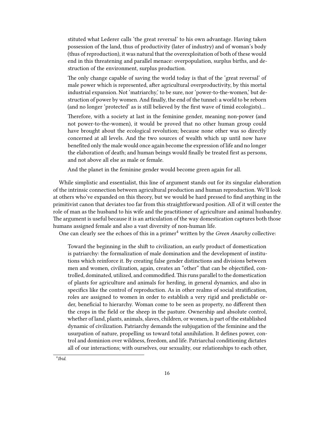stituted what Lederer calls 'the great reversal' to his own advantage. Having taken possession of the land, thus of productivity (later of industry) and of woman's body (thus of reproduction), it was natural that the overexploitation of both of these would end in this threatening and parallel menace: overpopulation, surplus births, and destruction of the environment, surplus production.

The only change capable of saving the world today is that of the 'great reversal' of male power which is represented, after agricultural overproductivity, by this mortal industrial expansion. Not 'matriarchy,' to be sure, nor 'power-to-the-women,' but destruction of power by women. And finally, the end of the tunnel: a world to be reborn (and no longer 'protected' as is still believed by the first wave of timid ecologists)…

Therefore, with a society at last in the feminine gender, meaning non-power (and not power-to-the-women), it would be proved that no other human group could have brought about the ecological revolution; because none other was so directly concerned at all levels. And the two sources of wealth which up until now have benefited only the male would once again become the expression of life and no longer the elaboration of death; and human beings would finally be treated first as persons, and not above all else as male or female.

And the planet in the feminine gender would become green again for all.

While simplistic and essentialist, this line of argument stands out for its singular elaboration of the intrinsic connection between agricultural production and human reproduction. We'll look at others who've expanded on this theory, but we would be hard pressed to find anything in the primitivist canon that deviates too far from this straightforward position. All of it will center the role of man as the husband to his wife and the practitioner of agriculture and animal husbandry. The argument is useful because it is an articulation of the way domestication captures both those humans assigned female and also a vast diversity of non-human life.

One can clearly see the echoes of this in a primer<sup>4</sup> written by the *Green Anarchy* collective:

Toward the beginning in the shift to civilization, an early product of domestication is patriarchy: the formalization of male domination and the development of institutions which reinforce it. By creating false gender distinctions and divisions between men and women, civilization, again, creates an "other" that can be objectified, controlled, dominated, utilized, and commodified. This runs parallel to the domestication of plants for agriculture and animals for herding, in general dynamics, and also in specifics like the control of reproduction. As in other realms of social stratification, roles are assigned to women in order to establish a very rigid and predictable order, beneficial to hierarchy. Woman come to be seen as property, no different then the crops in the field or the sheep in the pasture. Ownership and absolute control, whether of land, plants, animals, slaves, children, or women, is part of the established dynamic of civilization. Patriarchy demands the subjugation of the feminine and the usurpation of nature, propelling us toward total annihilation. It defines power, control and dominion over wildness, freedom, and life. Patriarchal conditioning dictates all of our interactions; with ourselves, our sexuality, our relationships to each other,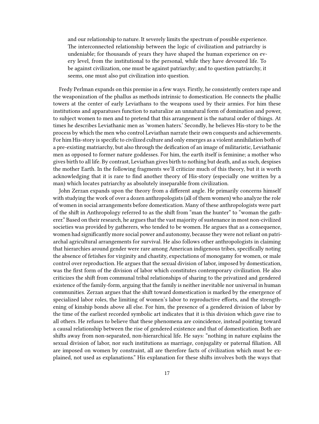and our relationship to nature. It severely limits the spectrum of possible experience. The interconnected relationship between the logic of civilization and patriarchy is undeniable; for thousands of years they have shaped the human experience on every level, from the institutional to the personal, while they have devoured life. To be against civilization, one must be against patriarchy; and to question patriarchy, it seems, one must also put civilization into question.

Fredy Perlman expands on this premise in a few ways. Firstly, he consistently centers rape and the weaponization of the phallus as methods intrinsic to domestication. He connects the phallic towers at the center of early Leviathans to the weapons used by their armies. For him these institutions and apparatuses function to naturalize an unnatural form of domination and power, to subject women to men and to pretend that this arrangement is the natural order of things. At times he describes Leviathanic men as 'women haters.' Secondly, he believes His-story to be the process by which the men who control Leviathan narrate their own conquests and achievements. For him His-story is specific to civilized culture and only emerges as a violent annihilation both of a pre-existing matriarchy, but also through the deification of an image of militaristic, Leviathanic men as opposed to former nature goddesses. For him, the earth itself is feminine; a mother who gives birth to all life. By contrast, Leviathan gives birth to nothing but death, and as such, despises the mother Earth. In the following fragments we'll criticize much of this theory, but it is worth acknowledging that it is rare to find another theory of His-story (especially one written by a man) which locates patriarchy as absolutely inseparable from civilization.

John Zerzan expands upon the theory from a different angle. He primarily concerns himself with studying the work of over a dozen anthropologists (all of them women) who analyze the role of women in social arrangements before domestication. Many of these anthropologists were part of the shift in Anthropology referred to as the shift from "man the hunter" to "woman the gatherer." Based on their research, he argues that the vast majority of sustenance in most non-civilized societies was provided by gatherers, who tended to be women. He argues that as a consequence, women had significantly more social power and autonomy, because they were not reliant on patriarchal agricultural arrangements for survival. He also follows other anthropologists in claiming that hierarchies around gender were rare among American indigenous tribes, specifically noting the absence of fetishes for virginity and chastity, expectations of monogamy for women, or male control over reproduction. He argues that the sexual division of labor, imposed by domestication, was the first form of the division of labor which constitutes contemporary civilization. He also criticizes the shift from communal tribal relationships of sharing to the privatized and gendered existence of the family-form, arguing that the family is neither inevitable nor universal in human communities. Zerzan argues that the shift toward domestication is marked by the emergence of specialized labor roles, the limiting of women's labor to reproductive efforts, and the strengthening of kinship bonds above all else. For him, the presence of a gendered division of labor by the time of the earliest recorded symbolic art indicates that it is this division which gave rise to all others. He refuses to believe that these phenomena are coincidence, instead pointing toward a causal relationship between the rise of gendered existence and that of domestication. Both are shifts away from non-separated, non-hierarchical life. He says: "nothing in nature explains the sexual division of labor, nor such institutions as marriage, conjugality or paternal filiation. All are imposed on women by constraint, all are therefore facts of civilization which must be explained, not used as explanations." His explanation for these shifts involves both the ways that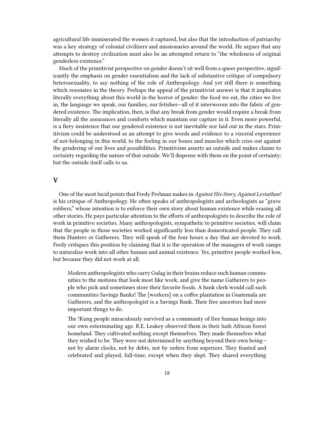agricultural life immiserated the women it captured, but also that the introduction of patriarchy was a key strategy of colonial civilizers and missionaries around the world. He argues that any attempts to destroy civilization must also be an attempted return to "the wholeness of original genderless existence."

Much of the primitivist perspective on gender doesn't sit well from a queer perspective, significantly the emphasis on gender essentialism and the lack of substantive critique of compulsory heterosexuality, to say nothing of the role of Anthropology. And yet still there is something which resonates in the theory. Perhaps the appeal of the primitivist answer is that it implicates literally everything about this world in the horror of gender: the food we eat, the cities we live in, the language we speak, our families, our fetishes—all of it interwoven into the fabric of gendered existence. The implication, then, is that any break from gender would require a break from literally all the assurances and comforts which maintain our capture in it. Even more powerful, is a fiery insistence that our gendered existence is not inevitable nor laid out in the stars. Primitivism could be understood as an attempt to give words and evidence to a visceral experience of not-belonging in this world, to the feeling in our bones and muscles which cries out against the gendering of our lives and possibilities. Primitivism asserts an outside and makes claims to certainty regarding the nature of that outside. We'll dispense with them on the point of certainty; but the outside itself calls to us.

#### <span id="page-17-0"></span>**V**

One of the most lucid points that Fredy Perlman makes in *Against His-Story, Against Leviathan!* is his critique of Anthropology. He often speaks of anthropologists and archeologists as "grave robbers," whose intention is to enforce their own story about human existence while erasing all other stories. He pays particular attention to the efforts of anthropologists to describe the role of work in primitive societies. Many anthropologists, sympathetic to primitive societies, will claim that the people in those societies worked significantly less than domesticated people. They call them Hunters or Gatherers. They will speak of the four hours a day that are devoted to work. Fredy critiques this position by claiming that it is the operation of the managers of work camps to naturalize work into all other human and animal existence. Yes, primitive people worked less, but because they did not work at all.

Modern anthropologists who carry Gulag in their brains reduce such human communities to the motions that look most like work, and give the name Gatherers to people who pick and sometimes store their favorite foods. A bank clerk would call such communities Savings Banks! The [workers] on a coffee plantation in Guatemala are Gatherers, and the anthropologist is a Savings Bank. Their free ancestors had more important things to do.

The !Kung people miraculously survived as a community of free human beings into our own exterminating age. R.E. Leakey observed them in their lush African forest homeland. They cultivated nothing except themselves. They made themselves what they wished to be. They were not determined by anything beyond their own being not by alarm clocks, not by debts, not by orders from superiors. They feasted and celebrated and played, full-time, except when they slept. They shared everything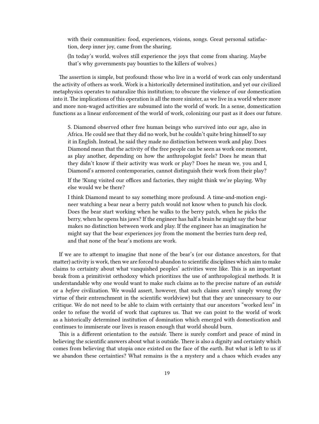with their communities: food, experiences, visions, songs. Great personal satisfaction, deep inner joy, came from the sharing.

(In today's world, wolves still experience the joys that come from sharing. Maybe that's why governments pay bounties to the killers of wolves.)

The assertion is simple, but profound: those who live in a world of work can only understand the activity of others as work. Work is a historically determined institution, and yet our civilized metaphysics operates to naturalize this institution; to obscure the violence of our domestication into it. The implications of this operation is all the more sinister, as we live in a world where more and more non-waged activities are subsumed into the world of work. In a sense, domestication functions as a linear enforcement of the world of work, colonizing our past as it does our future.

S. Diamond observed other free human beings who survived into our age, also in Africa. He could see that they did no work, but he couldn't quite bring himself to say it in English. Instead, he said they made no distinction between work and play. Does Diamond mean that the activity of the free people can be seen as work one moment, as play another, depending on how the anthropologist feels? Does he mean that they didn't know if their activity was work or play? Does he mean we, you and I, Diamond's armored contemporaries, cannot distinguish their work from their play?

If the !Kung visited our offices and factories, they might think we're playing. Why else would we be there?

I think Diamond meant to say something more profound. A time-and-motion engineer watching a bear near a berry patch would not know when to punch his clock. Does the bear start working when he walks to the berry patch, when he picks the berry, when he opens his jaws? If the engineer has half a brain he might say the bear makes no distinction between work and play. If the engineer has an imagination he might say that the bear experiences joy from the moment the berries turn deep red, and that none of the bear's motions are work.

If we are to attempt to imagine that none of the bear's (or our distance ancestors, for that matter) activity is work, then we are forced to abandon to scientific disciplines which aim to make claims to certainty about what vanquished peoples' activities were like. This is an important break from a primitivist orthodoxy which prioritizes the use of anthropological methods. It is understandable why one would want to make such claims as to the precise nature of an *outside* or a *before* civilization. We would assert, however, that such claims aren't simply wrong (by virtue of their entrenchment in the scientific worldview) but that they are unnecessary to our critique. We do not need to be able to claim with certainty that our ancestors "worked less" in order to refuse the world of work that captures us. That we can point to the world of work as a historically determined institution of domination which emerged with domestication and continues to immiserate our lives is reason enough that world should burn.

This is a different orientation to the *outside*. There is surely comfort and peace of mind in believing the scientific answers about what is outside. There is also a dignity and certainty which comes from believing that utopia once existed on the face of the earth. But what is left to us if we abandon these certainties? What remains is the a mystery and a chaos which evades any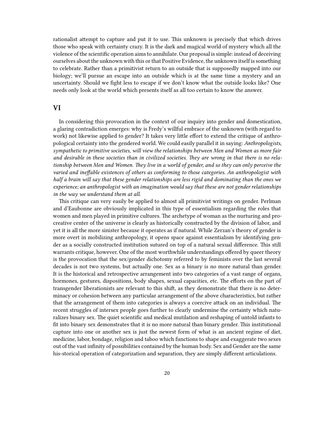rationalist attempt to capture and put it to use. This unknown is precisely that which drives those who speak with certainty crazy. It is the dark and magical world of mystery which all the violence of the scientific operation aims to annihilate. Our proposal is simple: instead of deceiving ourselves about the unknown with this or that Positive Evidence, the unknown itself is something to celebrate. Rather than a primitivist return to an outside that is supposedly mapped into our biology; we'll pursue an escape into an outside which is at the same time a mystery and an uncertainty. Should we fight less to escape if we don't know what the outside looks like? One needs only look at the world which presents itself as all too certain to know the answer.

#### <span id="page-19-0"></span>**VI**

In considering this provocation in the context of our inquiry into gender and domestication, a glaring contradiction emerges: why is Fredy's willful embrace of the unknown (with regard to work) not likewise applied to gender? It takes very little effort to extend the critique of anthropological certainty into the gendered world. We could easily parallel it in saying: *Anthropologists, sympathetic to primitive societies, will view the relationships between Men and Women as more fair and desirable in these societies than in civilized societies. They are wrong in that there is no relationship between Men and Women. They live in a world of gender, and so they can only perceive the varied and ineffable existences of others as conforming to those categories. An anthropologist with half a brain will say that these gender relationships are less rigid and dominating than the ones we experience; an anthropologist with an imagination would say that these are not gender relationships in the way we understand them at all.*

This critique can very easily be applied to almost all primitivist writings on gender. Perlman and d'Eaubonne are obviously implicated in this type of essentialism regarding the roles that women and men played in primitive cultures. The archetype of woman as the nurturing and procreative center of the universe is clearly as historically constructed by the division of labor, and yet it is all the more sinister because it operates as if natural. While Zerzan's theory of gender is more overt in mobilizing anthropology, it opens space against essentialism by identifying gender as a socially constructed institution sutured on top of a natural sexual difference. This still warrants critique, however. One of the most worthwhile understandings offered by queer theory is the provocation that the sex/gender dichotomy referred to by feminists over the last several decades is not two systems, but actually one. Sex as a binary is no more natural than gender. It is the historical and retrospective arrangement into two categories of a vast range of organs, hormones, gestures, dispositions, body shapes, sexual capacities, etc. The efforts on the part of transgender liberationists are relevant to this shift, as they demonstrate that there is no determinacy or cohesion between any particular arrangement of the above characteristics, but rather that the arrangement of them into categories is always a coercive attack on an individual. The recent struggles of intersex people goes further to clearly undermine the certainty which naturalizes binary sex. The quiet scientific and medical mutilation and reshaping of untold infants to fit into binary sex demonstrates that it is no more natural than binary gender. This institutional capture into one or another sex is just the newest form of what is an ancient regime of diet, medicine, labor, bondage, religion and taboo which functions to shape and exaggerate two sexes out of the vast infinity of possibilities contained by the human body. Sex and Gender are the same his-storical operation of categorization and separation, they are simply different articulations.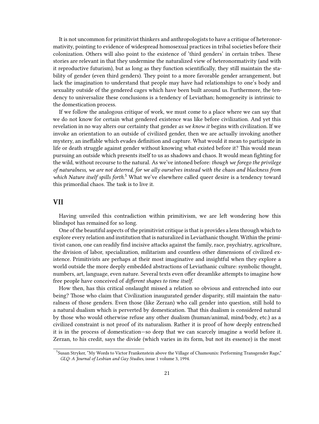It is not uncommon for primitivist thinkers and anthropologists to have a critique of heteronormativity, pointing to evidence of widespread homosexual practices in tribal societies before their colonization. Others will also point to the existence of 'third genders' in certain tribes. These stories are relevant in that they undermine the naturalized view of heteronormativity (and with it reproductive futurism), but as long as they function scientifically, they still maintain the stability of gender (even third genders). They point to a more favorable gender arrangement, but lack the imagination to understand that people may have had relationships to one's body and sexuality outside of the gendered cages which have been built around us. Furthermore, the tendency to universalize these conclusions is a tendency of Leviathan; homogeneity is intrinsic to the domestication process.

If we follow the analogous critique of work, we must come to a place where we can say that we do not know for certain what gendered existence was like before civilization. And yet this revelation in no way alters our certainty that gender *as we know it* begins with civilization. If we invoke an orientation to an outside of civilized gender, then we are actually invoking another mystery, an ineffable which evades definition and capture. What would it mean to participate in life or death struggle against gender without knowing what existed before it? This would mean pursuing an outside which presents itself to us as shadows and chaos. It would mean fighting for the wild, without recourse to the natural. As we've intoned before: *though we forego the privilege of naturalness, we are not deterred, for we ally ourselves instead with the chaos and blackness from which Nature itself spills forth.*<sup>5</sup> What we've elsewhere called queer desire is a tendency toward this primordial chaos. The task is to live it.

#### <span id="page-20-0"></span>**VII**

Having unveiled this contradiction within primitivism, we are left wondering how this blindspot has remained for so long.

One of the beautiful aspects of the primitivist critique is that is provides a lens through which to explore every relation and institution that is naturalized in Leviathanic thought. Within the primitivist canon, one can readily find incisive attacks against the family, race, psychiatry, agriculture, the division of labor, specialization, militarism and countless other dimensions of civilized existence. Primitivists are perhaps at their most imaginative and insightful when they explore a world outside the more deeply embedded abstractions of Leviathanic culture: symbolic thought, numbers, art, language, even nature. Several texts even offer dreamlike attempts to imagine how free people have conceived of *different shapes to time itself.*

How then, has this critical onslaught missed a relation so obvious and entrenched into our being? Those who claim that Civilization inaugurated gender disparity, still maintain the naturalness of those genders. Even those (like Zerzan) who call gender into question, still hold to a natural dualism which is perverted by domestication. That this dualism is considered natural by those who would otherwise refuse any other dualism (human/animal, mind/body, etc.) as a civilized constraint is not proof of its naturalism. Rather it is proof of how deeply entrenched it is in the process of domestication—so deep that we can scarcely imagine a world before it. Zerzan, to his credit, says the divide (which varies in its form, but not its essence) is the most

<sup>5</sup> Susan Stryker, "My Words to Victor Frankenstein above the Village of Chamounix: Performing Transgender Rage," *GLQ: A Journal of Lesbian and Gay Studies,* issue 1 volume 3, 1994.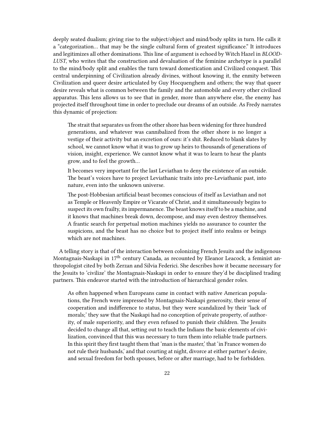deeply seated dualism; giving rise to the subject/object and mind/body splits in turn. He calls it a "categorization… that may be the single cultural form of greatest significance." It introduces and legitimizes all other dominations. This line of argument is echoed by Witch Hazel in *BLOOD-LUST*, who writes that the construction and devaluation of the feminine archetype is a parallel to the mind/body split and enables the turn toward domestication and Civilized conquest. This central underpinning of Civilization already divines, without knowing it, the enmity between Civilization and queer desire articulated by Guy Hocquenghem and others; the way that queer desire reveals what is common between the family and the automobile and every other civilized apparatus. This lens allows us to see that in gender, more than anywhere else, the enemy has projected itself throughout time in order to preclude our dreams of an outside. As Fredy narrates this dynamic of projection:

The strait that separates us from the other shore has been widening for three hundred generations, and whatever was cannibalized from the other shore is no longer a vestige of their activity but an excretion of ours: it's shit. Reduced to blank slates by school, we cannot know what it was to grow up heirs to thousands of generations of vision, insight, experience. We cannot know what it was to learn to hear the plants grow, and to feel the growth…

It becomes very important for the last Leviathan to deny the existence of an outside. The beast's voices have to project Leviathanic traits into pre-Leviathanic past, into nature, even into the unknown universe.

The post-Hobbesian artificial beast becomes conscious of itself as Leviathan and not as Temple or Heavenly Empire or Vicarate of Christ, and it simultaneously begins to suspect its own frailty, its impermanence. The beast knows itself to be a machine, and it knows that machines break down, decompose, and may even destroy themselves. A frantic search for perpetual motion machines yields no assurance to counter the suspicions, and the beast has no choice but to project itself into realms or beings which are not machines.

A telling story is that of the interaction between colonizing French Jesuits and the indigenous Montagnais-Naskapi in 17<sup>th</sup> century Canada, as recounted by Eleanor Leacock, a feminist anthropologist cited by both Zerzan and Silvia Federici. She describes how it became necessary for the Jesuits to 'civilize' the Montagnais-Naskapi in order to ensure they'd be disciplined trading partners. This endeavor started with the introduction of hierarchical gender roles.

As often happened when Europeans came in contact with native American populations, the French were impressed by Montagnais-Naskapi generosity, their sense of cooperation and indifference to status, but they were scandalized by their 'lack of morals;' they saw that the Naskapi had no conception of private property, of authority, of male superiority, and they even refused to punish their children. The Jesuits decided to change all that, setting out to teach the Indians the basic elements of civilization, convinced that this was necessary to turn them into reliable trade partners. In this spirit they first taught them that 'man is the master,' that 'in France women do not rule their husbands,' and that courting at night, divorce at either partner's desire, and sexual freedom for both spouses, before or after marriage, had to be forbidden.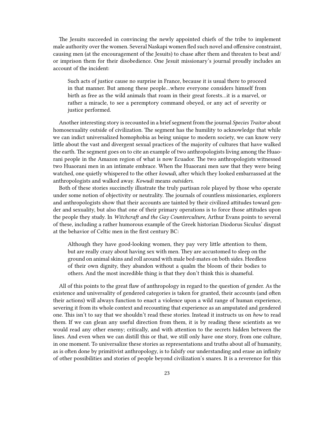The Jesuits succeeded in convincing the newly appointed chiefs of the tribe to implement male authority over the women. Several Naskapi women fled such novel and offensive constraint, causing men (at the encouragement of the Jesuits) to chase after them and threaten to beat and/ or imprison them for their disobedience. One Jesuit missionary's journal proudly includes an account of the incident:

Such acts of justice cause no surprise in France, because it is usual there to proceed in that manner. But among these people…where everyone considers himself from birth as free as the wild animals that roam in their great forests…it is a marvel, or rather a miracle, to see a peremptory command obeyed, or any act of severity or justice performed.

Another interesting story is recounted in a brief segment from the journal *Species Traitor* about homosexuality outside of civilization. The segment has the humility to acknowledge that while we can indict universalized homophobia as being unique to modern society, we can know very little about the vast and divergent sexual practices of the majority of cultures that have walked the earth. The segment goes on to cite an example of two anthropologists living among the Huaorani people in the Amazon region of what is now Ecuador. The two anthropologists witnessed two Huaorani men in an intimate embrace. When the Huaorani men saw that they were being watched, one quietly whispered to the other *kowudi*, after which they looked embarrassed at the anthropologists and walked away. *Kowudi* means *outsiders*.

Both of these stories succinctly illustrate the truly partisan role played by those who operate under some notion of objectivity or neutrality. The journals of countless missionaries, explorers and anthropologists show that their accounts are tainted by their civilized attitudes toward gender and sexuality, but also that one of their primary operations is to force those attitudes upon the people they study. In *Witchcraft and the Gay Counterculture,* Arthur Evans points to several of these, including a rather humorous example of the Greek historian Diodorus Siculus' disgust at the behavior of Celtic men in the first century BC:

Although they have good-looking women, they pay very little attention to them, but are really crazy about having sex with men. They are accustomed to sleep on the ground on animal skins and roll around with male bed-mates on both sides. Heedless of their own dignity, they abandon without a qualm the bloom of their bodies to others. And the most incredible thing is that they don't think this is shameful.

All of this points to the great flaw of anthropology in regard to the question of gender. As the existence and universality of gendered categories is taken for granted, their accounts (and often their actions) will always function to enact a violence upon a wild range of human experience, severing it from its whole context and recounting that experience as an amputated and gendered one. This isn't to say that we shouldn't read these stories. Instead it instructs us on *how* to read them. If we can glean any useful direction from them, it is by reading these scientists as we would read any other enemy; critically, and with attention to the secrets hidden between the lines. And even when we can distill this or that, we still only have one story, from one culture, in one moment. To universalize these stories as representations and truths about all of humanity, as is often done by primitivist anthropology, is to falsify our understanding and erase an infinity of other possibilities and stories of people beyond civilization's snares. It is a reverence for this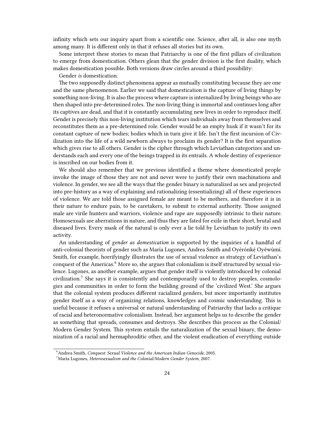infinity which sets our inquiry apart from a scientific one. Science, after all, is also one myth among many. It is different only in that it refuses all stories but its own.

Some interpret these stories to mean that Patriarchy is one of the first pillars of civilization to emerge from domestication. Others glean that the gender division is the first duality, which makes domestication possible. Both versions draw circles around a third possibility:

Gender *is* domestication.

The two supposedly distinct phenomena appear as mutually constituting because they are one and the same phenomenon. Earlier we said that domestication is the capture of living things by something non-living. It is also the process where capture is internalized by living beings who are then shaped into pre-determined roles. The non-living thing is immortal and continues long after its captives are dead, and that it is constantly accumulating new lives in order to reproduce itself. Gender is precisely this non-living institution which tears individuals away from themselves and reconstitutes them as a pre-determined role. Gender would be an empty husk if it wasn't for its constant capture of new bodies; bodies which in turn give it life. Isn't the first incursion of Civilization into the life of a wild newborn always to proclaim its gender? It is the first separation which gives rise to all others. Gender is the cipher through which Leviathan categorizes and understands each and every one of the beings trapped in its entrails. A whole destiny of experience is inscribed on our bodies from it.

We should also remember that we previous identified a theme where domesticated people invoke the image of those they are not and never were to justify their own machinations and violence. In gender, we see all the ways that the gender binary is naturalized as sex and projected into pre-history as a way of explaining and rationalizing (essentializing) all of these experiences of violence. We are told those assigned female are meant to be mothers, and therefore it is in their nature to endure pain, to be caretakers, to submit to external authority. Those assigned male are virile hunters and warriors, violence and rape are supposedly intrinsic to their nature. Homosexuals are aberrations in nature, and thus they are fated for exile in their short, brutal and diseased lives. Every mask of the natural is only ever a lie told by Leviathan to justify its own activity.

An understanding of *gender as domestication* is supported by the inquiries of a handful of anti-colonial theorists of gender such as María Lugones, Andrea Smith and Oyèrónké Oyěwùmí. Smith, for example, horrifyingly illustrates the use of sexual violence as strategy of Leviathan's conquest of the Americas.<sup>6</sup> More so, she argues that colonialism is itself structured by sexual violence. Lugones, as another example, argues that gender itself is violently introduced by colonial civilization.<sup>7</sup> She says it is consistently and contemporarily used to destroy peoples, cosmologies and communities in order to form the building ground of the 'civilized West.' She argues that the colonial system produces different racialized genders, but more importantly institutes gender itself as a way of organizing relations, knowledges and cosmic understanding. This is useful because it refuses a universal or natural understanding of Patriarchy that lacks a critique of racial and heteronormative colonialism. Instead, her argument helps us to describe the gender as something that spreads, consumes and destroys. She describes this process as the Colonial/ Modern Gender System. This system entails the naturalization of the sexual binary, the demonization of a racial and hermaphroditic other, and the violent eradication of everything outside

<sup>6</sup>Andrea Smith, *Conquest: Sexual Violence and the American Indian Genocide*, 2005.

<sup>7</sup>María Lugones, *Heterosexualism and the Colonial/Modern Gender System*, 2007.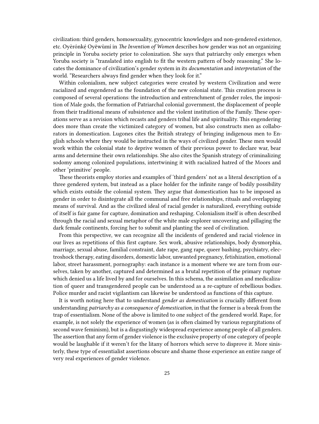civilization: third genders, homosexuality, gynocentric knowledges and non-gendered existence, etc. Oyèrónkẹ́Oyěwùmí in *The Invention of Women* describes how gender was not an organizing principle in Yoruba society prior to colonization. She says that patriarchy only emerges when Yoruba society is "translated into english to fit the western pattern of body reasoning." She locates the dominance of civilization's gender system in its *documentation* and *interpretation* of the world. "Researchers always find gender when they look for it."

Within colonialism, new subject categories were created by western Civilization and were racialized and engendered as the foundation of the new colonial state. This creation process is composed of several operations: the introduction and entrenchment of gender roles, the imposition of Male gods, the formation of Patriarchal colonial government, the displacement of people from their traditional means of subsistence and the violent institution of the Family. These operations serve as a revision which recasts and genders tribal life and spirituality. This engendering does more than create the victimized category of women, but also constructs men as collaborators in domestication. Lugones cites the British strategy of bringing indigenous men to English schools where they would be instructed in the ways of civilized gender. These men would work within the colonial state to deprive women of their previous power to declare war, bear arms and determine their own relationships. She also cites the Spanish strategy of criminalizing sodomy among colonized populations, intertwining it with racialized hatred of the Moors and other 'primitive' people.

These theorists employ stories and examples of 'third genders' not as a literal description of a three gendered system, but instead as a place holder for the infinite range of bodily possibility which exists outside the colonial system. They argue that domestication has to be imposed as gender in order to disintegrate all the communal and free relationships, rituals and overlapping means of survival. And as the civilized ideal of racial gender is naturalized, everything outside of itself is fair game for capture, domination and reshaping. Colonialism itself is often described through the racial and sexual metaphor of the white male explorer uncovering and pillaging the dark female continents, forcing her to submit and planting the seed of civilization.

From this perspective, we can recognize all the incidents of gendered and racial violence in our lives as repetitions of this first capture. Sex work, abusive relationships, body dysmorphia, marriage, sexual abuse, familial constraint, date rape, gang rape, queer bashing, psychiatry, electroshock therapy, eating disorders, domestic labor, unwanted pregnancy, fetishization, emotional labor, street harassment, pornography: each instance is a moment where we are torn from ourselves, taken by another, captured and determined as a brutal repetition of the primary rupture which denied us a life lived by and for ourselves. In this schema, the assimilation and medicalization of queer and transgendered people can be understood as a re-capture of rebellious bodies. Police murder and racist vigilantism can likewise be understood as functions of this capture.

It is worth noting here that to understand *gender as domestication* is crucially different from understanding *patriarchy as a consequence of domestication*, in that the former is a break from the trap of essentialism. None of the above is limited to one subject of the gendered world. Rape, for example, is not solely the experience of women (as is often claimed by various regurgitations of second wave feminism), but is a disgustingly widespread experience among people of all genders. The assertion that any form of gender violence is the exclusive property of one category of people would be laughable if it weren't for the litany of horrors which serve to disprove it. More sinisterly, these type of essentialist assertions obscure and shame those experience an entire range of very real experiences of gender violence.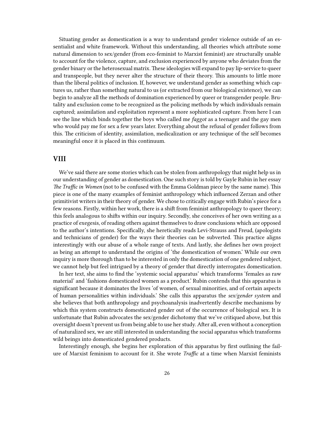Situating gender as domestication is a way to understand gender violence outside of an essentialist and white framework. Without this understanding, all theories which attribute some natural dimension to sex/gender (from eco-feminist to Marxist feminist) are structurally unable to account for the violence, capture, and exclusion experienced by anyone who deviates from the gender binary or the heterosexual matrix. These ideologies will expand to pay lip-service to queer and transpeople, but they never alter the structure of their theory. This amounts to little more than the liberal politics of inclusion. If, however, we understand gender as something which captures us, rather than something natural to us (or extracted from our biological existence), we can begin to analyze all the methods of domination experienced by queer or transgender people. Brutality and exclusion come to be recognized as the policing methods by which individuals remain captured; assimilation and exploitation represent a more sophisticated capture. From here I can see the line which binds together the boys who called me *faggot* as a teenager and the gay men who would pay me for sex a few years later. Everything about the refusal of gender follows from this. The criticism of identity, assimilation, medicalization or any technique of the self becomes meaningful once it is placed in this continuum.

#### <span id="page-25-0"></span>**VIII**

We've said there are some stories which can be stolen from anthropology that might help us in our understanding of gender as domestication. One such story is told by Gayle Rubin in her essay *The Traffic in Women* (not to be confused with the Emma Goldman piece by the same name). This piece is one of the many examples of feminist anthropology which influenced Zerzan and other primitivist writers in their theory of gender. We chose to critically engage with Rubin's piece for a few reasons. Firstly, within her work, there is a shift from feminist anthropology to queer theory; this feels analogous to shifts within our inquiry. Secondly, she conceives of her own writing as a practice of exegesis, of reading others against themselves to draw conclusions which are opposed to the author's intentions. Specifically, she heretically reads Levi-Strauss and Freud, (apologists and technicians of gender) for the ways their theories can be subverted. This practice aligns interestingly with our abuse of a whole range of texts. And lastly, she defines her own project as being an attempt to understand the origins of 'the domestication of women.' While our own inquiry is more thorough than to be interested in only the domestication of one gendered subject, we cannot help but feel intrigued by a theory of gender that directly interrogates domestication.

In her text, she aims to find the 'systemic social apparatus' which transforms 'females as raw material' and 'fashions domesticated women as a product.' Rubin contends that this apparatus is significant because it dominates the lives 'of women, of sexual minorities, and of certain aspects of human personalities within individuals.' She calls this apparatus the *sex/gender system* and she believes that both anthropology and psychoanalysis inadvertently describe mechanisms by which this system constructs domesticated gender out of the occurrence of biological sex. It is unfortunate that Rubin advocates the sex/gender dichotomy that we've critiqued above, but this oversight doesn't prevent us from being able to use her study. After all, even without a conception of naturalized sex, we are still interested in understanding the social apparatus which transforms wild beings into domesticated gendered products.

Interestingly enough, she begins her exploration of this apparatus by first outlining the failure of Marxist feminism to account for it. She wrote *Traffic* at a time when Marxist feminists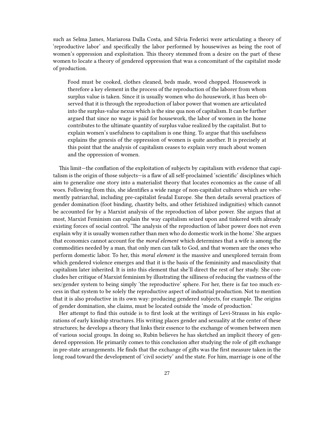such as Selma James, Mariarosa Dalla Costa, and Silvia Federici were articulating a theory of 'reproductive labor' and specifically the labor performed by housewives as being the root of women's oppression and exploitation. This theory stemmed from a desire on the part of these women to locate a theory of gendered oppression that was a concomitant of the capitalist mode of production.

Food must be cooked, clothes cleaned, beds made, wood chopped. Housework is therefore a key element in the process of the reproduction of the laborer from whom surplus value is taken. Since it is usually women who do housework, it has been observed that it is through the reproduction of labor power that women are articulated into the surplus-value nexus which is the sine qua non of capitalism. It can be further argued that since no wage is paid for housework, the labor of women in the home contributes to the ultimate quantity of surplus value realized by the capitalist. But to explain women's usefulness to capitalism is one thing. To argue that this usefulness explains the genesis of the oppression of women is quite another. It is precisely at this point that the analysis of capitalism ceases to explain very much about women and the oppression of women.

This limit—the conflation of the exploitation of subjects by capitalism with evidence that capitalism is the origin of those subjects—is a flaw of all self-proclaimed 'scientific' disciplines which aim to generalize one story into a materialist theory that locates economics as the cause of all woes. Following from this, she identifies a wide range of non-capitalist cultures which are vehemently patriarchal, including pre-capitalist feudal Europe. She then details several practices of gender domination (foot binding, chastity belts, and other fetishized indignities) which cannot be accounted for by a Marxist analysis of the reproduction of labor power. She argues that at most, Marxist Feminism can explain the way capitalism seized upon and tinkered with already existing forces of social control. 'The analysis of the reproduction of labor power does not even explain why it is usually women rather than men who do domestic work in the home.' She argues that economics cannot account for the *moral element* which determines that a wife is among the commodities needed by a man, that only men can talk to God, and that women are the ones who perform domestic labor. To her, this *moral element* is the massive and unexplored terrain from which gendered violence emerges and that it is the basis of the femininity and masculinity that capitalism later inherited. It is into this element that she'll direct the rest of her study. She concludes her critique of Marxist feminism by illustrating the silliness of reducing the vastness of the sex/gender system to being simply 'the reproductive' sphere. For her, there is far too much excess in that system to be solely the reproductive aspect of industrial production. Not to mention that it is also productive in its own way: producing gendered subjects, for example. The origins of gender domination, she claims, must be located outside the 'mode of production.'

Her attempt to find this outside is to first look at the writings of Levi-Strauss in his explorations of early kinship structures. His writing places gender and sexuality at the center of these structures; he develops a theory that links their essence to the exchange of women between men of various social groups. In doing so, Rubin believes he has sketched an implicit theory of gendered oppression. He primarily comes to this conclusion after studying the role of gift exchange in pre-state arrangements. He finds that the exchange of gifts was the first measure taken in the long road toward the development of 'civil society' and the state. For him, marriage is one of the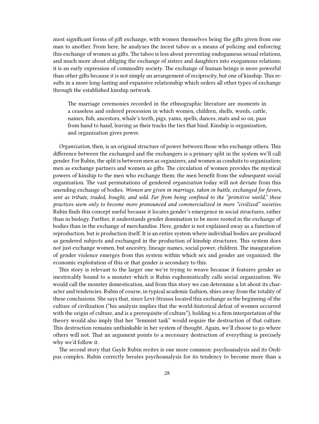most significant forms of gift exchange, with women themselves being the gifts given from one man to another. From here, he analyzes the incest taboo as a means of policing and enforcing this exchange of women as gifts. The taboo is less about preventing endogamous sexual relations, and much more about obliging the exchange of sisters and daughters into exogamous relations; it is an early expression of commodity society. The exchange of human beings is more powerful than other gifts because it is not simply an arrangement of reciprocity, but one of kinship. This results in a more long-lasting and expansive relationship which orders all other types of exchange through the established kinship network.

The marriage ceremonies recorded in the ethnographic literature are moments in a ceaseless and ordered procession in which women, children, shells, words, cattle, names, fish, ancestors, whale's teeth, pigs, yams, spells, dances, mats and so on, pass from hand to hand, leaving as their tracks the ties that bind. Kinship is organization, and organization gives power.

*Organization*, then, is an original structure of power between those who exchange others. This difference between the exchanged and the exchangers is a primary split in the system we'll call gender. For Rubin, the split is between men as organizers, and women as conduits to organization; men as exchange partners and women as gifts. The circulation of women provides the mystical powers of kinship to the men who exchange them; the men benefit from the subsequent social organization. The vast permutations of gendered *organization* today will not deviate from this unending exchange of bodies. *Women are given in marriage, taken in battle, exchanged for favors, sent as tribute, traded, bought, and sold. Far from being confined to the "primitive world," these practices seem only to become more pronounced and commercialized in more "civilized" societies.* Rubin finds this concept useful because it locates gender's emergence in social structures, rather than in biology. Further, it understands gender domination to be more rooted in the exchange of bodies than in the exchange of merchandise. Here, gender is not explained away as a function of reproduction, but is production itself. It is an entire system where individual bodies are produced as gendered subjects and exchanged in the production of kinship structures. This system does not just exchange women, but ancestry, lineage names, social power, children. The inauguration of gender violence emerges from this system within which sex and gender are organized; the economic exploitation of this or that gender is secondary to this.

This story is relevant to the larger one we're trying to weave because it features gender as inextricably bound to a monster which is Rubin euphemistically calls social organization. We would call the monster domestication, and from this story we can determine a lot about its character and tendencies. Rubin of course, in typical academic fashion, shies away from the totality of these conclusions. She says that, since Levi-Strauss located this exchange as the beginning of the culture of civilization ("his analysis implies that the world-historical defeat of women occurred with the origin of culture, and is a prerequisite of culture"), holding to a firm interpretation of the theory would also imply that her "feminist task" would require the destruction of that culture. This destruction remains unthinkable in her system of thought. Again, we'll choose to go where others will not. That an argument points to a necessary destruction of everything is precisely why we'd follow it.

The second story that Gayle Rubin recites is one more common: psychoanalysis and its Oedipus complex. Rubin correctly berates psychoanalysis for its tendency to become more than a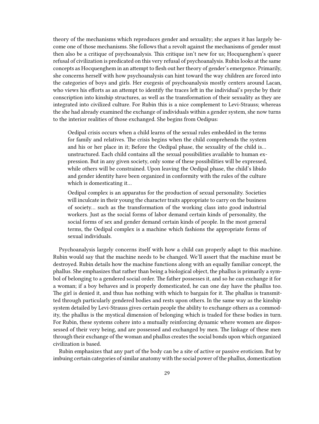theory of the mechanisms which reproduces gender and sexuality; she argues it has largely become one of those mechanisms. She follows that a revolt against the mechanisms of gender must then also be a critique of psychoanalysis. This critique isn't new for us; Hocquenghem's queer refusal of civilization is predicated on this very refusal of psychoanalysis. Rubin looks at the same concepts as Hocquenghem in an attempt to flesh out her theory of gender's emergence. Primarily, she concerns herself with how psychoanalysis can hint toward the way children are forced into the categories of boys and girls. Her exegesis of psychoanalysis mostly centers around Lacan, who views his efforts as an attempt to identify the traces left in the individual's psyche by their conscription into kinship structures, as well as the transformation of their sexuality as they are integrated into civilized culture. For Rubin this is a nice complement to Levi-Strauss; whereas the she had already examined the exchange of individuals within a gender system, she now turns to the interior realities of those exchanged. She begins from Oedipus:

Oedipal crisis occurs when a child learns of the sexual rules embedded in the terms for family and relatives. The crisis begins when the child comprehends the system and his or her place in it; Before the Oedipal phase, the sexuality of the child is… unstructured. Each child contains all the sexual possibilities available to human expression. But in any given society, only some of these possibilities will be expressed, while others will be constrained. Upon leaving the Oedipal phase, the child's libido and gender identity have been organized in conformity with the rules of the culture which is domesticating it…

Oedipal complex is an apparatus for the production of sexual personality. Societies will inculcate in their young the character traits appropriate to carry on the business of society… such as the transformation of the working class into good industrial workers. Just as the social forms of labor demand certain kinds of personality, the social forms of sex and gender demand certain kinds of people. In the most general terms, the Oedipal complex is a machine which fashions the appropriate forms of sexual individuals.

Psychoanalysis largely concerns itself with how a child can properly adapt to this machine. Rubin would say that the machine needs to be changed. We'll assert that the machine must be destroyed. Rubin details how the machine functions along with an equally familiar concept, the phallus. She emphasizes that rather than being a biological object, the phallus is primarily a symbol of belonging to a gendered social order. The father possesses it, and so he can exchange it for a woman; if a boy behaves and is properly domesticated, he can one day have the phallus too. The girl is denied it, and thus has nothing with which to bargain for it. The phallus is transmitted through particularly gendered bodies and rests upon others. In the same way as the kinship system detailed by Levi-Strauss gives certain people the ability to exchange others as a commodity, the phallus is the mystical dimension of belonging which is traded for these bodies in turn. For Rubin, these systems cohere into a mutually reinforcing dynamic where women are dispossessed of their very being, and are possessed and exchanged by men. The linkage of these men through their exchange of the woman and phallus creates the social bonds upon which organized civilization is based.

Rubin emphasizes that any part of the body can be a site of active or passive eroticism. But by imbuing certain categories of similar anatomy with the social power of the phallus, domestication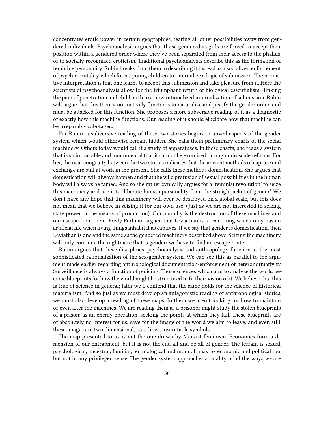concentrates erotic power in certain geographies, tearing all other possibilities away from gendered individuals. Psychoanalysis argues that those gendered as girls are forced to accept their position within a gendered order where they've been separated from their access to the phallus, or to socially recognized eroticism. Traditional psychoanalysts describe this as the formation of feminine personality. Rubin breaks from them in describing it instead as a socialized enforcement of psychic brutality which forces young children to internalize a logic of submission. The normative interpretation is that one learns to accept this submission and take pleasure from it. Here the scientists of psychoanalysis allow for the triumphant return of biological essentialism—linking the pain of penetration and child birth to a now rationalized internalization of submission. Rubin will argue that this theory normatively functions to naturalize and justify the gender order, and must be attacked for this function. She proposes a more subversive reading of it as a diagnostic of exactly how this machine functions. Our reading of it should elucidate how that machine can be irreparably sabotaged.

For Rubin, a subversive reading of these two stories begins to unveil aspects of the gender system which would otherwise remain hidden. She calls them preliminary charts of the social machinery. Others today would call it a study of apparatuses. In these charts, she reads a system that is so intractable and monumental that it cannot be exorcised through miniscule reforms. For her, the neat congruity between the two stories indicates that the ancient methods of capture and exchange are still at work in the present. She calls these methods domestication. She argues that domestication will always happen and that the wild profusion of sexual possibilities in the human body will always be tamed. And so she rather cynically argues for a 'feminist revolution' to seize this machinery and use it to 'liberate human personality from the straightjacket of gender.' We don't have any hope that this machinery will ever be destroyed on a global scale, but this does not mean that we believe in seizing it for our own use. (Just as we are not interested in seizing state power or the means of production). Our anarchy is the destruction of these machines and our escape from them. Fredy Perlman argued that Leviathan is a dead thing which only has an artificial life when living things inhabit it as captives. If we say that gender is domestication, then Leviathan is one and the same as the gendered machinery described above. Seizing the machinery will only continue the nightmare that is gender: we have to find an escape route.

Rubin argues that these disciplines, psychoanalysis and anthropology function as the most sophisticated rationalization of the sex/gender system. We can see this as parallel to the argument made earlier regarding anthropological documentation/enforcement of heteronormativity. Surveillance is always a function of policing. Those sciences which aim to analyze the world become blueprints for how the world might be structured to fit their vision of it. We believe that this is true of science in general; later we'll contend that the same holds for the science of historical materialism. And so just as we must develop an antagonistic reading of anthropological stories, we must also develop a reading of these maps. In them we aren't looking for how to maintain or even alter the machines. We are reading them as a prisoner might study the stolen blueprints of a prison; as an enemy operation, seeking the points at which they fail. These blueprints are of absolutely no interest for us, save for the image of the world we aim to leave; and even still, these images are two dimensional, bare lines, inscrutable symbols.

The map presented to us is not the one drawn by Marxist feminism. Economics form a dimension of our entrapment, but it is not the end all and be all of gender. The terrain is sexual, psychological, ancestral, familial, technological and moral. It may be economic and political too, but not in any privileged sense. The gender system approaches a totality of all the ways we are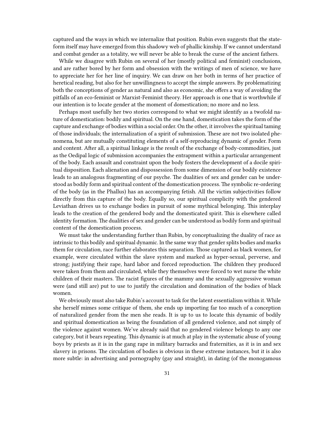captured and the ways in which we internalize that position. Rubin even suggests that the stateform itself may have emerged from this shadowy web of phallic kinship. If we cannot understand and combat gender as a totality, we will never be able to break the curse of the ancient fathers.

While we disagree with Rubin on several of her (mostly political and feminist) conclusions, and are rather bored by her form and obsession with the writings of men of science, we have to appreciate her for her line of inquiry. We can draw on her both in terms of her practice of heretical reading, but also for her unwillingness to accept the simple answers. By problematizing both the conceptions of gender as natural and also as economic, she offers a way of avoiding the pitfalls of an eco-feminist or Marxist-Feminist theory. Her approach is one that is worthwhile if our intention is to locate gender at the moment of domestication; no more and no less.

Perhaps most usefully her two stories correspond to what we might identify as a twofold nature of domestication: bodily and spiritual. On the one hand, domestication takes the form of the capture and exchange of bodies within a social order. On the other, it involves the spiritual taming of those individuals; the internalization of a spirit of submission. These are not two isolated phenomena, but are mutually constituting elements of a self-reproducing dynamic of gender. Form and content. After all, a spiritual linkage is the result of the exchange of body-commodities, just as the Oedipal logic of submission accompanies the entrapment within a particular arrangement of the body. Each assault and constraint upon the body fosters the development of a docile spiritual disposition. Each alienation and dispossession from some dimension of our bodily existence leads to an analogous fragmenting of our psyche. The dualities of sex and gender can be understood as bodily form and spiritual content of the domestication process. The symbolic re-ordering of the body (as in the Phallus) has an accompanying fetish. All the victim subjectivities follow directly from this capture of the body. Equally so, our spiritual complicity with the gendered Leviathan drives us to exchange bodies in pursuit of some mythical belonging. This interplay leads to the creation of the gendered body and the domesticated spirit. This is elsewhere called identity formation. The dualities of sex and gender can be understood as bodily form and spiritual content of the domestication process.

We must take the understanding further than Rubin, by conceptualizing the duality of race as intrinsic to this bodily and spiritual dynamic. In the same way that gender splits bodies and marks them for circulation, race further elaborates this separation. Those captured as black women, for example, were circulated within the slave system and marked as hyper-sexual, perverse, and strong; justifying their rape, hard labor and forced reproduction. The children they produced were taken from them and circulated, while they themselves were forced to wet nurse the white children of their masters. The racist figures of the mammy and the sexually aggressive woman were (and still are) put to use to justify the circulation and domination of the bodies of black women.

We obviously must also take Rubin's account to task for the latent essentialism within it. While she herself mimes some critique of them, she ends up importing far too much of a conception of naturalized gender from the men she reads. It is up to us to locate this dynamic of bodily and spiritual domestication as being the foundation of all gendered violence, and not simply of the violence against women. We've already said that no gendered violence belongs to any one category, but it bears repeating. This dynamic is at much at play in the systematic abuse of young boys by priests as it is in the gang rape in military barracks and fraternities, as it is in and sex slavery in prisons. The circulation of bodies is obvious in these extreme instances, but it is also more subtle: in advertising and pornography (gay and straight), in dating (of the monogamous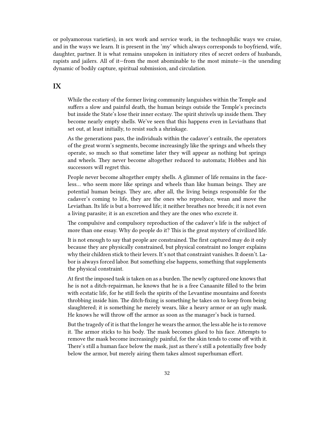or polyamorous varieties), in sex work and service work, in the technophilic ways we cruise, and in the ways we learn. It is present in the 'my' which always corresponds to boyfriend, wife, daughter, partner. It is what remains unspoken in initiatory rites of secret orders of husbands, rapists and jailers. All of it—from the most abominable to the most minute—is the unending dynamic of bodily capture, spiritual submission, and circulation.

## <span id="page-31-0"></span>**IX**

While the ecstasy of the former living community languishes within the Temple and suffers a slow and painful death, the human beings outside the Temple's precincts but inside the State's lose their inner ecstasy. The spirit shrivels up inside them. They become nearly empty shells. We've seen that this happens even in Leviathans that set out, at least initially, to resist such a shrinkage.

As the generations pass, the individuals within the cadaver's entrails, the operators of the great worm's segments, become increasingly like the springs and wheels they operate, so much so that sometime later they will appear as nothing but springs and wheels. They never become altogether reduced to automata; Hobbes and his successors will regret this.

People never become altogether empty shells. A glimmer of life remains in the faceless… who seem more like springs and wheels than like human beings. They are potential human beings. They are, after all, the living beings responsible for the cadaver's coming to life, they are the ones who reproduce, wean and move the Leviathan. Its life is but a borrowed life; it neither breathes nor breeds; it is not even a living parasite; it is an excretion and they are the ones who excrete it.

The compulsive and compulsory reproduction of the cadaver's life is the subject of more than one essay. Why do people do it? This is the great mystery of civilized life.

It is not enough to say that people are constrained. The first captured may do it only because they are physically constrained, but physical constraint no longer explains why their children stick to their levers. It's not that constraint vanishes. It doesn't. Labor is always forced labor. But something else happens, something that supplements the physical constraint.

At first the imposed task is taken on as a burden. The newly captured one knows that he is not a ditch-repairman, he knows that he is a free Canaanite filled to the brim with ecstatic life, for he still feels the spirits of the Levantine mountains and forests throbbing inside him. The ditch-fixing is something he takes on to keep from being slaughtered; it is something he merely wears, like a heavy armor or an ugly mask. He knows he will throw off the armor as soon as the manager's back is turned.

But the tragedy of it is that the longer he wears the armor, the less able he is to remove it. The armor sticks to his body. The mask becomes glued to his face. Attempts to remove the mask become increasingly painful, for the skin tends to come off with it. There's still a human face below the mask, just as there's still a potentially free body below the armor, but merely airing them takes almost superhuman effort.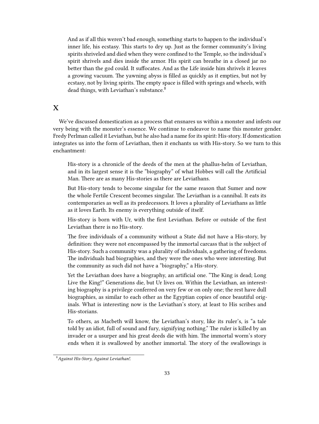And as if all this weren't bad enough, something starts to happen to the individual's inner life, his ecstasy. This starts to dry up. Just as the former community's living spirits shriveled and died when they were confined to the Temple, so the individual's spirit shrivels and dies inside the armor. His spirit can breathe in a closed jar no better than the god could. It suffocates. And as the Life inside him shrivels it leaves a growing vacuum. The yawning abyss is filled as quickly as it empties, but not by ecstasy, not by living spirits. The empty space is filled with springs and wheels, with dead things, with Leviathan's substance.<sup>8</sup>

## <span id="page-32-0"></span>**X**

We've discussed domestication as a process that ensnares us within a monster and infests our very being with the monster's essence. We continue to endeavor to name this monster gender. Fredy Perlman called it Leviathan, but he also had a name for its spirit: His-story. If domestication integrates us into the form of Leviathan, then it enchants us with His-story. So we turn to this enchantment:

His-story is a chronicle of the deeds of the men at the phallus-helm of Leviathan, and in its largest sense it is the "biography" of what Hobbes will call the Artificial Man. There are as many His-stories as there are Leviathans.

But His-story tends to become singular for the same reason that Sumer and now the whole Fertile Crescent becomes singular. The Leviathan is a cannibal. It eats its contemporaries as well as its predecessors. It loves a plurality of Leviathans as little as it loves Earth. Its enemy is everything outside of itself.

His-story is born with Ur, with the first Leviathan. Before or outside of the first Leviathan there is no His-story.

The free individuals of a community without a State did not have a His-story, by definition: they were not encompassed by the immortal carcass that is the subject of His-story. Such a community was a plurality of individuals, a gathering of freedoms. The individuals had biographies, and they were the ones who were interesting. But the community as such did not have a "biography," a His-story.

Yet the Leviathan does have a biography, an artificial one. "The King is dead; Long Live the King!" Generations die, but Ur lives on. Within the Leviathan, an interesting biography is a privilege conferred on very few or on only one; the rest have dull biographies, as similar to each other as the Egyptian copies of once beautiful originals. What is interesting now is the Leviathan's story, at least to His scribes and His-storians.

To others, as Macbeth will know, the Leviathan's story, like its ruler's, is "a tale told by an idiot, full of sound and fury, signifying nothing." The ruler is killed by an invader or a usurper and his great deeds die with him. The immortal worm's story ends when it is swallowed by another immortal. The story of the swallowings is

<sup>8</sup>*Against His-Story, Against Leviathan!*.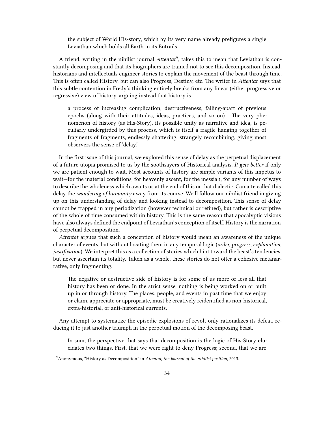the subject of World His-story, which by its very name already prefigures a single Leviathan which holds all Earth in its Entrails.

A friend, writing in the nihilist journal Attentat<sup>9</sup>, takes this to mean that Leviathan is constantly decomposing and that its biographers are trained not to see this decomposition. Instead, historians and intellectuals engineer stories to explain the movement of the beast through time. This is often called History, but can also Progress, Destiny, etc. The writer in *Attentat* says that this subtle contention in Fredy's thinking entirely breaks from any linear (either progressive or regressive) view of history, arguing instead that history is

a process of increasing complication, destructiveness, falling-apart of previous epochs (along with their attitudes, ideas, practices, and so on)… The very phenomenon of history (as His-Story), its possible unity as narrative and idea, is peculiarly undergirded by this process, which is itself a fragile hanging together of fragments of fragments, endlessly shattering, strangely recombining, giving most observers the sense of 'delay.'

In the first issue of this journal, we explored this sense of delay as the perpetual displacement of a future utopia promised to us by the soothsayers of Historical analysis. *It gets better* if only we are patient enough to wait. Most accounts of history are simple variants of this impetus to wait—for the material conditions, for heavenly ascent, for the messiah, for any number of ways to describe the wholeness which awaits us at the end of this or that dialectic. Camatte called this delay the *wandering of humanity* away from its course. We'll follow our nihilist friend in giving up on this understanding of delay and looking instead to decomposition. This sense of delay cannot be trapped in any periodization (however technical or refined), but rather is descriptive of the whole of time consumed within history. This is the same reason that apocalyptic visions have also always defined the endpoint of Leviathan's conception of itself. History is the narration of perpetual decomposition.

*Attentat* argues that such a conception of history would mean an awareness of the unique character of events, but without locating them in any temporal logic (*order, progress, explanation, justification*). We interpret this as a collection of stories which hint toward the beast's tendencies, but never ascertain its totality. Taken as a whole, these stories do not offer a cohesive metanarrative, only fragmenting.

The negative or destructive side of history is for some of us more or less all that history has been or done. In the strict sense, nothing is being worked on or built up in or through history. The places, people, and events in past time that we enjoy or claim, appreciate or appropriate, must be creatively reidentified as non-historical, extra-historial, or anti-historical currents.

Any attempt to systematize the episodic explosions of revolt only rationalizes its defeat, reducing it to just another triumph in the perpetual motion of the decomposing beast.

In sum, the perspective that says that decomposition is the logic of His-Story elucidates two things. First, that we were right to deny Progress; second, that we are

<sup>9</sup>Anonymous, "History as Decomposition" in *Attentat, the journal of the nihilist position*, 2013.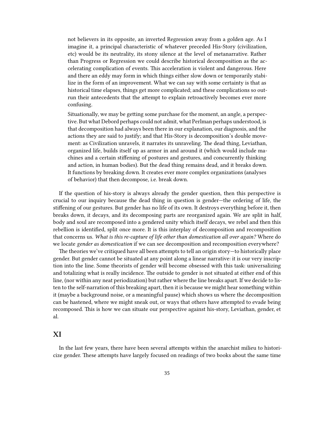not believers in its opposite, an inverted Regression away from a golden age. As I imagine it, a principal characteristic of whatever preceded His-Story (civilization, etc) would be its neutrality, its stony silence at the level of metanarrative. Rather than Progress or Regression we could describe historical decomposition as the accelerating complication of events. This acceleration is violent and dangerous. Here and there an eddy may form in which things either slow down or temporarily stabilize in the form of an improvement. What we can say with some certainty is that as historical time elapses, things get more complicated; and these complications so outrun their antecedents that the attempt to explain retroactively becomes ever more confusing.

Situationally, we may be getting some purchase for the moment, an angle, a perspective. But what Debord perhaps could not admit, what Perlman perhaps understood, is that decomposition had always been there in our explanation, our diagnosis, and the actions they are said to justify; and that His-Story is decomposition's double movement: as Civilization unravels, it narrates its unraveling. The dead thing, Leviathan, organized life, builds itself up as armor in and around it (which would include machines and a certain stiffening of postures and gestures, and concurrently thinking and action, in human bodies). But the dead thing remains dead, and it breaks down. It functions by breaking down. It creates ever more complex organizations (analyses of behavior) that then decompose, i.e. break down.

If the question of his-story is always already the gender question, then this perspective is crucial to our inquiry because the dead thing in question is gender—the ordering of life, the stiffening of our gestures. But gender has no life of its own. It destroys everything before it, then breaks down, it decays, and its decomposing parts are reorganized again. We are split in half, body and soul are recomposed into a gendered unity which itself decays, we rebel and then this rebellion is identified, split once more. It is this interplay of decomposition and recomposition that concerns us. *What is this re-capture of life other than domestication all over again?* Where do we locate *gender as domestication* if we can see decomposition and recomposition everywhere?

The theories we've critiqued have all been attempts to tell an origin story—to historically place gender. But gender cannot be situated at any point along a linear narrative: it is our very inscription into the line. Some theorists of gender will become obsessed with this task: universalizing and totalizing what is really incidence. The outside to gender is not situated at either end of this line, (nor within any neat periodization) but rather where the line breaks apart. If we decide to listen to the self-narration of this breaking apart, then it is because we might hear something within it (maybe a background noise, or a meaningful pause) which shows us where the decomposition can be hastened, where we might sneak out, or ways that others have attempted to evade being recomposed. This is how we can situate our perspective against his-story, Leviathan, gender, et al.

#### <span id="page-34-0"></span>**XI**

In the last few years, there have been several attempts within the anarchist milieu to historicize gender. These attempts have largely focused on readings of two books about the same time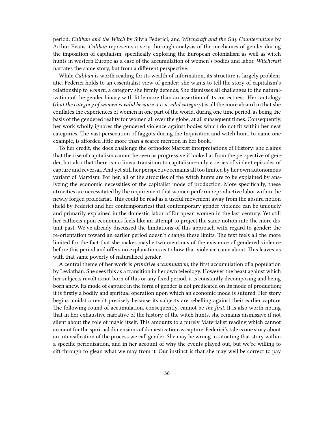period: *Caliban and the Witch* by Silvia Federici, and *Witchcraft and the Gay Counterculture* by Arthur Evans. *Caliban* represents a very thorough analysis of the mechanics of gender during the imposition of capitalism, specifically exploring the European colonialism as well as witch hunts in western Europe as a case of the accumulation of women's bodies and labor. *Witchcraft* narrates the same story, but from a different perspective.

While *Caliban* is worth reading for its wealth of information, its structure is largely problematic. Federici holds to an essentialist view of gender; she wants to tell the story of capitalism's relationship to *women*, a category she firmly defends. She dismisses all challenges to the naturalization of the gender binary with little more than an assertion of its correctness. Her tautology (*that the category of women is valid because it is a valid category*) is all the more absurd in that she conflates the experiences of women in one part of the world, during one time period, as being the basis of the gendered reality for women all over the globe, at all subsequent times. Consequently, her work wholly ignores the gendered violence against bodies which do not fit within her neat categories. The vast persecution of faggots during the Inquisition and witch hunt, to name one example, is afforded little more than a scarce mention in her book.

To her credit, she does challenge the orthodox Marxist interpretations of History: she claims that the rise of capitalism cannot be seen as progressive if looked at from the perspective of gender, but also that there is no linear transition to capitalism—only a series of violent episodes of capture and reversal. And yet still her perspective remains all too limited by her own autonomous variant of Marxism. For her, all of the atrocities of the witch hunts are to be explained by analyzing the economic necessities of the capitalist mode of production. More specifically, these atrocities are necessitated by the requirement that women perform reproductive labor within the newly forged proletariat. This could be read as a useful movement away from the absurd notion (held by Federici and her contemporaries) that contemporary gender violence can be uniquely and primarily explained in the domestic labor of European women in the last century. Yet still her cathexis upon economics feels like an attempt to project the same notion into the more distant past. We've already discussed the limitations of this approach with regard to gender; the re-orientation toward an earlier period doesn't change these limits. The text feels all the more limited for the fact that she makes maybe two mentions of the existence of gendered violence before this period and offers no explanations as to how that violence came about. This leaves us with that same poverty of naturalized gender.

A central theme of her work is *primitive accumulation*; the first accumulation of a population by Leviathan. She sees this as a transition in her own teleology. However the beast against which her subjects revolt is not born of this or any fixed period, it is constantly decomposing and being born anew. Its mode of capture in the form of gender is not predicated on its mode of production; it is firstly a bodily and spiritual operation upon which an economic mode is sutured. Her story begins amidst a revolt precisely because its subjects are rebelling against their earlier capture. The following round of accumulation, consequently, cannot be *the first*. It is also worth noting that in her exhaustive narrative of the history of the witch hunts, she remains dismissive if not silent about the role of magic itself. This amounts to a purely Materialist reading which cannot account for the spiritual dimensions of domestication as capture. Federici's tale is one story about an intensification of the process we call gender. She may be wrong in situating that story within a specific periodization, and in her account of why the events played out, but we're willing to sift through to glean what we may from it. Our instinct is that she may well be correct to pay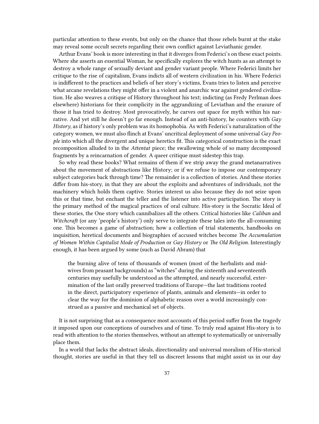particular attention to these events, but only on the chance that those rebels burnt at the stake may reveal some occult secrets regarding their own conflict against Leviathanic gender.

Arthur Evans' book is more interesting in that it diverges from Federici's on these exact points. Where she asserts an essential Woman, he specifically explores the witch hunts as an attempt to destroy a whole range of sexually deviant and gender variant people. Where Federici limits her critique to the rise of capitalism, Evans indicts all of western civilization in his. Where Federici is indifferent to the practices and beliefs of her story's victims, Evans tries to listen and perceive what arcane revelations they might offer in a violent and anarchic war against gendered civilization. He also weaves a critique of History throughout his text; indicting (as Fredy Perlman does elsewhere) historians for their complicity in the aggrandizing of Leviathan and the erasure of those it has tried to destroy. Most provocatively, he carves out space for myth within his narrative. And yet still he doesn't go far enough. Instead of an anti-history, he counters with *Gay History*, as if history's only problem was its homophobia. As with Federici's naturalization of the category women, we must also flinch at Evans' uncritical deployment of some universal *Gay People* into which all the divergent and unique heretics fit. This categorical construction is the exact recomposition alluded to in the *Attentat* piece; the swallowing whole of so many decomposed fragments by a reincarnation of gender. A queer critique must sidestep this trap.

So why read these books? What remains of them if we strip away the grand metanarratives about the movement of abstractions like History; or if we refuse to impose our contemporary subject categories back through time? The remainder is a collection of stories. And these stories differ from his-story, in that they are about the exploits and adventures of individuals, not the machinery which holds them captive. Stories interest us also because they do not seize upon this or that time, but enchant the teller and the listener into active participation. The story is the primary method of the magical practices of oral culture. His-story is the Socratic Ideal of these stories, the One story which cannibalizes all the others. Critical histories like *Caliban* and *Witchcraft* (or any 'people's history') only serve to integrate these tales into the all-consuming one. This becomes a game of abstraction; how a collection of trial statements, handbooks on inquisition, heretical documents and biographies of accused witches become *The Accumulation of Women Within Capitalist Mode of Production* or *Gay History* or *The Old Religion*. Interestingly enough, it has been argued by some (such as David Abram) that

the burning alive of tens of thousands of women (most of the herbalists and midwives from peasant backgrounds) as "witches" during the sixteenth and seventeenth centuries may usefully be understood as the attempted, and nearly successful, extermination of the last orally preserved traditions of Europe—the last traditions rooted in the direct, participatory experience of plants, animals and elements—in order to clear the way for the dominion of alphabetic reason over a world increasingly construed as a passive and mechanical set of objects.

It is not surprising that as a consequence most accounts of this period suffer from the tragedy it imposed upon our conceptions of ourselves and of time. To truly read against His-story is to read with attention to the stories themselves, without an attempt to systematically or universally place them.

In a world that lacks the abstract ideals, directionality and universal moralism of His-storical thought, stories are useful in that they tell us discreet lessons that might assist us in our day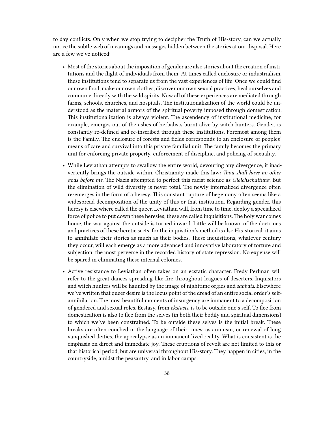to day conflicts. Only when we stop trying to decipher the Truth of His-story, can we actually notice the subtle web of meanings and messages hidden between the stories at our disposal. Here are a few we've noticed:

- Most of the stories about the imposition of gender are also stories about the creation of institutions and the flight of individuals from them. At times called enclosure or industrialism, these institutions tend to separate us from the vast experiences of life. Once we could find our own food, make our own clothes, discover our own sexual practices, heal ourselves and commune directly with the wild spirits. Now all of these experiences are mediated through farms, schools, churches, and hospitals. The institutionalization of the world could be understood as the material armors of the spiritual poverty imposed through domestication. This institutionalization is always violent. The ascendency of institutional medicine, for example, emerges out of the ashes of herbalists burnt alive by witch hunters. Gender, is constantly re-defined and re-inscribed through these institutions. Foremost among them is the Family. The enclosure of forests and fields corresponds to an enclosure of peoples' means of care and survival into this private familial unit. The family becomes the primary unit for enforcing private property, enforcement of discipline, and policing of sexuality.
- While Leviathan attempts to swallow the entire world, devouring any divergence, it inadvertently brings the outside within. Christianity made this law: *Thou shall have no other gods before me*. The Nazis attempted to perfect this racist science as *Gleichschaltung.* But the elimination of wild diversity is never total. The newly internalized divergence often re-emerges in the form of a heresy. This constant rupture of hegemony often seems like a widespread decomposition of the unity of this or that institution. Regarding gender, this heresy is elsewhere called the queer. Leviathan will, from time to time, deploy a specialized force of police to put down these heresies; these are called inquisitions. The holy war comes home, the war against the outside is turned inward. Little will be known of the doctrines and practices of these heretic sects, for the inquisition's method is also His-storical: it aims to annihilate their stories as much as their bodies. These inquisitions, whatever century they occur, will each emerge as a more advanced and innovative laboratory of torture and subjection; the most perverse in the recorded history of state repression. No expense will be spared in eliminating these internal colonies.
- Active resistance to Leviathan often takes on an ecstatic character. Fredy Perlman will refer to the great dances spreading like fire throughout leagues of deserters. Inquisitors and witch hunters will be haunted by the image of nighttime orgies and *sabbats*. Elsewhere we've written that queer desire is the locus point of the dread of an entire social order's selfannihilation. The most beautiful moments of insurgency are immanent to a decomposition of gendered and sexual roles. Ecstasy, from *ekstasis*, is to be outside one's self. To flee from domestication is also to flee from the selves (in both their bodily and spiritual dimensions) to which we've been constrained. To be outside these selves is the initial break. These breaks are often couched in the language of their times: as animism, or renewal of long vanquished deities, the apocalypse as an immanent lived reality. What is consistent is the emphasis on direct and immediate joy. These eruptions of revolt are not limited to this or that historical period, but are universal throughout His-story. They happen in cities, in the countryside, amidst the peasantry, and in labor camps.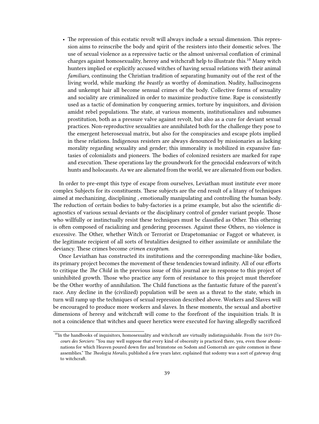• The repression of this ecstatic revolt will always include a sexual dimension. This repression aims to reinscribe the body and spirit of the resisters into their domestic selves. The use of sexual violence as a repressive tactic or the almost universal conflation of criminal charges against homosexuality, heresy and witchcraft help to illustrate this.<sup>10</sup> Many witch hunters implied or explicitly accused witches of having sexual relations with their animal *familiars*, continuing the Christian tradition of separating humanity out of the rest of the living world, while marking *the beastly* as worthy of domination. Nudity, hallucinogens and unkempt hair all become sensual crimes of the body. Collective forms of sexuality and sociality are criminalized in order to maximize productive time. Rape is consistently used as a tactic of domination by conquering armies, torture by inquisitors, and division amidst rebel populations. The state, at various moments, institutionalizes and subsumes prostitution, both as a pressure valve against revolt, but also as a cure for deviant sexual practices. Non-reproductive sexualities are annihilated both for the challenge they pose to the emergent heterosexual matrix, but also for the conspiracies and escape plots implied in these relations. Indigenous resisters are always denounced by missionaries as lacking morality regarding sexuality and gender; this immorality is mobilized in expansive fantasies of colonialists and pioneers. The bodies of colonized resisters are marked for rape and execution. These operations lay the groundwork for the genocidal endeavors of witch hunts and holocausts. As we are alienated from the world, we are alienated from our bodies.

In order to pre-empt this type of escape from ourselves, Leviathan must institute ever more complex Subjects for its constituents. These subjects are the end result of a litany of techniques aimed at mechanizing, disciplining , emotionally manipulating and controlling the human body. The reduction of certain bodies to baby-factories is a prime example, but also the scientific diagnostics of various sexual deviants or the disciplinary control of gender variant people. Those who willfully or instinctually resist these techniques must be classified as Other. This othering is often composed of racializing and gendering processes. Against these Others, no violence is excessive. The Other, whether Witch or Terrorist or Drapetomaniac or Faggot or whatever, is the legitimate recipient of all sorts of brutalities designed to either assimilate or annihilate the deviancy. These crimes become *crimen exceptum*.

Once Leviathan has constructed its institutions and the corresponding machine-like bodies, its primary project becomes the movement of these tendencies toward infinity. All of our efforts to critique the *The Child* in the previous issue of this journal are in response to this project of uninhibited growth. Those who practice any form of resistance to this project must therefore be the Other worthy of annihilation. The Child functions as the fantastic future of the parent's race. Any decline in the (civilized) population will be seen as a threat to the state, which in turn will ramp up the techniques of sexual repression described above. Workers and Slaves will be encouraged to produce more workers and slaves. In these moments, the sexual and abortive dimensions of heresy and witchcraft will come to the forefront of the inquisition trials. It is not a coincidence that witches and queer heretics were executed for having allegedly sacrificed

<sup>&</sup>lt;sup>10</sup>In the handbooks of inquisitors, homosexuality and witchcraft are virtually indistinguishable. From the 1619 Dis*cours des Sorciers*: "You may well suppose that every kind of obscenity is practiced there, yea, even those abominations for which Heaven poured down fire and brimstone on Sodom and Gomorrah are quite common in these assemblies." The *Theologia Moralis*, published a few years later, explained that sodomy was a sort of gateway drug to witchcraft.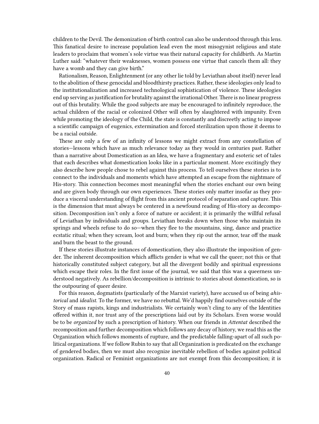children to the Devil. The demonization of birth control can also be understood through this lens. This fanatical desire to increase population lead even the most misogynist religious and state leaders to proclaim that women's sole virtue was their natural capacity for childbirth. As Martin Luther said: "whatever their weaknesses, women possess one virtue that cancels them all: they have a womb and they can give birth."

Rationalism, Reason, Enlightenment (or any other lie told by Leviathan about itself) never lead to the abolition of these genocidal and bloodthirsty practices. Rather, these ideologies only lead to the institutionalization and increased technological sophistication of violence. These ideologies end up serving as justification for brutality against the irrational Other. There is no linear progress out of this brutality. While the good subjects are may be encouraged to infinitely reproduce, the actual children of the racial or colonized Other will often by slaughtered with impunity. Even while promoting the ideology of the Child, the state is constantly and discreetly acting to impose a scientific campaign of eugenics, extermination and forced sterilization upon those it deems to be a racial outside.

These are only a few of an infinity of lessons we might extract from any constellation of stories—lessons which have as much relevance today as they would in centuries past. Rather than a narrative about Domestication as an Idea, we have a fragmentary and esoteric set of tales that each describes what domestication looks like in a particular moment. More excitingly they also describe how people chose to rebel against this process. To tell ourselves these stories is to connect to the individuals and moments which have attempted an escape from the nightmare of His-story. This connection becomes most meaningful when the stories enchant our own being and are given body through our own experiences. These stories only matter insofar as they produce a visceral understanding of flight from this ancient protocol of separation and capture. This is the dimension that must always be centered in a newfound reading of His-story as decomposition. Decomposition isn't only a force of nature or accident; it is primarily the willful refusal of Leviathan by individuals and groups. Leviathan breaks down when those who maintain its springs and wheels refuse to do so—when they flee to the mountains, sing, dance and practice ecstatic ritual; when they scream, loot and burn; when they rip out the armor, tear off the mask and burn the beast to the ground.

If these stories illustrate instances of domestication, they also illustrate the imposition of gender. The inherent decomposition which afflicts gender is what we call the queer; not this or that historically constituted subject category, but all the divergent bodily and spiritual expressions which escape their roles. In the first issue of the journal, we said that this was a queerness understood negatively. As rebellion/decomposition is intrinsic to stories about domestication, so is the outpouring of queer desire.

For this reason, dogmatists (particularly of the Marxist variety), have accused us of being *ahistorical* and *idealist*. To the former, we have no rebuttal. We'd happily find ourselves outside of the Story of mass rapists, kings and industrialists. We certainly won't cling to any of the Identities offered within it, nor trust any of the prescriptions laid out by its Scholars. Even worse would be to be *organized* by such a prescription of history. When our friends in *Attentat* described the recomposition and further decomposition which follows any decay of history, we read this as the Organization which follows moments of rupture, and the predictable falling-apart of all such political organizations. If we follow Rubin to say that all Organization is predicated on the exchange of gendered bodies, then we must also recognize inevitable rebellion of bodies against political organization. Radical or Feminist organizations are not exempt from this decomposition; it is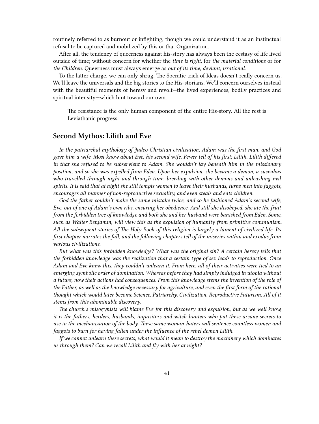routinely referred to as burnout or infighting, though we could understand it as an instinctual refusal to be captured and mobilized by this or that Organization.

After all, the tendency of queerness against his-story has always been the ecstasy of life lived outside of time; without concern for whether the *time is right*, for *the material conditions* or for *the Children*. Queerness must always emerge as *out of its time, deviant, irrational.*

To the latter charge, we can only shrug. The Socratic trick of Ideas doesn't really concern us. We'll leave the universals and the big stories to the His-storians. We'll concern ourselves instead with the beautiful moments of heresy and revolt—the lived experiences, bodily practices and spiritual intensity—which hint toward our own.

The resistance is the only human component of the entire His-story. All the rest is Leviathanic progress.

#### <span id="page-40-0"></span>**Second Mythos: Lilith and Eve**

*In the patriarchal mythology of Judeo-Christian civilization, Adam was the first man, and God gave him a wife. Most know about Eve, his second wife. Fewer tell of his first; Lilith. Lilith differed in that she refused to be subservient to Adam. She wouldn't lay beneath him in the missionary position, and so she was expelled from Eden. Upon her expulsion, she became a demon, a succubus who travelled through night and through time, breeding with other demons and unleashing evil spirits. It is said that at night she still tempts women to leave their husbands, turns men into faggots, encourages all manner of non-reproductive sexuality, and even steals and eats children.*

*God the father couldn't make the same mistake twice, and so he fashioned Adam's second wife, Eve, out of one of Adam's own ribs, ensuring her obedience. And still she disobeyed, she ate the fruit from the forbidden tree of knowledge and both she and her husband were banished from Eden. Some, such as Walter Benjamin, will view this as the expulsion of humanity from primitive communism. All the subsequent stories of The Holy Book of this religion is largely a lament of civilized life. Its first chapter narrates the fall, and the following chapters tell of the miseries within and exodus from various civilizations.*

*But what was this forbidden knowledge? What was the original sin? A certain heresy tells that the forbidden knowledge was the realization that a certain type of sex leads to reproduction. Once Adam and Eve knew this, they couldn't unlearn it. From here, all of their activities were tied to an emerging symbolic order of domination. Whereas before they had simply indulged in utopia without a future, now their actions had consequences. From this knowledge stems the invention of the role of the Father, as well as the knowledge necessary for agriculture, and even the first form of the rational thought which would later become Science. Patriarchy, Civilization, Reproductive Futurism. All of it stems from this abominable discovery.*

*The church's misogynists will blame Eve for this discovery and expulsion, but as we well know, it is the fathers, herders, husbands, inquisitors and witch hunters who put these arcane secrets to use in the mechanization of the body. These same woman-haters will sentence countless women and faggots to burn for having fallen under the influence of the rebel demon Lilith.*

*If we cannot unlearn these secrets, what would it mean to destroy the machinery which dominates us through them? Can we recall Lilith and fly with her at night?*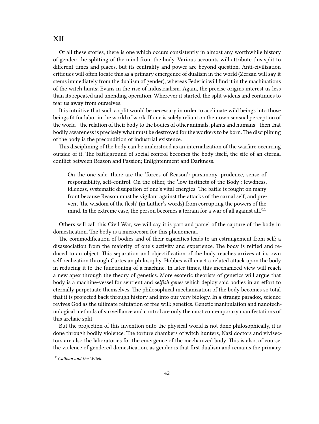## <span id="page-41-0"></span>**XII**

Of all these stories, there is one which occurs consistently in almost any worthwhile history of gender: the splitting of the mind from the body. Various accounts will attribute this split to different times and places, but its centrality and power are beyond question. Anti-civilization critiques will often locate this as a primary emergence of dualism in the world (Zerzan will say it stems immediately from the dualism of gender), whereas Federici will find it in the machinations of the witch hunts; Evans in the rise of industrialism. Again, the precise origins interest us less than its repeated and unending operation. Wherever it started, the split widens and continues to tear us away from ourselves.

It is intuitive that such a split would be necessary in order to acclimate wild beings into those beings fit for labor in the world of work. If one is solely reliant on their own sensual perception of the world—the relation of their body to the bodies of other animals, plants and humans—then that bodily awareness is precisely what must be destroyed for the workers to be born. The disciplining of the body is the precondition of industrial existence.

This disciplining of the body can be understood as an internalization of the warfare occurring outside of it. The battleground of social control becomes the body itself, the site of an eternal conflict between Reason and Passion; Enlightenment and Darkness.

On the one side, there are the 'forces of Reason': parsimony, prudence, sense of responsibility, self-control. On the other, the 'low instincts of the Body': lewdness, idleness, systematic dissipation of one's vital energies. The battle is fought on many front because Reason must be vigilant against the attacks of the carnal self, and prevent 'the wisdom of the flesh' (in Luther's words) from corrupting the powers of the mind. In the extreme case, the person becomes a terrain for a war of all against all.<sup>'11</sup>

Others will call this Civil War, we will say it is part and parcel of the capture of the body in domestication. The body is a microcosm for this phenomena.

The commodification of bodies and of their capacities leads to an estrangement from self; a disassociation from the majority of one's activity and experience. The body is reified and reduced to an object. This separation and objectification of the body reaches arrives at its own self-realization through Cartesian philosophy. Hobbes will enact a related attack upon the body in reducing it to the functioning of a machine. In later times, this mechanized view will reach a new apex through the theory of genetics. More esoteric theorists of genetics will argue that body is a machine-vessel for sentient and *selfish genes* which deploy said bodies in an effort to eternally perpetuate themselves. The philosophical mechanization of the body becomes so total that it is projected back through history and into our very biology. In a strange paradox, science revives God as the ultimate refutation of free will: genetics. Genetic manipulation and nanotechnological methods of surveillance and control are only the most contemporary manifestations of this archaic split.

But the projection of this invention onto the physical world is not done philosophically, it is done through bodily violence. The torture chambers of witch hunters, Nazi doctors and vivisectors are also the laboratories for the emergence of the mechanized body. This is also, of course, the violence of gendered domestication, as gender is that first dualism and remains the primary

<sup>11</sup>*Caliban and the Witch*.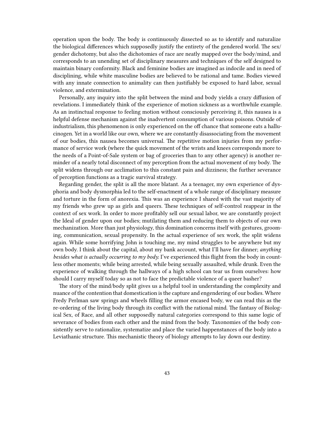operation upon the body. The body is continuously dissected so as to identify and naturalize the biological differences which supposedly justify the entirety of the gendered world. The sex/ gender dichotomy, but also the dichotomies of race are neatly mapped over the body/mind, and corresponds to an unending set of disciplinary measures and techniques of the self designed to maintain binary conformity. Black and feminine bodies are imagined as indocile and in need of disciplining, while white masculine bodies are believed to be rational and tame. Bodies viewed with any innate connection to animality can then justifiably be exposed to hard labor, sexual violence, and extermination.

Personally, any inquiry into the split between the mind and body yields a crazy diffusion of revelations. I immediately think of the experience of motion sickness as a worthwhile example. As an instinctual response to feeling motion without consciously perceiving it, this nausea is a helpful defense mechanism against the inadvertent consumption of various poisons. Outside of industrialism, this phenomenon is only experienced on the off chance that someone eats a hallucinogen. Yet in a world like our own, where we are constantly disassociating from the movement of our bodies, this nausea becomes universal. The repetitive motion injuries from my performance of service work (where the quick movement of the wrists and knees corresponds more to the needs of a Point-of-Sale system or bag of groceries than to any other agency) is another reminder of a nearly total disconnect of my perception from the actual movement of my body. The split widens through our acclimation to this constant pain and dizziness; the further severance of perception functions as a tragic survival strategy.

Regarding gender, the split is all the more blatant. As a teenager, my own experience of dysphoria and body dysmorphia led to the self-enactment of a whole range of disciplinary measure and torture in the form of anorexia. This was an experience I shared with the vast majority of my friends who grew up as girls and queers. These techniques of self-control reappear in the context of sex work. In order to more profitably sell our sexual labor, we are constantly project the Ideal of gender upon our bodies; mutilating them and reducing them to objects of our own mechanization. More than just physiology, this domination concerns itself with gestures, grooming, communication, sexual propensity. In the actual experience of sex work, the split widens again. While some horrifying John is touching me, my mind struggles to be anywhere but my own body. I think about the capital, about my bank account, what I'll have for dinner; *anything besides what is actually occurring to my body.* I've experienced this flight from the body in countless other moments; while being arrested, while being sexually assaulted, while drunk. Even the experience of walking through the hallways of a high school can tear us from ourselves: how should I carry myself today so as not to face the predictable violence of a queer basher?

The story of the mind/body split gives us a helpful tool in understanding the complexity and nuance of the contention that domestication is the capture and engendering of our bodies. Where Fredy Perlman saw springs and wheels filling the armor encased body, we can read this as the re-ordering of the living body through its conflict with the rational mind. The fantasy of Biological Sex, of Race, and all other supposedly natural categories correspond to this same logic of severance of bodies from each other and the mind from the body. Taxonomies of the body consistently serve to rationalize, systematize and place the varied happenstances of the body into a Leviathanic structure. This mechanistic theory of biology attempts to lay down our destiny.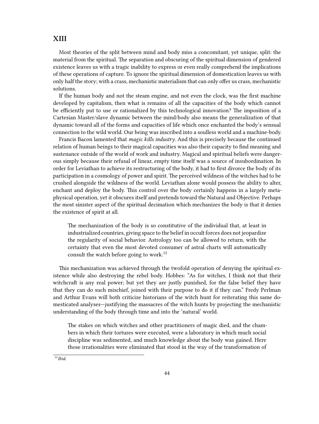## <span id="page-43-0"></span>**XIII**

Most theories of the split between mind and body miss a concomitant, yet unique, split: the material from the spiritual. The separation and obscuring of the spiritual dimension of gendered existence leaves us with a tragic inability to express or even really comprehend the implications of these operations of capture. To ignore the spiritual dimension of domestication leaves us with only half the story; with a crass, mechanistic materialism that can only offer us crass, mechanistic solutions.

If the human body and not the steam engine, and not even the clock, was the first machine developed by capitalism, then what is remains of all the capacities of the body which cannot be efficiently put to use or rationalized by this technological innovation? The imposition of a Cartesian Master/slave dynamic between the mind/body also means the generalization of that dynamic toward all of the forms and capacities of life which once enchanted the body's sensual connection to the wild world. Our being was inscribed into a soulless world and a machine-body.

Francis Bacon lamented that *magic kills industry*. And this is precisely because the continued relation of human beings to their magical capacities was also their capacity to find meaning and sustenance outside of the world of work and industry. Magical and spiritual beliefs were dangerous simply because their refusal of linear, empty time itself was a source of insubordination. In order for Leviathan to achieve its restructuring of the body, it had to first divorce the body of its participation in a cosmology of power and spirit. The perceived wildness of the witches had to be crushed alongside the wildness of the world. Leviathan alone would possess the ability to alter, enchant and deploy the body. This control over the body certainly happens in a largely metaphysical operation, yet it obscures itself and pretends toward the Natural and Objective. Perhaps the most sinister aspect of the spiritual decimation which mechanizes the body is that it denies the existence of spirit at all.

The mechanization of the body is so constitutive of the individual that, at least in industrialized countries, giving space to the belief in occult forces does not jeopardize the regularity of social behavior. Astrology too can be allowed to return, with the certainty that even the most devoted consumer of astral charts will automatically consult the watch before going to work.<sup>12</sup>

This mechanization was achieved through the twofold operation of denying the spiritual existence while also destroying the rebel body. Hobbes: "As for witches, I think not that their witchcraft is any real power; but yet they are justly punished, for the false belief they have that they can do such mischief, joined with their purpose to do it if they can." Fredy Perlman and Arthur Evans will both criticize historians of the witch hunt for reiterating this same domesticated analyses—justifying the massacres of the witch hunts by projecting the mechanistic understanding of the body through time and into the 'natural' world.

The stakes on which witches and other practitioners of magic died, and the chambers in which their tortures were executed, were a laboratory in which much social discipline was sedimented, and much knowledge about the body was gained. Here those irrationalities were eliminated that stood in the way of the transformation of

 $\overline{\phantom{a}^{12}}$ *Ibid.*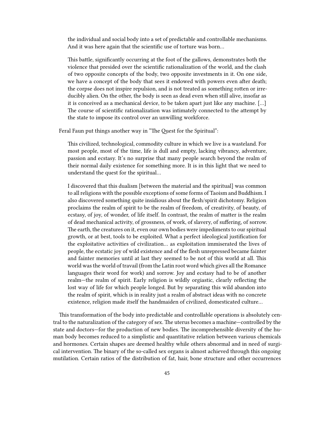the individual and social body into a set of predictable and controllable mechanisms. And it was here again that the scientific use of torture was born…

This battle, significantly occurring at the foot of the gallows, demonstrates both the violence that presided over the scientific rationalization of the world, and the clash of two opposite concepts of the body, two opposite investments in it. On one side, we have a concept of the body that sees it endowed with powers even after death; the corpse does not inspire repulsion, and is not treated as something rotten or irreducibly alien. On the other, the body is seen as dead even when still alive, insofar as it is conceived as a mechanical device, to be taken apart just like any machine. […] The course of scientific rationalization was intimately connected to the attempt by the state to impose its control over an unwilling workforce.

Feral Faun put things another way in "The Quest for the Spiritual":

This civilized, technological, commodity culture in which we live is a wasteland. For most people, most of the time, life is dull and empty, lacking vibrancy, adventure, passion and ecstasy. It's no surprise that many people search beyond the realm of their normal daily existence for something more. It is in this light that we need to understand the quest for the spiritual…

I discovered that this dualism [between the material and the spiritual] was common to all religions with the possible exceptions of some forms of Taoism and Buddhism. I also discovered something quite insidious about the flesh/spirit dichotomy. Religion proclaims the realm of spirit to be the realm of freedom, of creativity, of beauty, of ecstasy, of joy, of wonder, of life itself. In contrast, the realm of matter is the realm of dead mechanical activity, of grossness, of work, of slavery, of suffering, of sorrow. The earth, the creatures on it, even our own bodies were impediments to our spiritual growth, or at best, tools to be exploited. What a perfect ideological justification for the exploitative activities of civilization… as exploitation immiserated the lives of people, the ecstatic joy of wild existence and of the flesh unrepressed became fainter and fainter memories until at last they seemed to be not of this world at all. This world was the world of travail (from the Latin root word which gives all the Romance languages their word for work) and sorrow. Joy and ecstasy had to be of another realm—the realm of spirit. Early religion is wildly orgiastic, clearly reflecting the lost way of life for which people longed. But by separating this wild abandon into the realm of spirit, which is in reality just a realm of abstract ideas with no concrete existence, religion made itself the handmaiden of civilized, domesticated culture…

This transformation of the body into predictable and controllable operations is absolutely central to the naturalization of the category of sex. The uterus becomes a machine—controlled by the state and doctors—for the production of new bodies. The incomprehensible diversity of the human body becomes reduced to a simplistic and quantitative relation between various chemicals and hormones. Certain shapes are deemed healthy while others abnormal and in need of surgical intervention. The binary of the so-called sex organs is almost achieved through this ongoing mutilation. Certain ratios of the distribution of fat, hair, bone structure and other occurrences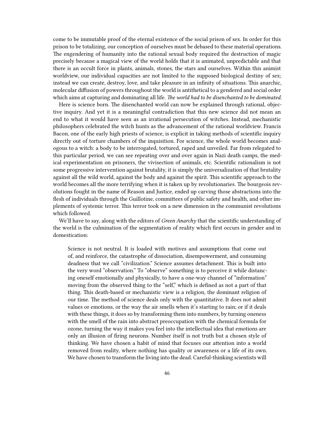come to be immutable proof of the eternal existence of the social prison of sex. In order for this prison to be totalizing, our conception of ourselves must be debased to these material operations. The engendering of humanity into the rational sexual body required the destruction of magic precisely because a magical view of the world holds that it is animated, unpredictable and that there is an occult force in plants, animals, stones, the stars and ourselves. Within this animist worldview, our individual capacities are not limited to the supposed biological destiny of sex; instead we can create, destroy, love, and take pleasure in an infinity of situations. This anarchic, molecular diffusion of powers throughout the world is antithetical to a gendered and social order which aims at capturing and dominating all life. *The world had to be disenchanted to be dominated.*

Here is science born. The disenchanted world can now be explained through rational, objective inquiry. And yet it is a meaningful contradiction that this new science did not mean an end to what it would have seen as an irrational persecution of witches. Instead, mechanistic philosophers celebrated the witch hunts as the advancement of the rational worldview. Francis Bacon, one of the early high priests of science, is explicit in taking methods of scientific inquiry directly out of torture chambers of the inquisition. For science, the whole world becomes analogous to a witch: a body to be interrogated, tortured, raped and unveiled. Far from relegated to this particular period, we can see repeating over and over again in Nazi death camps, the medical experimentation on prisoners, the vivisection of animals, etc. Scientific rationalism is not some progressive intervention against brutality, it is simply the universalization of that brutality against all the wild world, against the body and against the spirit. This scientific approach to the world becomes all the more terrifying when it is taken up by revolutionaries. The bourgeois revolutions fought in the name of Reason and Justice, ended up carving those abstractions into the flesh of individuals through the Guillotine, committees of public safety and health, and other implements of systemic terror. This terror took on a new dimension in the communist revolutions which followed.

We'll have to say, along with the editors of *Green Anarchy* that the scientific understanding of the world is the culmination of the segmentation of reality which first occurs in gender and in domestication:

Science is not neutral. It is loaded with motives and assumptions that come out of, and reinforce, the catastrophe of dissociation, disempowerment, and consuming deadness that we call "civilization." Science assumes detachment. This is built into the very word "observation." To "observe" something is to perceive it while distancing oneself emotionally and physically, to have a one-way channel of "information" moving from the observed thing to the "self," which is defined as not a part of that thing. This death-based or mechanistic view is a religion, the dominant religion of our time. The method of science deals only with the quantitative. It does not admit values or emotions, or the way the air smells when it's starting to rain; or if it deals with these things, it does so by transforming them into numbers, by turning oneness with the smell of the rain into abstract preoccupation with the chemical formula for ozone, turning the way it makes you feel into the intellectual idea that emotions are only an illusion of firing neurons. Number itself is not truth but a chosen style of thinking. We have chosen a habit of mind that focuses our attention into a world removed from reality, where nothing has quality or awareness or a life of its own. We have chosen to transform the living into the dead. Careful-thinking scientists will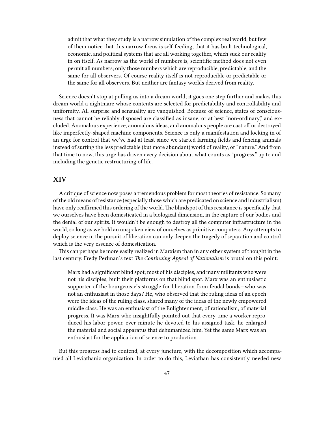admit that what they study is a narrow simulation of the complex real world, but few of them notice that this narrow focus is self-feeding, that it has built technological, economic, and political systems that are all working together, which suck our reality in on itself. As narrow as the world of numbers is, scientific method does not even permit all numbers; only those numbers which are reproducible, predictable, and the same for all observers. Of course reality itself is not reproducible or predictable or the same for all observers. But neither are fantasy worlds derived from reality.

Science doesn't stop at pulling us into a dream world; it goes one step further and makes this dream world a nightmare whose contents are selected for predictability and controllability and uniformity. All surprise and sensuality are vanquished. Because of science, states of consciousness that cannot be reliably disposed are classified as insane, or at best "non-ordinary," and excluded. Anomalous experience, anomalous ideas, and anomalous people are cast off or destroyed like imperfectly-shaped machine components. Science is only a manifestation and locking in of an urge for control that we've had at least since we started farming fields and fencing animals instead of surfing the less predictable (but more abundant) world of reality, or "nature." And from that time to now, this urge has driven every decision about what counts as "progress," up to and including the genetic restructuring of life.

### <span id="page-46-0"></span>**XIV**

A critique of science now poses a tremendous problem for most theories of resistance. So many of the old means of resistance (especially those which are predicated on science and industrialism) have only reaffirmed this ordering of the world. The blindspot of this resistance is specifically that we ourselves have been domesticated in a biological dimension, in the capture of our bodies and the denial of our spirits. It wouldn't be enough to destroy all the computer infrastructure in the world, so long as we hold an unspoken view of ourselves as primitive computers. Any attempts to deploy science in the pursuit of liberation can only deepen the tragedy of separation and control which is the very essence of domestication.

This can perhaps be more easily realized in Marxism than in any other system of thought in the last century. Fredy Perlman's text *The Continuing Appeal of Nationalism* is brutal on this point:

Marx had a significant blind spot; most of his disciples, and many militants who were not his disciples, built their platforms on that blind spot. Marx was an enthusiastic supporter of the bourgeoisie's struggle for liberation from feudal bonds—who was not an enthusiast in those days? He, who observed that the ruling ideas of an epoch were the ideas of the ruling class, shared many of the ideas of the newly empowered middle class. He was an enthusiast of the Enlightenment, of rationalism, of material progress. It was Marx who insightfully pointed out that every time a worker reproduced his labor power, ever minute he devoted to his assigned task, he enlarged the material and social apparatus that dehumanized him. Yet the same Marx was an enthusiast for the application of science to production.

But this progress had to contend, at every juncture, with the decomposition which accompanied all Leviathanic organization. In order to do this, Leviathan has consistently needed new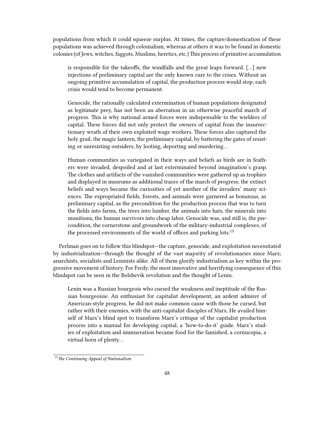populations from which it could squeeze surplus. At times, the capture/domestication of these populations was achieved through colonialism, whereas at others it was to be found in domestic colonies (of Jews, witches, faggots, Muslims, heretics, etc.) This process of primitive accumulation

is responsible for the takeoffs, the windfalls and the great leaps forward. […] new injections of preliminary capital are the only known cure to the crises. Without an ongoing primitive accumulation of capital, the production process would stop; each crisis would tend to become permanent.

Genocide, the rationally calculated extermination of human populations designated as legitimate prey, has not been an aberration in an otherwise peaceful march of progress. This is why national armed forces were indispensable to the wielders of capital. These forces did not only protect the owners of capital from the insurrectionary wrath of their own exploited wage workers. These forces also captured the holy grail, the magic lantern, the preliminary capital, by battering the gates of resisting or unresisting outsiders, by looting, deporting and murdering…

Human communities as variegated in their ways and beliefs as birds are in feathers were invaded, despoiled and at last exterminated beyond imagination's grasp. The clothes and artifacts of the vanished communities were gathered up as trophies and displayed in museums as additional traces of the march of progress; the extinct beliefs and ways became the curiosities of yet another of the invaders' many sciences. The expropriated fields, forests, and animals were garnered as bonanzas, as preliminary capital, as the precondition for the production process that was to turn the fields into farms, the trees into lumber, the animals into hats, the minerals into munitions, the human survivors into cheap labor. Genocide was, and still is, the precondition, the cornerstone and groundwork of the military-industrial complexes, of the processed environments of the world of offices and parking lots.<sup>13</sup>

Perlman goes on to follow this blindspot—the capture, genocide, and exploitation necessitated by industrialization—through the thought of the vast majority of revolutionaries since Marx; anarchists, socialists and Leninists alike. All of them glorify industrialism as key within the progressive movement of history. For Fredy, the most innovative and horrifying consequence of this blindspot can be seen in the Bolshevik revolution and the thought of Lenin.

Lenin was a Russian bourgeois who cursed the weakness and ineptitude of the Russian bourgeoisie. An enthusiast for capitalist development, an ardent admirer of American-style progress, he did not make common cause with those he cursed, but rather with their enemies, with the anti-capitalist disciples of Marx. He availed himself of Marx's blind spot to transform Marx's critique of the capitalist production process into a manual for developing capital, a 'how-to-do-it' guide. Marx's studies of exploitation and immiseration became food for the famished, a cornucopia, a virtual horn of plenty…

<sup>13</sup>*The Continuing Appeal of Nationalism*.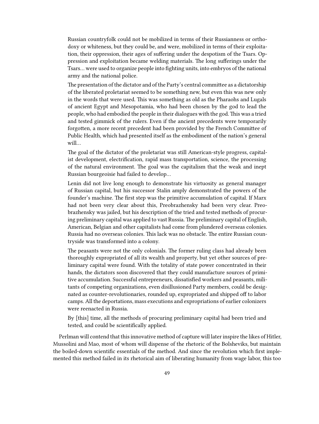Russian countryfolk could not be mobilized in terms of their Russianness or orthodoxy or whiteness, but they could be, and were, mobilized in terms of their exploitation, their oppression, their ages of suffering under the despotism of the Tsars. Oppression and exploitation became welding materials. The long sufferings under the Tsars… were used to organize people into fighting units, into embryos of the national army and the national police.

The presentation of the dictator and of the Party's central committee as a dictatorship of the liberated proletariat seemed to be something new, but even this was new only in the words that were used. This was something as old as the Pharaohs and Lugals of ancient Egypt and Mesopotamia, who had been chosen by the god to lead the people, who had embodied the people in their dialogues with the god.This was a tried and tested gimmick of the rulers. Even if the ancient precedents were temporarily forgotten, a more recent precedent had been provided by the French Committee of Public Health, which had presented itself as the embodiment of the nation's general will…

The goal of the dictator of the proletariat was still American-style progress, capitalist development, electrification, rapid mass transportation, science, the processing of the natural environment. The goal was the capitalism that the weak and inept Russian bourgeoisie had failed to develop…

Lenin did not live long enough to demonstrate his virtuosity as general manager of Russian capital, but his successor Stalin amply demonstrated the powers of the founder's machine. The first step was the primitive accumulation of capital. If Marx had not been very clear about this, Preobrazhensky had been very clear. Preobrazhensky was jailed, but his description of the tried and tested methods of procuring preliminary capital was applied to vast Russia. The preliminary capital of English, American, Belgian and other capitalists had come from plundered overseas colonies. Russia had no overseas colonies. This lack was no obstacle. The entire Russian countryside was transformed into a colony.

The peasants were not the only colonials. The former ruling class had already been thoroughly expropriated of all its wealth and property, but yet other sources of preliminary capital were found. With the totality of state power concentrated in their hands, the dictators soon discovered that they could manufacture sources of primitive accumulation. Successful entrepreneurs, dissatisfied workers and peasants, militants of competing organizations, even disillusioned Party members, could be designated as counter-revolutionaries, rounded up, expropriated and shipped off to labor camps. All the deportations, mass executions and expropriations of earlier colonizers were reenacted in Russia.

By [this] time, all the methods of procuring preliminary capital had been tried and tested, and could be scientifically applied.

Perlman will contend that this innovative method of capture will later inspire the likes of Hitler, Mussolini and Mao, most of whom will dispense of the rhetoric of the Bolsheviks, but maintain the boiled-down scientific essentials of the method. And since the revolution which first implemented this method failed in its rhetorical aim of liberating humanity from wage labor, this too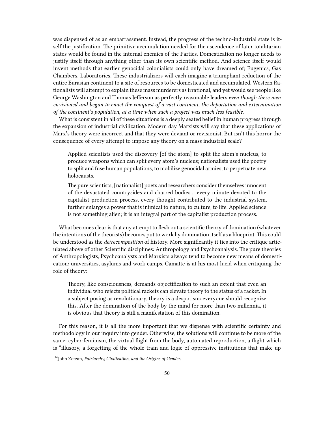was dispensed of as an embarrassment. Instead, the progress of the techno-industrial state is itself the justification. The primitive accumulation needed for the ascendence of later totalitarian states would be found in the internal enemies of the Parties. Domestication no longer needs to justify itself through anything other than its own scientific method. And science itself would invent methods that earlier genocidal colonialists could only have dreamed of; Eugenics, Gas Chambers, Laboratories. These industrializers will each imagine a triumphant reduction of the entire Eurasian continent to a site of resources to be domesticated and accumulated. Western Rationalists will attempt to explain these mass murderers as irrational, and yet would see people like George Washington and Thomas Jefferson as perfectly reasonable leaders,*even though these men envisioned and began to enact the conquest of a vast continent, the deportation and extermination of the continent's population, at a time when such a project was much less feasible.*

What is consistent in all of these situations is a deeply seated belief in human progress through the expansion of industrial civilization. Modern day Marxists will say that these applications of Marx's theory were incorrect and that they were deviant or revisionist. But isn't this horror the consequence of every attempt to impose any theory on a mass industrial scale?

Applied scientists used the discovery [of the atom] to split the atom's nucleus, to produce weapons which can split every atom's nucleus; nationalists used the poetry to split and fuse human populations, to mobilize genocidal armies, to perpetuate new holocausts.

The pure scientists, [nationalist] poets and researchers consider themselves innocent of the devastated countrysides and charred bodies… every minute devoted to the capitalist production process, every thought contributed to the industrial system, further enlarges a power that is inimical to nature, to culture, to life. Applied science is not something alien; it is an integral part of the capitalist production process.

What becomes clear is that any attempt to flesh out a scientific theory of domination (whatever the intentions of the theorists) becomes put to work by domination itself as a blueprint. This could be understood as the *de/recomposition* of history. More significantly it ties into the critique articulated above of other Scientific disciplines: Anthropology and Psychoanalysis. The pure theories of Anthropologists, Psychoanalysts and Marxists always tend to become new means of domestication: universities, asylums and work camps. Camatte is at his most lucid when critiquing the role of theory:

Theory, like consciousness, demands objectification to such an extent that even an individual who rejects political rackets can elevate theory to the status of a racket. In a subject posing as revolutionary, theory is a despotism: everyone should recognize this. After the domination of the body by the mind for more than two millennia, it is obvious that theory is still a manifestation of this domination.

For this reason, it is all the more important that we dispense with scientific certainty and methodology in our inquiry into gender. Otherwise, the solutions will continue to be more of the same: cyber-feminism, the virtual flight from the body, automated reproduction, a flight which is "illusory, a forgetting of the whole train and logic of oppressive institutions that make up

<sup>14</sup>John Zerzan, *Patriarchy, Civilization, and the Origins of Gender*.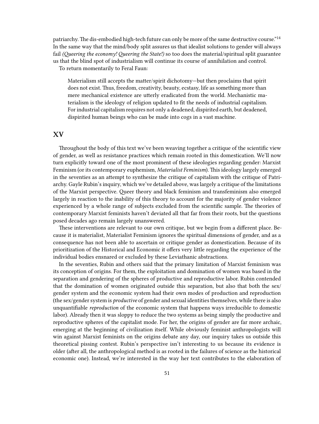patriarchy. The dis-embodied high-tech future can only be more of the same destructive course."<sup>14</sup> In the same way that the mind/body split assures us that idealist solutions to gender will always fail *(Queering the economy! Queering the State!)* so too does the material/spiritual split guarantee us that the blind spot of industrialism will continue its course of annihilation and control.

To return momentarily to Feral Faun:

Materialism still accepts the matter/spirit dichotomy—but then proclaims that spirit does not exist. Thus, freedom, creativity, beauty, ecstasy, life as something more than mere mechanical existence are utterly eradicated from the world. Mechanistic materialism is the ideology of religion updated to fit the needs of industrial capitalism. For industrial capitalism requires not only a deadened, dispirited earth, but deadened, dispirited human beings who can be made into cogs in a vast machine.

#### <span id="page-50-0"></span>**XV**

Throughout the body of this text we've been weaving together a critique of the scientific view of gender, as well as resistance practices which remain rooted in this domestication. We'll now turn explicitly toward one of the most prominent of these ideologies regarding gender: Marxist Feminism (or its contemporary euphemism, *Materialist Feminism*). This ideology largely emerged in the seventies as an attempt to synthesize the critique of capitalism with the critique of Patriarchy. Gayle Rubin's inquiry, which we've detailed above, was largely a critique of the limitations of the Marxist perspective. Queer theory and black feminism and transfeminism also emerged largely in reaction to the inability of this theory to account for the majority of gender violence experienced by a whole range of subjects excluded from the scientific sample. The theories of contemporary Marxist feminists haven't deviated all that far from their roots, but the questions posed decades ago remain largely unanswered.

These interventions are relevant to our own critique, but we begin from a different place. Because it is materialist, Materialist Feminism ignores the spiritual dimensions of gender, and as a consequence has not been able to ascertain or critique gender as domestication. Because of its prioritization of the Historical and Economic it offers very little regarding the experience of the individual bodies ensnared or excluded by these Leviathanic abstractions.

In the seventies, Rubin and others said that the primary limitation of Marxist feminism was its conception of origins. For them, the exploitation and domination of women was based in the separation and gendering of the spheres of productive and reproductive labor. Rubin contended that the domination of women originated outside this separation, but also that both the sex/ gender system and the economic system had their own modes of production and reproduction (the sex/gender system is *productive* of gender and sexual identities themselves, while there is also unquantifiable *reproduction* of the economic system that happens ways irreducible to domestic labor). Already then it was sloppy to reduce the two systems as being simply the productive and reproductive spheres of the capitalist mode. For her, the origins of gender are far more archaic, emerging at the beginning of civilization itself. While obviously feminist anthropologists will win against Marxist feminists on the origins debate any day, our inquiry takes us outside this theoretical pissing contest. Rubin's perspective isn't interesting to us because its evidence is older (after all, the anthropological method is as rooted in the failures of science as the historical economic one). Instead, we're interested in the way her text contributes to the elaboration of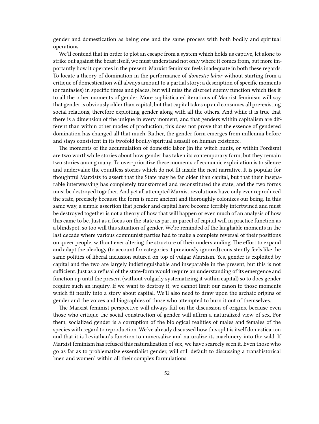gender and domestication as being one and the same process with both bodily and spiritual operations.

We'll contend that in order to plot an escape from a system which holds us captive, let alone to strike out against the beast itself, we must understand not only where it comes from, but more importantly how it operates in the present. Marxist feminism feels inadequate in both these regards. To locate a theory of domination in the performance of *domestic labor* without starting from a critique of domestication will always amount to a partial story; a description of specific moments (or fantasies) in specific times and places, but will miss the discreet enemy function which ties it to all the other moments of gender. More sophisticated iterations of Marxist feminism will say that gender is obviously older than capital, but that capital takes up and consumes all pre-existing social relations, therefore exploiting gender along with all the others. And while it is true that there is a dimension of the unique in every moment, and that genders within capitalism are different than within other modes of production; this does not prove that the essence of gendered domination has changed all that much. Rather, the gender-form emerges from millennia before and stays consistent in its twofold bodily/spiritual assault on human existence.

The moments of the accumulation of domestic labor (in the witch hunts, or within Fordism) are two worthwhile stories about how gender has taken its contemporary form, but they remain two stories among many. To over-prioritize these moments of economic exploitation is to silence and undervalue the countless stories which do not fit inside the neat narrative. It is popular for thoughtful Marxists to assert that the State may be far older than capital, but that their inseparable interweaving has completely transformed and reconstituted the state; and the two forms must be destroyed together. And yet all attempted Marxist revolutions have only ever reproduced the state, precisely because the form is more ancient and thoroughly colonizes our being. In this same way, a simple assertion that gender and capital have become terribly intertwined and must be destroyed together is not a theory of how that will happen or even much of an analysis of how this came to be. Just as a focus on the state as part in parcel of capital will in practice function as a blindspot, so too will this situation of gender. We're reminded of the laughable moments in the last decade where various communist parties had to make a complete reversal of their positions on queer people, without ever altering the structure of their understanding. The effort to expand and adapt the ideology (to account for categories it previously ignored) consistently feels like the same politics of liberal inclusion sutured on top of vulgar Marxism. Yes, gender is exploited by capital and the two are largely indistinguishable and inseparable in the present, but this is not sufficient. Just as a refusal of the state-form would require an understanding of its emergence and function up until the present (without vulgarly systematizing it within capital) so to does gender require such an inquiry. If we want to destroy it, we cannot limit our canon to those moments which fit neatly into a story about capital. We'll also need to draw upon the archaic origins of gender and the voices and biographies of those who attempted to burn it out of themselves.

The Marxist feminist perspective will always fail on the discussion of origins, because even those who critique the social construction of gender will affirm a naturalized view of sex. For them, socialized gender is a corruption of the biological realities of males and females of the species with regard to reproduction. We've already discussed how this split is itself domestication and that it is Leviathan's function to universalize and naturalize its machinery into the wild. If Marxist feminism has refused this naturalization of sex, we have scarcely seen it. Even those who go as far as to problematize essentialist gender, will still default to discussing a transhistorical 'men and women' within all their complex formulations.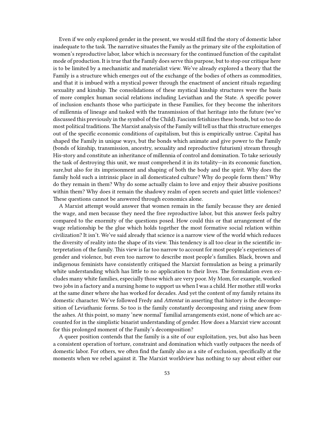Even if we only explored gender in the present, we would still find the story of domestic labor inadequate to the task. The narrative situates the Family as the primary site of the exploitation of women's reproductive labor, labor which is necessary for the continued function of the capitalist mode of production. It is true that the Family does serve this purpose, but to stop our critique here is to be limited by a mechanistic and materialist view. We've already explored a theory that the Family is a structure which emerges out of the exchange of the bodies of others as commodities, and that it is imbued with a mystical power through the enactment of ancient rituals regarding sexuality and kinship. The consolidations of these mystical kinship structures were the basis of more complex human social relations including Leviathan and the State. A specific power of inclusion enchants those who participate in these Families, for they become the inheritors of millennia of lineage and tasked with the transmission of that heritage into the future (we've discussed this previously in the symbol of the Child). Fascism fetishizes these bonds, but so too do most political traditions. The Marxist analysis of the Family will tell us that this structure emerges out of the specific economic conditions of capitalism, but this is empirically untrue. Capital has shaped the Family in unique ways, but the bonds which animate and give power to the Family (bonds of kinship, transmission, ancestry, sexuality and reproductive futurism) stream through His-story and constitute an inheritance of millennia of control and domination. To take seriously the task of destroying this unit, we must comprehend it in its totality—in its economic function, sure,but also for its imprisonment and shaping of both the body and the spirit. Why does the family hold such a intrinsic place in all domesticated culture? Why do people form them? Why do they remain in them? Why do some actually claim to love and enjoy their abusive positions within them? Why does it remain the shadowy realm of open secrets and quiet little violences? These questions cannot be answered through economics alone.

A Marxist attempt would answer that women remain in the family because they are denied the wage, and men because they need the free reproductive labor, but this answer feels paltry compared to the enormity of the questions posed. How could this or that arrangement of the wage relationship be the glue which holds together the most formative social relation within civilization? It isn't. We've said already that science is a narrow view of the world which reduces the diversity of reality into the shape of its view. This tendency is all too clear in the scientific interpretation of the family. This view is far too narrow to account for most people's experiences of gender and violence, but even too narrow to describe most people's families. Black, brown and indigenous feminists have consistently critiqued the Marxist formulation as being a primarily white understanding which has little to no application to their lives. The formulation even excludes many white families, especially those which are very poor. My Mom, for example, worked two jobs in a factory and a nursing home to support us when I was a child. Her mother still works at the same diner where she has worked for decades. And yet the content of my family retains its domestic character. We've followed Fredy and *Attentat* in asserting that history is the decomposition of Leviathanic forms. So too is the family constantly decomposing and rising anew from the ashes. At this point, so many 'new normal' familial arrangements exist, none of which are accounted for in the simplistic binarist understanding of gender. How does a Marxist view account for this prolonged moment of the Family's decomposition?

A queer position contends that the family is a site of our exploitation, yes, but also has been a consistent operation of torture, constraint and domination which vastly outpaces the needs of domestic labor. For others, we often find the family also as a site of exclusion, specifically at the moments when we rebel against it. The Marxist worldview has nothing to say about either our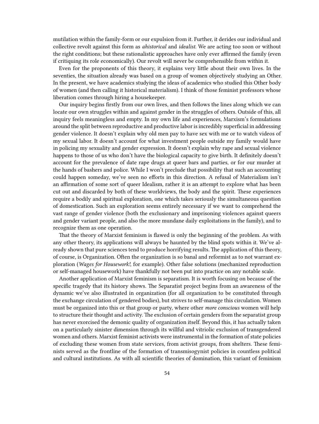mutilation within the family-form or our expulsion from it. Further, it derides our individual and collective revolt against this form as *ahistorical* and *idealist*. We are acting too soon or without the right conditions; but these rationalistic approaches have only ever affirmed the family (even if critiquing its role economically). Our revolt will never be comprehensible from within it.

Even for the proponents of this theory, it explains very little about their own lives. In the seventies, the situation already was based on a group of women objectively studying an Other. In the present, we have academics studying the ideas of academics who studied this Other body of women (and then calling it historical materialism). I think of those feminist professors whose liberation comes through hiring a housekeeper.

Our inquiry begins firstly from our own lives, and then follows the lines along which we can locate our own struggles within and against gender in the struggles of others. Outside of this, all inquiry feels meaningless and empty. In my own life and experiences, Marxism's formulations around the split between reproductive and productive labor is incredibly superficial in addressing gender violence. It doesn't explain why old men pay to have sex with me or to watch videos of my sexual labor. It doesn't account for what investment people outside my family would have in policing my sexuality and gender expression. It doesn't explain why rape and sexual violence happens to those of us who don't have the biological capacity to give birth. It definitely doesn't account for the prevalence of date rape drugs at queer bars and parties, or for our murder at the hands of bashers and police. While I won't preclude that possibility that such an accounting could happen someday, we've seen no efforts in this direction. A refusal of Materialism isn't an affirmation of some sort of queer Idealism, rather it is an attempt to explore what has been cut out and discarded by both of these worldviews, the body and the spirit. These experiences require a bodily and spiritual exploration, one which takes seriously the simultaneous question of domestication. Such an exploration seems entirely necessary if we want to comprehend the vast range of gender violence (both the exclusionary and imprisoning violences against queers and gender variant people, and also the more mundane daily exploitations in the family), and to recognize them as one operation.

That the theory of Marxist feminism is flawed is only the beginning of the problem. As with any other theory, its applications will always be haunted by the blind spots within it. We've already shown that pure sciences tend to produce horrifying results. The application of this theory, of course, is Organization. Often the organization is so banal and reformist as to not warrant exploration (*Wages for Housework!*, for example). Other false solutions (mechanized reproduction or self-managed housework) have thankfully not been put into practice on any notable scale.

Another application of Marxist feminism is separatism. It is worth focusing on because of the specific tragedy that its history shows. The Separatist project begins from an awareness of the dynamic we've also illustrated in organization (for all organization to be constituted through the exchange circulation of gendered bodies), but strives to self-manage this circulation. Women must be organized into this or that group or party, where other *more conscious* women will help to structure their thought and activity. The exclusion of certain genders from the separatist group has never exorcised the demonic quality of organization itself. Beyond this, it has actually taken on a particularly sinister dimension through its willful and vitriolic exclusion of transgendered women and others. Marxist feminist activists were instrumental in the formation of state policies of excluding these women from state services, from activist groups, from shelters. These feminists served as the frontline of the formation of transmisogynist policies in countless political and cultural institutions. As with all scientific theories of domination, this variant of feminism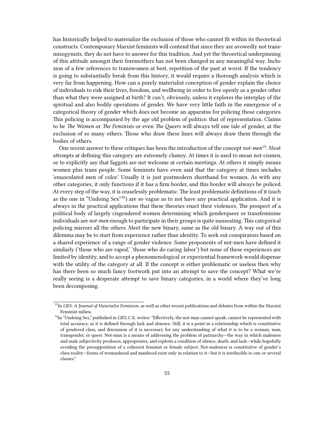has historically helped to materialize the exclusion of those who cannot fit within its theoretical constructs. Contemporary Marxist feminists will contend that since they are avowedly not transmisogynists, they do not have to answer for this tradition. And yet the theoretical underpinning of this attitude amongst their foremothers has not been changed in any meaningful way. Inclusion of a few references to transwomen at best, repetition of the past at worst. If the tendency is going to substantially break from this history, it would require a thorough analysis which is very far from happening. How can a purely materialist conception of gender explain the choice of individuals to risk their lives, freedom, and wellbeing in order to live openly as a gender other than what they were assigned at birth? It can't, obviously, unless it explores the interplay of the spiritual and also bodily operations of gender. We have very little faith in the emergence of a categorical theory of gender which does not become an apparatus for policing those categories. This policing is accompanied by the age old problem of politics: that of representation. Claims to be *The Women* or *The Feminists* or even *The Queers* will always tell one tale of gender, at the exclusion of so many others. Those who draw these lines will always draw them through the bodies of others.

One recent answer to these critiques has been the introduction of the concept *not-men*15. Most attempts at defining this category are extremely clumsy. At times it is used to mean not-cismen, or to explicitly say that faggots are not welcome at certain meetings. At others it simply means women plus trans people. Some feminists have even said that the category at times includes 'emasculated men of color.' Usually it is just postmodern shorthand for women. As with any other categories, it only functions if it has a firm border, and this border will always be policed. At every step of the way, it is ceaselessly problematic. The least problematic definitions of it (such as the one in "Undoing Sex"16) are so vague as to not have any practical application. And it is always in the practical applications that these theories enact their violences. The prospect of a political body of largely cisgendered women determining which genderqueer or transfeminine individuals are *not-men* enough to participate in their groups is quite nauseating. This categorical policing mirrors all the others. Meet the new binary, same as the old binary. A way out of this dilemma may be to start from experience rather than identity. To seek out conspirators based on a shared experience of a range of gender violence. Some proponents of not-men have defined it similarly ('those who are raped,' 'those who do caring labor') but none of these experiences are limited by identity, and to accept a phenomenological or experiential framework would dispense with the utility of the category at all. If the concept is either problematic or useless then why has there been so much fancy footwork put into an attempt to save the concept? What we're really seeing is a desperate attempt to save binary categories, in a world where they've long been decomposing.

<sup>&</sup>lt;sup>15</sup>In *LIES: A Journal of Materialist Feminism*, as well as other recent publications and debates from within the Marxist Feminist milieu.

<sup>&</sup>lt;sup>16</sup>In "Undoing Sex," published in *LIES*, C.E. writes: "Effectively, the not-man cannot speak, cannot be represented with total accuracy, as it is defined through lack and absence. Still, it is a point in a relationship which is constitutive of gendered class, and discussion of it is necessary for any understanding of what it is to be a woman, man, transgender, or queer. Not-man is a means of addressing the problem of patriarchy—the way in which maleness and male subjectivity produces, appropriates, and exploits a condition of silence, death, and lack—while hopefully avoiding the presupposition of a coherent feminist or female subject. Not-maleness is constitutive of gender's class reality—forms of womanhood and manhood exist only in relation to it—but it is irreducible to one or several classes."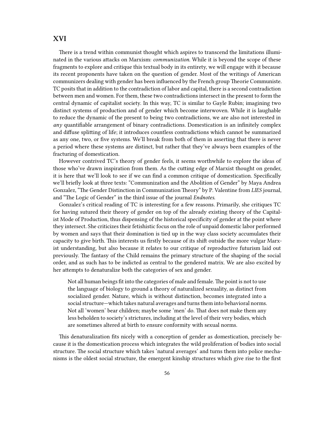## <span id="page-55-0"></span>**XVI**

There is a trend within communist thought which aspires to transcend the limitations illuminated in the various attacks on Marxism: *communization*. While it is beyond the scope of these fragments to explore and critique this textual body in its entirety, we will engage with it because its recent proponents have taken on the question of gender. Most of the writings of American communizers dealing with gender has been influenced by the French group Theorie Communiste. TC posits that in addition to the contradiction of labor and capital, there is a second contradiction between men and women. For them, these two contradictions intersect in the present to form the central dynamic of capitalist society. In this way, TC is similar to Gayle Rubin; imagining two distinct systems of production and of gender which become interwoven. While it is laughable to reduce the dynamic of the present to being two contradictions, we are also not interested in *any* quantifiable arrangement of binary contradictions. Domestication is an infinitely complex and diffuse splitting of life; it introduces countless contradictions which cannot be summarized as any one, two, or five systems. We'll break from both of them in asserting that there is never a period where these systems are distinct, but rather that they've always been examples of the fracturing of domestication.

However contrived TC's theory of gender feels, it seems worthwhile to explore the ideas of those who've drawn inspiration from them. As the cutting edge of Marxist thought on gender, it is here that we'll look to see if we can find a common critique of domestication. Specifically we'll briefly look at three texts: "Communization and the Abolition of Gender" by Maya Andrea Gonzalez, "The Gender Distinction in Communization Theory" by P. Valentine from *LIES* journal, and "The Logic of Gender" in the third issue of the journal *Endnotes*.

Gonzalez's critical reading of TC is interesting for a few reasons. Primarily, she critiques TC for having sutured their theory of gender on top of the already existing theory of the Capitalist Mode of Production, thus dispensing of the historical specificity of gender at the point where they intersect. She criticizes their fetishistic focus on the role of unpaid domestic labor performed by women and says that their domination is tied up in the way class society accumulates their capacity to give birth. This interests us firstly because of its shift outside the more vulgar Marxist understanding, but also because it relates to our critique of reproductive futurism laid out previously. The fantasy of the Child remains the primary structure of the shaping of the social order, and as such has to be indicted as central to the gendered matrix. We are also excited by her attempts to denaturalize both the categories of sex and gender.

Not all human beings fit into the categories of male and female.The point is not to use the language of biology to ground a theory of naturalized sexuality, as distinct from socialized gender. Nature, which is without distinction, becomes integrated into a social structure—which takes natural averages and turns them into behavioral norms. Not all 'women' bear children; maybe some 'men' do. That does not make them any less beholden to society's strictures, including at the level of their very bodies, which are sometimes altered at birth to ensure conformity with sexual norms.

This denaturalization fits nicely with a conception of gender as domestication, precisely because it is the domestication process which integrates the wild proliferation of bodies into social structure. The social structure which takes 'natural averages' and turns them into police mechanisms is the oldest social structure, the emergent kinship structures which give rise to the first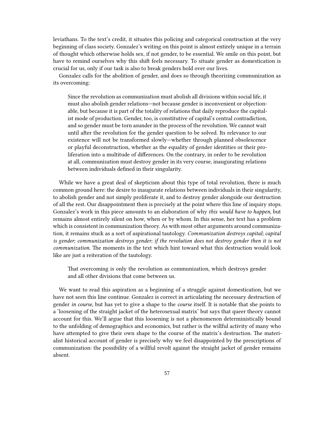leviathans. To the text's credit, it situates this policing and categorical construction at the very beginning of class society. Gonzalez's writing on this point is almost entirely unique in a terrain of thought which otherwise holds sex, if not gender, to be essential. We smile on this point, but have to remind ourselves why this shift feels necessary. To situate gender as domestication is crucial for us, only if our task is also to break genders hold over our lives.

Gonzalez calls for the abolition of gender, and does so through theorizing communization as its overcoming:

Since the revolution as communization must abolish all divisions within social life, it must also abolish gender relations—not because gender is inconvenient or objectionable, but because it is part of the totality of relations that daily reproduce the capitalist mode of production. Gender, too, is constitutive of capital's central contradiction, and so gender must be torn asunder in the process of the revolution. We cannot wait until after the revolution for the gender question to be solved. Its relevance to our existence will not be transformed slowly—whether through planned obsolescence or playful deconstruction, whether as the equality of gender identities or their proliferation into a multitude of differences. On the contrary, in order to be revolution at all, communization must destroy gender in its very course, inaugurating relations between individuals defined in their singularity.

While we have a great deal of skepticism about this type of total revolution, there is much common ground here: the desire to inaugurate relations between individuals in their singularity, to abolish gender and not simply proliferate it, and to destroy gender alongside our destruction of all the rest. Our disappointment then is precisely at the point where this line of inquiry stops. Gonzalez's work in this piece amounts to an elaboration of why *this would have to happen*, but remains almost entirely silent on how, when or by whom. In this sense, her text has a problem which is consistent in communization theory. As with most other arguments around communization, it remains stuck as a sort of aspirational tautology. *Communization destroys capital; capital is gender; communization destroys gender; if the revolution does not destroy gender then it is not communization.* The moments in the text which hint toward what this destruction would look like are just a reiteration of the tautology.

That overcoming is only the revolution as communization, which destroys gender and all other divisions that come between us.

We want to read this aspiration as a beginning of a struggle against domestication, but we have not seen this line continue. Gonzalez is correct in articulating the necessary destruction of gender *in course*, but has yet to give a shape to the *course* itself. It is notable that she points to a 'loosening of the straight jacket of the heterosexual matrix' but says that queer theory cannot account for this. We'll argue that this loosening is not a phenomenon deterministically bound to the unfolding of demographics and economics, but rather is the willful activity of many who have attempted to give their own shape to the course of the matrix's destruction. The materialist historical account of gender is precisely why we feel disappointed by the prescriptions of communization: the possibility of a willful revolt against the straight jacket of gender remains absent.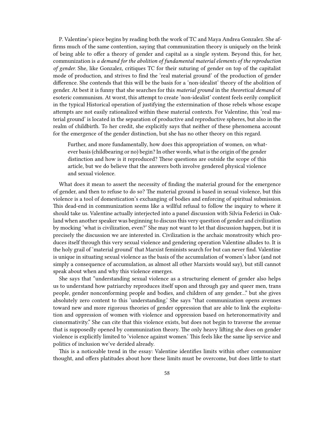P. Valentine's piece begins by reading both the work of TC and Maya Andrea Gonzalez. She affirms much of the same contention, saying that communization theory is uniquely on the brink of being able to offer a theory of gender and capital as a single system. Beyond this, for her, communization is *a demand for the abolition of fundamental material elements of the reproduction of gender.* She, like Gonzalez, critiques TC for their suturing of gender on top of the capitalist mode of production, and strives to find the 'real material ground' of the production of gender difference. She contends that this will be the basis for a 'non-idealist' theory of the abolition of gender. At best it is funny that she searches for this *material ground* in the *theoretical demand* of esoteric communism. At worst, this attempt to create 'non-idealist' content feels eerily complicit in the typical Historical operation of justifying the extermination of those rebels whose escape attempts are not easily rationalized within these material contexts. For Valentine, this 'real material ground' is located in the separation of productive and reproductive spheres, but also in the realm of childbirth. To her credit, she explicitly says that neither of these phenomena account for the emergence of the gender distinction, but she has no other theory on this regard.

Further, and more fundamentally, how does this appropriation of women, on whatever basis (childbearing or no) begin? In other words, what is the origin of the gender distinction and how is it reproduced? These questions are outside the scope of this article, but we do believe that the answers both involve gendered physical violence and sexual violence.

What does it mean to assert the necessity of finding the material ground for the emergence of gender, and then to refuse to do so? The material ground is based in sexual violence, but this violence is a tool of domestication's exchanging of bodies and enforcing of spiritual submission. This dead-end in communization seems like a willful refusal to follow the inquiry to where it should take us. Valentine actually interjected into a panel discussion with Silvia Federici in Oakland when another speaker was beginning to discuss this very question of gender and civilization by mocking 'what is civilization, even?' She may not want to let that discussion happen, but it is precisely the discussion we are interested in. Civilization is the archaic monstrosity which produces itself through this very sexual violence and gendering operation Valentine alludes to. It is the holy grail of 'material ground' that Marxist feminists search for but can never find. Valentine is unique in situating sexual violence as the basis of the accumulation of women's labor (and not simply a consequence of accumulation, as almost all other Marxists would say), but still cannot speak about when and why this violence emerges.

She says that "understanding sexual violence as a structuring element of gender also helps us to understand how patriarchy reproduces itself upon and through gay and queer men, trans people, gender nonconforming people and bodies, and children of any gender…" but she gives absolutely zero content to this 'understanding.' She says "that communization opens avenues toward new and more rigorous theories of gender oppression that are able to link the exploitation and oppression of women with violence and oppression based on heteronormativity and cisnormativity." She can cite that this violence exists, but does not begin to traverse the avenue that is supposedly opened by communization theory. The only heavy lifting she does on gender violence is explicitly limited to 'violence against women.' This feels like the same lip service and politics of inclusion we've derided already.

This is a noticeable trend in the essay: Valentine identifies limits within other communizer thought, and offers platitudes about how these limits must be overcome, but does little to start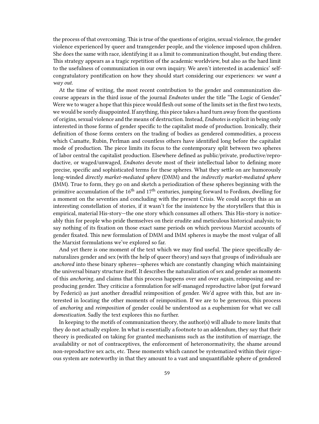the process of that overcoming. This is true of the questions of origins, sexual violence, the gender violence experienced by queer and transgender people, and the violence imposed upon children. She does the same with race, identifying it as a limit to communization thought, but ending there. This strategy appears as a tragic repetition of the academic worldview, but also as the hard limit to the usefulness of communization in our own inquiry. We aren't interested in academics' selfcongratulatory pontification on how they should start considering our experiences: *we want a way out.*

At the time of writing, the most recent contribution to the gender and communization discourse appears in the third issue of the journal *Endnotes* under the title "The Logic of Gender." Were we to wager a hope that this piece would flesh out some of the limits set in the first two texts, we would be sorely disappointed. If anything, this piece takes a hard turn away from the questions of origins, sexual violence and the means of destruction. Instead, *Endnotes* is explicit in being only interested in those forms of gender specific to the capitalist mode of production. Ironically, their definition of those forms centers on the trading of bodies as gendered commodities, a process which Camatte, Rubin, Perlman and countless others have identified long before the capitalist mode of production. The piece limits its focus to the contemporary split between two spheres of labor central the capitalist production. Elsewhere defined as public/private, productive/reproductive, or waged/unwaged, *Endnotes* devote most of their intellectual labor to defining more precise, specific and sophisticated terms for these spheres. What they settle on are humorously long-winded *directly market-mediated sphere* (DMM) and the *indirectly market-mediated sphere* (IMM). True to form, they go on and sketch a periodization of these spheres beginning with the primitive accumulation of the 16<sup>th</sup> and 17<sup>th</sup> centuries, jumping forward to Fordism, dwelling for a moment on the seventies and concluding with the present Crisis. We could accept this as an interesting constellation of stories, if it wasn't for the insistence by the storytellers that this is empirical, material His-story—the one story which consumes all others. This His-story is noticeably thin for people who pride themselves on their erudite and meticulous historical analysis; to say nothing of its fixation on those exact same periods on which previous Marxist accounts of gender fixated. This new formulation of DMM and IMM spheres is maybe the most vulgar of all the Marxist formulations we've explored so far.

And yet there is one moment of the text which we may find useful. The piece specifically denaturalizes gender and sex (with the help of queer theory) and says that groups of individuals are *anchored* into these binary spheres—spheres which are constantly changing which maintaining the universal binary structure itself. It describes the naturalization of sex and gender as moments of this *anchoring*, and claims that this process happens over and over again, reimposing and reproducing gender. They criticize a formulation for self-managed reproductive labor (put forward by Federici) as just another dreadful reimposition of gender. We'd agree with this, but are interested in locating the other moments of reimposition. If we are to be generous, this process of *anchoring* and *reimposition* of gender could be understood as a euphemism for what we call *domestication*. Sadly the text explores this no further.

In keeping to the motifs of communization theory, the author(s) will allude to more limits that they do not actually explore. In what is essentially a footnote to an addendum, they say that their theory is predicated on taking for granted mechanisms such as the institution of marriage, the availability or not of contraceptives, the enforcement of heteronormativity, the shame around non-reproductive sex acts, etc. These moments which cannot be systematized within their rigorous system are noteworthy in that they amount to a vast and unquantifiable sphere of gendered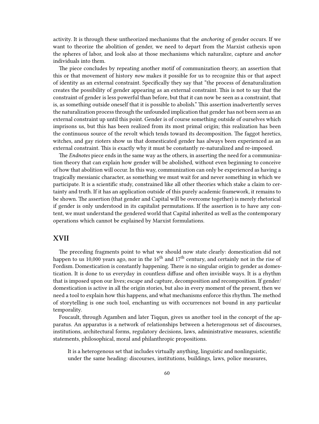activity. It is through these untheorized mechanisms that the *anchoring* of gender occurs. If we want to theorize the abolition of gender, we need to depart from the Marxist cathexis upon the spheres of labor, and look also at those mechanisms which naturalize, capture and *anchor* individuals into them.

The piece concludes by repeating another motif of communization theory, an assertion that this or that movement of history *now* makes it possible for us to recognize this or that aspect of identity as an external constraint. Specifically they say that "the process of denaturalization creates the possibility of gender appearing as an external constraint. This is not to say that the constraint of gender is less powerful than before, but that it can now be seen as a constraint, that is, as something outside oneself that it is possible to abolish." This assertion inadvertently serves the naturalization process through the unfounded implication that gender has not been seen as an external constraint up until this point. Gender is of course something outside of ourselves which imprisons us, but this has been realized from its most primal origin; this realization has been the continuous source of the revolt which tends toward its decomposition. The faggot heretics, witches, and gay rioters show us that domesticated gender has always been experienced as an external constraint. This is exactly why it must be constantly re-naturalized and re-imposed.

The *Endnotes* piece ends in the same way as the others, in asserting the need for a communization theory that can explain how gender will be abolished, without even beginning to conceive of how that abolition will occur. In this way, communization can only be experienced as having a tragically messianic character, as something we must wait for and never something in which we participate. It is a scientific study, constrained like all other theories which stake a claim to certainty and truth. If it has an application outside of this purely academic framework, it remains to be shown. The assertion (that gender and Capital will be overcome together) is merely rhetorical if gender is only understood in its capitalist permutations. If the assertion is to have any content, we must understand the gendered world that Capital inherited as well as the contemporary operations which cannot be explained by Marxist formulations.

## <span id="page-59-0"></span>**XVII**

The preceding fragments point to what we should now state clearly: domestication did not happen to us 10,000 years ago, nor in the  $16<sup>th</sup>$  and  $17<sup>th</sup>$  century, and certainly not in the rise of Fordism. Domestication is constantly happening. There is no singular origin to gender as domestication. It is done to us everyday in countless diffuse and often invisible ways. It is a rhythm that is imposed upon our lives; escape and capture, decomposition and recomposition. If gender/ domestication is active in all the origin stories, but also in every moment of the present, then we need a tool to explain how this happens, and what mechanisms enforce this rhythm. The method of storytelling is one such tool, enchanting us with occurrences not bound in any particular temporality.

Foucault, through Agamben and later Tiqqun, gives us another tool in the concept of the apparatus. An apparatus is a network of relationships between a heterogenous set of discourses, institutions, architectural forms, regulatory decisions, laws, administrative measures, scientific statements, philosophical, moral and philanthropic propositions.

It is a heterogenous set that includes virtually anything, linguistic and nonlinguistic, under the same heading: discourses, institutions, buildings, laws, police measures,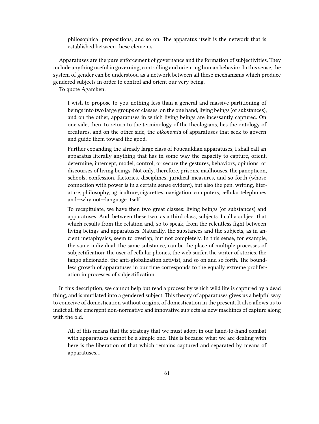philosophical propositions, and so on. The apparatus itself is the network that is established between these elements.

Apparatuses are the pure enforcement of governance and the formation of subjectivities. They include anything useful in governing, controlling and orienting human behavior. In this sense, the system of gender can be understood as a network between all these mechanisms which produce gendered subjects in order to control and orient our very being.

To quote Agamben:

I wish to propose to you nothing less than a general and massive partitioning of beings into two large groups or classes: on the one hand, living beings (or substances), and on the other, apparatuses in which living beings are incessantly captured. On one side, then, to return to the terminology of the theologians, lies the ontology of creatures, and on the other side, the *oikonomia* of apparatuses that seek to govern and guide them toward the good.

Further expanding the already large class of Foucauldian apparatuses, I shall call an apparatus literally anything that has in some way the capacity to capture, orient, determine, intercept, model, control, or secure the gestures, behaviors, opinions, or discourses of living beings. Not only, therefore, prisons, madhouses, the panopticon, schools, confession, factories, disciplines, juridical measures, and so forth (whose connection with power is in a certain sense evident), but also the pen, writing, literature, philosophy, agriculture, cigarettes, navigation, computers, cellular telephones and—why not—language itself…

To recapitulate, we have then two great classes: living beings (or substances) and apparatuses. And, between these two, as a third class, subjects. I call a subject that which results from the relation and, so to speak, from the relentless fight between living beings and apparatuses. Naturally, the substances and the subjects, as in ancient metaphysics, seem to overlap, but not completely. In this sense, for example, the same individual, the same substance, can be the place of multiple processes of subjectification: the user of cellular phones, the web surfer, the writer of stories, the tango aficionado, the anti-globalization activist, and so on and so forth. The boundless growth of apparatuses in our time corresponds to the equally extreme proliferation in processes of subjectification.

In this description, we cannot help but read a process by which wild life is captured by a dead thing, and is mutilated into a gendered subject. This theory of apparatuses gives us a helpful way to conceive of domestication without origins, of domestication in the present. It also allows us to indict all the emergent non-normative and innovative subjects as new machines of capture along with the old.

All of this means that the strategy that we must adopt in our hand-to-hand combat with apparatuses cannot be a simple one. This is because what we are dealing with here is the liberation of that which remains captured and separated by means of apparatuses…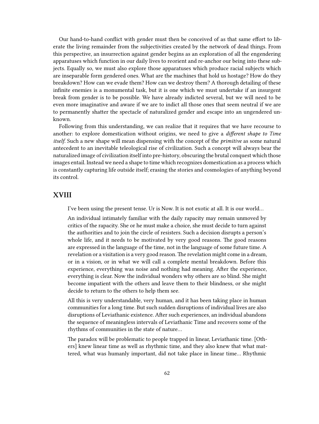Our hand-to-hand conflict with gender must then be conceived of as that same effort to liberate the living remainder from the subjectivities created by the network of dead things. From this perspective, an insurrection against gender begins as an exploration of all the engendering apparatuses which function in our daily lives to reorient and re-anchor our being into these subjects. Equally so, we must also explore those apparatuses which produce racial subjects which are inseparable form gendered ones. What are the machines that hold us hostage? How do they breakdown? How can we evade them? How can we destroy them? A thorough detailing of these infinite enemies is a monumental task, but it is one which we must undertake if an insurgent break from gender is to be possible. We have already indicted several, but we will need to be even more imaginative and aware if we are to indict all those ones that seem neutral if we are to permanently shatter the spectacle of naturalized gender and escape into an ungendered unknown.

Following from this understanding, we can realize that it requires that we have recourse to another: to explore domestication without origins, we need to give a *different shape to Time itself*. Such a new shape will mean dispensing with the concept of the *primitive* as some natural antecedent to an inevitable teleological rise of civilization. Such a concept will always bear the naturalized image of civilization itself into pre-history, obscuring the brutal conquest which those images entail. Instead we need a shape to time which recognizes domestication as a process which is constantly capturing life outside itself; erasing the stories and cosmologies of anything beyond its control.

# <span id="page-61-0"></span>**XVIII**

I've been using the present tense. Ur is Now. It is not exotic at all. It is our world…

An individual intimately familiar with the daily rapacity may remain unmoved by critics of the rapacity. She or he must make a choice, she must decide to turn against the authorities and to join the circle of resisters. Such a decision disrupts a person's whole life, and it needs to be motivated by very good reasons. The good reasons are expressed in the language of the time, not in the language of some future time. A revelation or a visitation is a very good reason. The revelation might come in a dream, or in a vision, or in what we will call a complete mental breakdown. Before this experience, everything was noise and nothing had meaning. After the experience, everything is clear. Now the individual wonders why others are so blind. She might become impatient with the others and leave them to their blindness, or she might decide to return to the others to help them see.

All this is very understandable, very human, and it has been taking place in human communities for a long time. But such sudden disruptions of individual lives are also disruptions of Leviathanic existence. After such experiences, an individual abandons the sequence of meaningless intervals of Leviathanic Time and recovers some of the rhythms of communities in the state of nature…

The paradox will be problematic to people trapped in linear, Leviathanic time. [Others] knew linear time as well as rhythmic time, and they also knew that what mattered, what was humanly important, did not take place in linear time… Rhythmic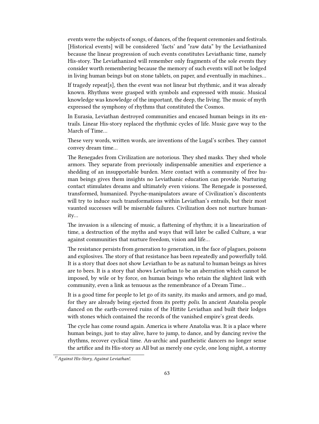events were the subjects of songs, of dances, of the frequent ceremonies and festivals. [Historical events] will be considered 'facts' and "raw data" by the Leviathanized because the linear progression of such events constitutes Leviathanic time, namely His-story. The Leviathanized will remember only fragments of the sole events they consider worth remembering because the memory of such events will not be lodged in living human beings but on stone tablets, on paper, and eventually in machines…

If tragedy repeat[s], then the event was not linear but rhythmic, and it was already known. Rhythms were grasped with symbols and expressed with music. Musical knowledge was knowledge of the important, the deep, the living. The music of myth expressed the symphony of rhythms that constituted the Cosmos.

In Eurasia, Leviathan destroyed communities and encased human beings in its entrails. Linear His-story replaced the rhythmic cycles of life. Music gave way to the March of Time…

These very words, written words, are inventions of the Lugal's scribes. They cannot convey dream time…

The Renegades from Civilization are notorious. They shed masks. They shed whole armors. They separate from previously indispensable amenities and experience a shedding of an insupportable burden. Mere contact with a community of free human beings gives them insights no Leviathanic education can provide. Nurturing contact stimulates dreams and ultimately even visions. The Renegade is possessed, transformed, humanized. Psyche-manipulators aware of Civilization's discontents will try to induce such transformations within Leviathan's entrails, but their most vaunted successes will be miserable failures. Civilization does not nurture humanity…

The invasion is a silencing of music, a flattening of rhythm; it is a linearization of time, a destruction of the myths and ways that will later be called Culture, a war against communities that nurture freedom, vision and life…

The resistance persists from generation to generation, in the face of plagues, poisons and explosives. The story of that resistance has been repeatedly and powerfully told. It is a story that does not show Leviathan to be as natural to human beings as hives are to bees. It is a story that shows Leviathan to be an aberration which cannot be imposed, by wile or by force, on human beings who retain the slightest link with community, even a link as tenuous as the remembrance of a Dream Time…

It is a good time for people to let go of its sanity, its masks and armors, and go mad, for they are already being ejected from its pretty *polis*. In ancient Anatolia people danced on the earth-covered ruins of the Hittite Leviathan and built their lodges with stones which contained the records of the vanished empire's great deeds.

The cycle has come round again. America is where Anatolia was. It is a place where human beings, just to stay alive, have to jump, to dance, and by dancing revive the rhythms, recover cyclical time. An-archic and pantheistic dancers no longer sense the artifice and its His-story as All but as merely one cycle, one long night, a stormy

<sup>17</sup>*Against His-Story, Against Leviathan!*.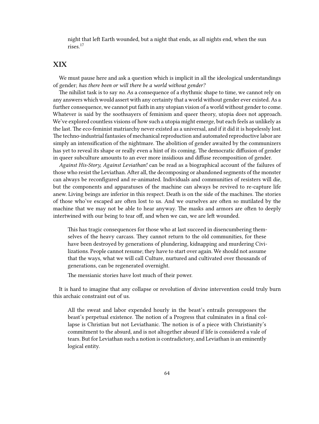night that left Earth wounded, but a night that ends, as all nights end, when the sun rises.<sup>17</sup>

## <span id="page-63-0"></span>**XIX**

We must pause here and ask a question which is implicit in all the ideological understandings of gender; *has there been or will there be a world without gender?*

The nihilist task is to say *no*. As a consequence of a rhythmic shape to time, we cannot rely on any answers which would assert with any certainty that a world without gender ever existed. As a further consequence, we cannot put faith in any utopian vision of a world without gender to come. Whatever is said by the soothsayers of feminism and queer theory, utopia does not approach. We've explored countless visions of how such a utopia might emerge, but each feels as unlikely as the last. The eco-feminist matriarchy never existed as a universal, and if it did it is hopelessly lost. The techno-industrial fantasies of mechanical reproduction and automated reproductive labor are simply an intensification of the nightmare. The abolition of gender awaited by the communizers has yet to reveal its shape or really even a hint of its coming. The democratic diffusion of gender in queer subculture amounts to an ever more insidious and diffuse recomposition of gender.

*Against His-Story, Against Leviathan!* can be read as a biographical account of the failures of those who resist the Leviathan. After all, the decomposing or abandoned segments of the monster can always be reconfigured and re-animated. Individuals and communities of resisters will die, but the components and apparatuses of the machine can always be revived to re-capture life anew. Living beings are inferior in this respect. Death is on the side of the machines. The stories of those who've escaped are often lost to us. And we ourselves are often so mutilated by the machine that we may not be able to hear anyway. The masks and armors are often to deeply intertwined with our being to tear off, and when we can, we are left wounded.

This has tragic consequences for those who at last succeed in disencumbering themselves of the heavy carcass. They cannot return to the old communities, for these have been destroyed by generations of plundering, kidnapping and murdering Civilizations. People cannot resume; they have to start over again. We should not assume that the ways, what we will call Culture, nurtured and cultivated over thousands of generations, can be regenerated overnight.

The messianic stories have lost much of their power.

It is hard to imagine that any collapse or revolution of divine intervention could truly burn this archaic constraint out of us.

All the sweat and labor expended hourly in the beast's entrails presupposes the beast's perpetual existence. The notion of a Progress that culminates in a final collapse is Christian but not Leviathanic. The notion is of a piece with Christianity's commitment to the absurd, and is not altogether absurd if life is considered a vale of tears. But for Leviathan such a notion is contradictory, and Leviathan is an eminently logical entity.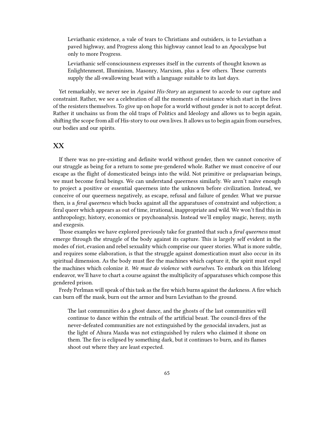Leviathanic existence, a vale of tears to Christians and outsiders, is to Leviathan a paved highway, and Progress along this highway cannot lead to an Apocalypse but only to more Progress.

Leviathanic self-consciousness expresses itself in the currents of thought known as Enlightenment, Illuminism, Masonry, Marxism, plus a few others. These currents supply the all-swallowing beast with a language suitable to its last days.

Yet remarkably, we never see in *Against His-Story* an argument to accede to our capture and constraint. Rather, we see a celebration of all the moments of resistance which start in the lives of the resisters themselves. To give up on hope for a world without gender is not to accept defeat. Rather it unchains us from the old traps of Politics and Ideology and allows us to begin again, shifting the scope from all of His-story to our own lives. It allows us to begin again from ourselves, our bodies and our spirits.

# <span id="page-64-0"></span>**XX**

If there was no pre-existing and definite world without gender, then we cannot conceive of our struggle as being for a return to some pre-gendered whole. Rather we must conceive of our escape as the flight of domesticated beings into the wild. Not primitive or prelapsarian beings, we must become feral beings. We can understand queerness similarly. We aren't naïve enough to project a positive or essential queerness into the unknown before civilization. Instead, we conceive of our queerness negatively, as escape, refusal and failure of gender. What we pursue then, is a *feral queerness* which bucks against all the apparatuses of constraint and subjection; a feral queer which appears as out of time, irrational, inappropriate and wild. We won't find this in anthropology, history, economics or psychoanalysis. Instead we'll employ magic, heresy, myth and exegesis.

Those examples we have explored previously take for granted that such a *feral queerness* must emerge through the struggle of the body against its capture. This is largely self evident in the modes of riot, evasion and rebel sexuality which comprise our queer stories. What is more subtle, and requires some elaboration, is that the struggle against domestication must also occur in its spiritual dimension. As the body must flee the machines which capture it, the spirit must expel the machines which colonize it. *We must do violence with ourselves.* To embark on this lifelong endeavor, we'll have to chart a course against the multiplicity of apparatuses which compose this gendered prison.

Fredy Perlman will speak of this task as the fire which burns against the darkness. A fire which can burn off the mask, burn out the armor and burn Leviathan to the ground.

The last communities do a ghost dance, and the ghosts of the last communities will continue to dance within the entrails of the artificial beast. The council-fires of the never-defeated communities are not extinguished by the genocidal invaders, just as the light of Ahura Mazda was not extinguished by rulers who claimed it shone on them. The fire is eclipsed by something dark, but it continues to burn, and its flames shoot out where they are least expected.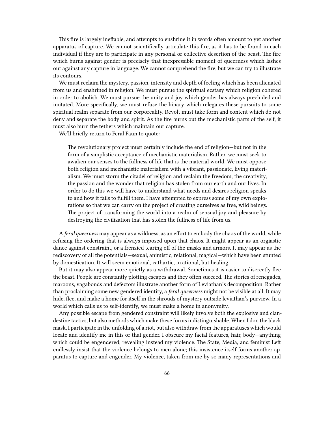This fire is largely ineffable, and attempts to enshrine it in words often amount to yet another apparatus of capture. We cannot scientifically articulate this fire, as it has to be found in each individual if they are to participate in any personal or collective desertion of the beast. The fire which burns against gender is precisely that inexpressible moment of queerness which lashes out against any capture in language. We cannot comprehend the fire, but we can try to illustrate its contours.

We must reclaim the mystery, passion, intensity and depth of feeling which has been alienated from us and enshrined in religion. We must pursue the spiritual ecstasy which religion cohered in order to abolish. We must pursue the unity and joy which gender has always precluded and imitated. More specifically, we must refuse the binary which relegates these pursuits to some spiritual realm separate from our corporeality. Revolt must take form and content which do not deny and separate the body and spirit. As the fire burns out the mechanistic parts of the self, it must also burn the tethers which maintain our capture.

We'll briefly return to Feral Faun to quote:

The revolutionary project must certainly include the end of religion—but not in the form of a simplistic acceptance of mechanistic materialism. Rather, we must seek to awaken our senses to the fullness of life that is the material world. We must oppose both religion and mechanistic materialism with a vibrant, passionate, living materialism. We must storm the citadel of religion and reclaim the freedom, the creativity, the passion and the wonder that religion has stolen from our earth and our lives. In order to do this we will have to understand what needs and desires religion speaks to and how it fails to fulfill them. I have attempted to express some of my own explorations so that we can carry on the project of creating ourselves as free, wild beings. The project of transforming the world into a realm of sensual joy and pleasure by destroying the civilization that has stolen the fullness of life from us.

A *feral queerness* may appear as a wildness, as an effort to embody the chaos of the world, while refusing the ordering that is always imposed upon that chaos. It might appear as an orgiastic dance against constraint, or a frenzied tearing off of the masks and armors. It may appear as the rediscovery of all the potentials—sexual, animistic, relational, magical—which have been stunted by domestication. It will seem emotional, cathartic, irrational, but healing.

But it may also appear more quietly as a withdrawal. Sometimes it is easier to discreetly flee the beast. People are constantly plotting escapes and they often succeed. The stories of renegades, maroons, vagabonds and defectors illustrate another form of Leviathan's decomposition. Rather than proclaiming some new gendered identity, a *feral queerness* might not be visible at all. It may hide, flee, and make a home for itself in the shrouds of mystery outside leviathan's purview. In a world which calls us to self-identify, we must make a home in anonymity.

Any possible escape from gendered constraint will likely involve both the explosive and clandestine tactics, but also methods which make these forms indistinguishable. When I don the black mask, I participate in the unfolding of a riot, but also withdraw from the apparatuses which would locate and identify me in this or that gender. I obscure my facial features, hair, body—anything which could be engendered; revealing instead my violence. The State, Media, and feminist Left endlessly insist that the violence belongs to men alone; this insistence itself forms another apparatus to capture and engender. My violence, taken from me by so many representations and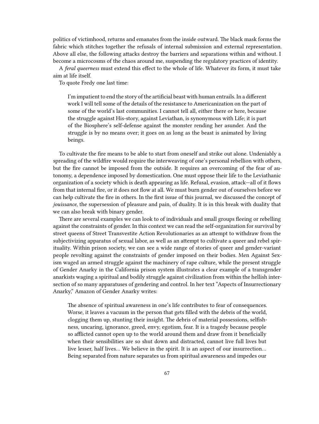politics of victimhood, returns and emanates from the inside outward. The black mask forms the fabric which stitches together the refusals of internal submission and external representation. Above all else, the following attacks destroy the barriers and separations within and without. I become a microcosms of the chaos around me, suspending the regulatory practices of identity.

A *feral queerness* must extend this effect to the whole of life. Whatever its form, it must take aim at life itself.

To quote Fredy one last time:

I'm impatient to end the story of the artificial beast with human entrails. In a different work I will tell some of the details of the resistance to Americanization on the part of some of the world's last communities. I cannot tell all, either there or here, because the struggle against His-story, against Leviathan, is synonymous with Life; it is part of the Biosphere's self-defense against the monster rending her asunder. And the struggle is by no means over; it goes on as long as the beast is animated by living beings.

To cultivate the fire means to be able to start from oneself and strike out alone. Undeniably a spreading of the wildfire would require the interweaving of one's personal rebellion with others, but the fire cannot be imposed from the outside. It requires an overcoming of the fear of autonomy, a dependence imposed by domestication. One must oppose their life to the Leviathanic organization of a society which is death appearing as life. Refusal, evasion, attack—all of it flows from that internal fire, or it does not flow at all. We must burn gender out of ourselves before we can help cultivate the fire in others. In the first issue of this journal, we discussed the concept of *jouissance*, the supersession of pleasure and pain, of duality. It is in this break with duality that we can also break with binary gender.

There are several examples we can look to of individuals and small groups fleeing or rebelling against the constraints of gender. In this context we can read the self-organization for survival by street queens of Street Transvestite Action Revolutionaries as an attempt to withdraw from the subjectivizing apparatus of sexual labor, as well as an attempt to cultivate a queer and rebel spirituality. Within prison society, we can see a wide range of stories of queer and gender-variant people revolting against the constraints of gender imposed on their bodies. Men Against Sexism waged an armed struggle against the machinery of rape culture, while the present struggle of Gender Anarky in the California prison system illustrates a clear example of a transgender anarkists waging a spiritual and bodily struggle against civilization from within the hellish intersection of so many apparatuses of gendering and control. In her text "Aspects of Insurrectionary Anarky," Amazon of Gender Anarky writes:

The absence of spiritual awareness in one's life contributes to fear of consequences. Worse, it leaves a vacuum in the person that gets filled with the debris of the world, clogging them up, stunting their insight. The debris of material possessions, selfishness, uncaring, ignorance, greed, envy, egotism, fear. It is a tragedy because people so afflicted cannot open up to the world around them and draw from it beneficially when their sensibilities are so shut down and distracted, cannot live full lives but live lesser, half lives… We believe in the spirit. It is an aspect of our insurrection… Being separated from nature separates us from spiritual awareness and impedes our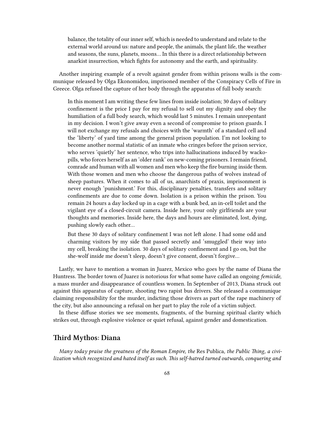balance, the totality of our inner self, which is needed to understand and relate to the external world around us: nature and people, the animals, the plant life, the weather and seasons, the suns, planets, moons… In this there is a direct relationship between anarkist insurrection, which fights for autonomy and the earth, and spirituality.

Another inspiring example of a revolt against gender from within prisons walls is the communique released by Olga Ekonomidou, imprisoned member of the Conspiracy Cells of Fire in Greece. Olga refused the capture of her body through the apparatus of full body search:

In this moment I am writing these few lines from inside isolation; 30 days of solitary confinement is the price I pay for my refusal to sell out my dignity and obey the humiliation of a full body search, which would last 5 minutes. I remain unrepentant in my decision. I won't give away even a second of compromise to prison guards. I will not exchange my refusals and choices with the 'warmth' of a standard cell and the 'liberty' of yard time among the general prison population. I'm not looking to become another normal statistic of an inmate who cringes before the prison service, who serves 'quietly' her sentence, who trips into hallucinations induced by wackopills, who forces herself as an 'older rank' on new-coming prisoners. I remain friend, comrade and human with all women and men who keep the fire burning inside them. With those women and men who choose the dangerous paths of wolves instead of sheep pastures. When it comes to all of us, anarchists of praxis, imprisonment is never enough 'punishment.' For this, disciplinary penalties, transfers and solitary confinements are due to come down. Isolation is a prison within the prison. You remain 24 hours a day locked up in a cage with a bunk bed, an in-cell toilet and the vigilant eye of a closed-circuit camera. Inside here, your only girlfriends are your thoughts and memories. Inside here, the days and hours are eliminated, lost, dying, pushing slowly each other…

But these 30 days of solitary confinement I was not left alone. I had some odd and charming visitors by my side that passed secretly and 'smuggled' their way into my cell, breaking the isolation. 30 days of solitary confinement and I go on, but the she-wolf inside me doesn't sleep, doesn't give consent, doesn't forgive…

Lastly, we have to mention a woman in Juarez, Mexico who goes by the name of Diana the Huntress. The border town of Juarez is notorious for what some have called an ongoing *femicide*, a mass murder and disappearance of countless women. In September of 2013, Diana struck out against this apparatus of capture, shooting two rapist bus drivers. She released a communique claiming responsibility for the murder, indicting those drivers as part of the rape machinery of the city, but also announcing a refusal on her part to play the role of a victim subject.

In these diffuse stories we see moments, fragments, of the burning spiritual clarity which strikes out, through explosive violence or quiet refusal, against gender and domestication.

#### <span id="page-67-0"></span>**Third Mythos: Diana**

*Many today praise the greatness of the Roman Empire, the* Res Publica*, the Public Thing, a civilization which recognized and hated itself as such. This self-hatred turned outwards, conquering and*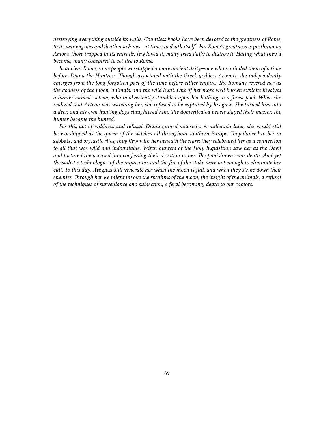*destroying everything outside its walls. Countless books have been devoted to the greatness of Rome, to its war engines and death machines—at times to death itself—but Rome's greatness is posthumous. Among those trapped in its entrails, few loved it; many tried daily to destroy it. Hating what they'd become, many conspired to set fire to Rome.*

*In ancient Rome, some people worshipped a more ancient deity—one who reminded them of a time before: Diana the Huntress. Though associated with the Greek goddess Artemis, she independently emerges from the long forgotten past of the time before either empire. The Romans revered her as the goddess of the moon, animals, and the wild hunt. One of her more well known exploits involves a hunter named Acteon, who inadvertently stumbled upon her bathing in a forest pool. When she realized that Acteon was watching her, she refused to be captured by his gaze. She turned him into a deer, and his own hunting dogs slaughtered him. The domesticated beasts slayed their master; the hunter became the hunted.*

*For this act of wildness and refusal, Diana gained notoriety. A millennia later, she would still be worshipped as the queen of the witches all throughout southern Europe. They danced to her in* sabbats, *and orgiastic rites; they flew with her beneath the stars; they celebrated her as a connection to all that was wild and indomitable. Witch hunters of the Holy Inquisition saw her as the Devil and tortured the accused into confessing their devotion to her. The punishment was death. And yet the sadistic technologies of the inquisitors and the fire of the stake were not enough to eliminate her cult. To this day,* streghas *still venerate her when the moon is full, and when they strike down their enemies. Through her we might invoke the rhythms of the moon, the insight of the animals, a refusal of the techniques of surveillance and subjection, a feral becoming, death to our captors.*